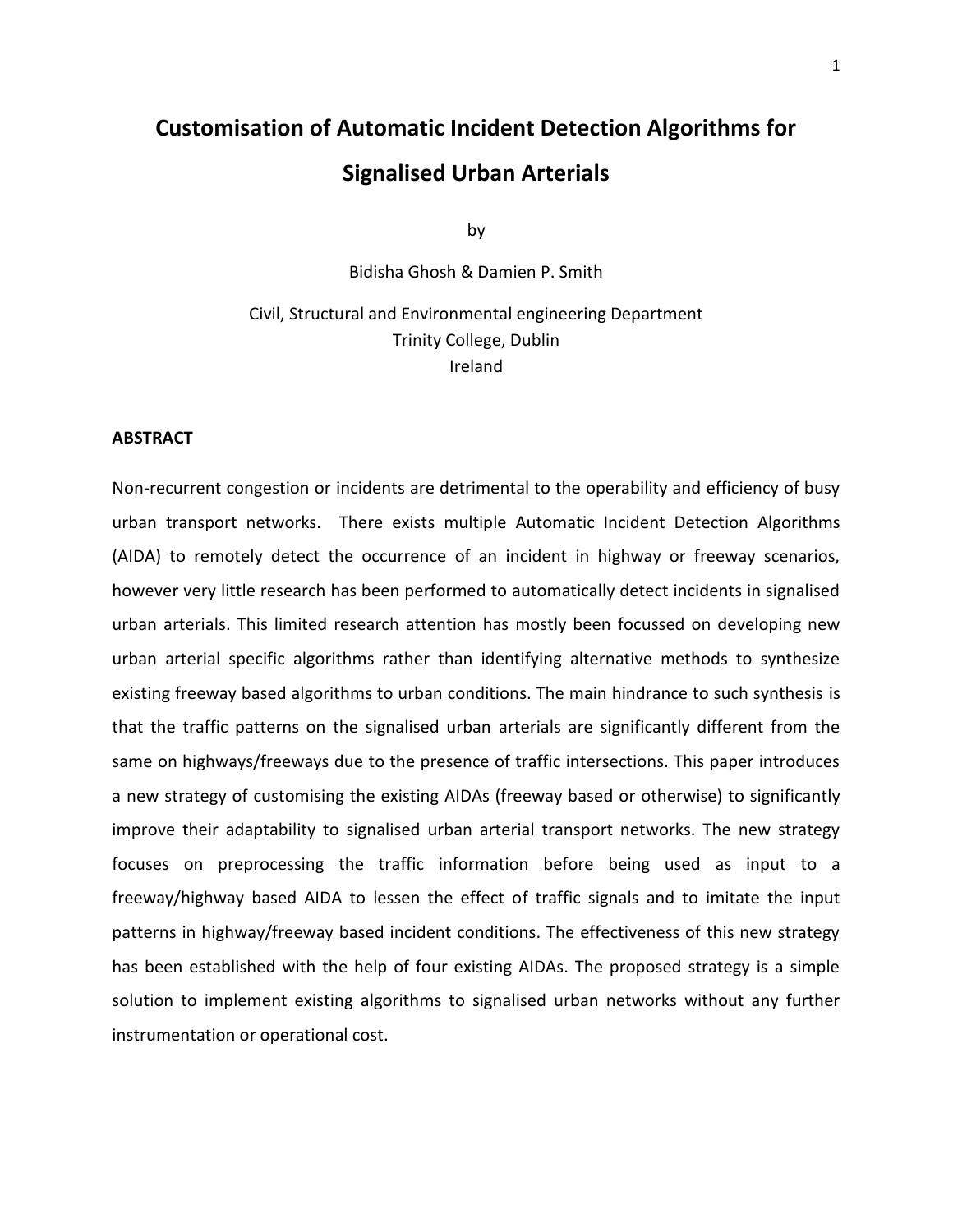# **Customisation of Automatic Incident Detection Algorithms for Signalised Urban Arterials**

by

Bidisha Ghosh & Damien P. Smith

Civil, Structural and Environmental engineering Department Trinity College, Dublin Ireland

#### **ABSTRACT**

Non-recurrent congestion or incidents are detrimental to the operability and efficiency of busy urban transport networks. There exists multiple Automatic Incident Detection Algorithms (AIDA) to remotely detect the occurrence of an incident in highway or freeway scenarios, however very little research has been performed to automatically detect incidents in signalised urban arterials. This limited research attention has mostly been focussed on developing new urban arterial specific algorithms rather than identifying alternative methods to synthesize existing freeway based algorithms to urban conditions. The main hindrance to such synthesis is that the traffic patterns on the signalised urban arterials are significantly different from the same on highways/freeways due to the presence of traffic intersections. This paper introduces a new strategy of customising the existing AIDAs (freeway based or otherwise) to significantly improve their adaptability to signalised urban arterial transport networks. The new strategy focuses on preprocessing the traffic information before being used as input to a freeway/highway based AIDA to lessen the effect of traffic signals and to imitate the input patterns in highway/freeway based incident conditions. The effectiveness of this new strategy has been established with the help of four existing AIDAs. The proposed strategy is a simple solution to implement existing algorithms to signalised urban networks without any further instrumentation or operational cost.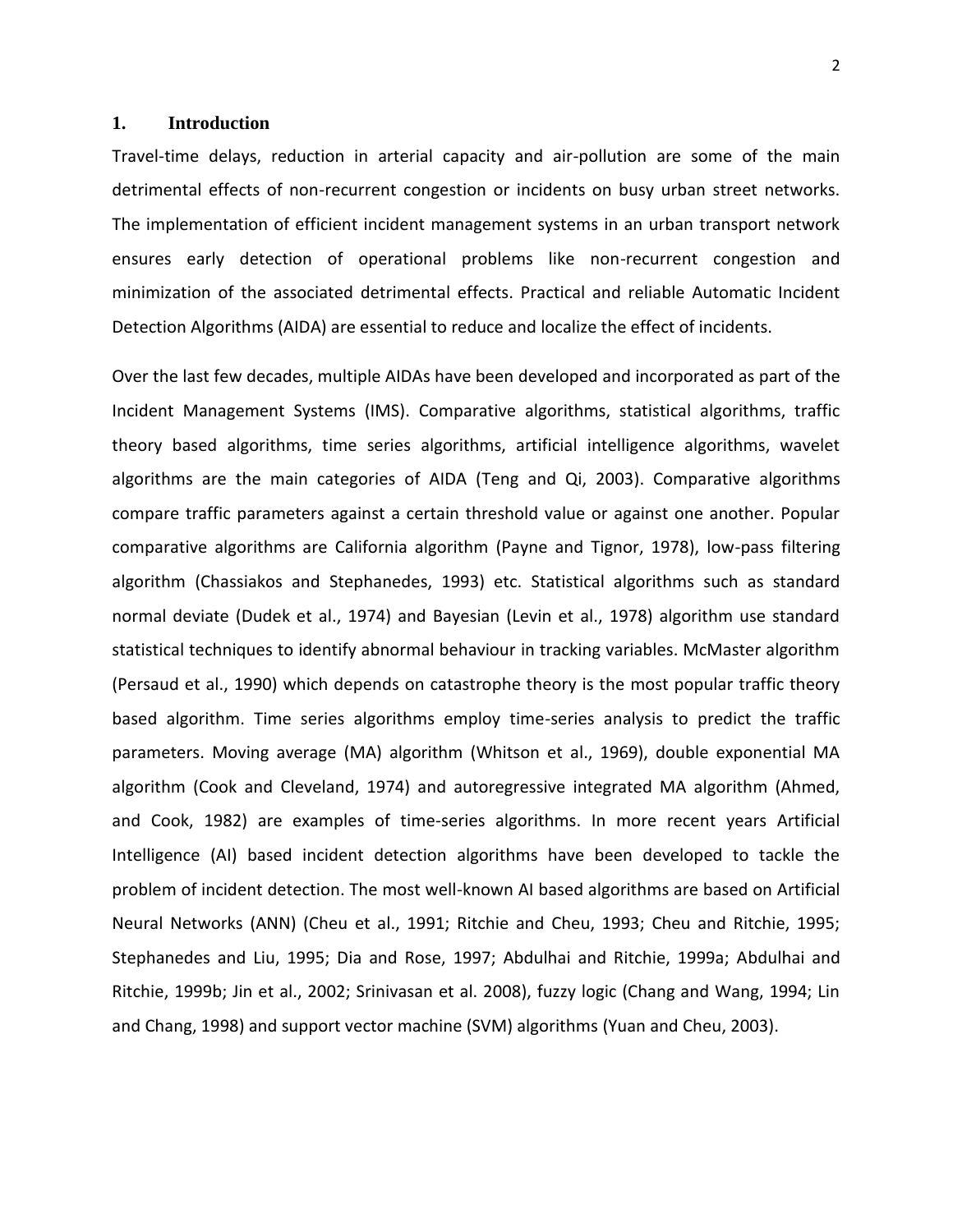# **1. Introduction**

Travel-time delays, reduction in arterial capacity and air-pollution are some of the main detrimental effects of non-recurrent congestion or incidents on busy urban street networks. The implementation of efficient incident management systems in an urban transport network ensures early detection of operational problems like non-recurrent congestion and minimization of the associated detrimental effects. Practical and reliable Automatic Incident Detection Algorithms (AIDA) are essential to reduce and localize the effect of incidents.

Over the last few decades, multiple AIDAs have been developed and incorporated as part of the Incident Management Systems (IMS). Comparative algorithms, statistical algorithms, traffic theory based algorithms, time series algorithms, artificial intelligence algorithms, wavelet algorithms are the main categories of AIDA (Teng and Qi, 2003). Comparative algorithms compare traffic parameters against a certain threshold value or against one another. Popular comparative algorithms are California algorithm (Payne and Tignor, 1978), low-pass filtering algorithm (Chassiakos and Stephanedes, 1993) etc. Statistical algorithms such as standard normal deviate (Dudek et al., 1974) and Bayesian (Levin et al., 1978) algorithm use standard statistical techniques to identify abnormal behaviour in tracking variables. McMaster algorithm (Persaud et al., 1990) which depends on catastrophe theory is the most popular traffic theory based algorithm. Time series algorithms employ time-series analysis to predict the traffic parameters. Moving average (MA) algorithm (Whitson et al., 1969), double exponential MA algorithm (Cook and Cleveland, 1974) and autoregressive integrated MA algorithm (Ahmed, and Cook, 1982) are examples of time-series algorithms. In more recent years Artificial Intelligence (AI) based incident detection algorithms have been developed to tackle the problem of incident detection. The most well-known AI based algorithms are based on Artificial Neural Networks (ANN) (Cheu et al., 1991; Ritchie and Cheu, 1993; Cheu and Ritchie, 1995; Stephanedes and Liu, 1995; Dia and Rose, 1997; Abdulhai and Ritchie, 1999a; Abdulhai and Ritchie, 1999b; Jin et al., 2002; Srinivasan et al. 2008), fuzzy logic (Chang and Wang, 1994; Lin and Chang, 1998) and support vector machine (SVM) algorithms (Yuan and Cheu, 2003).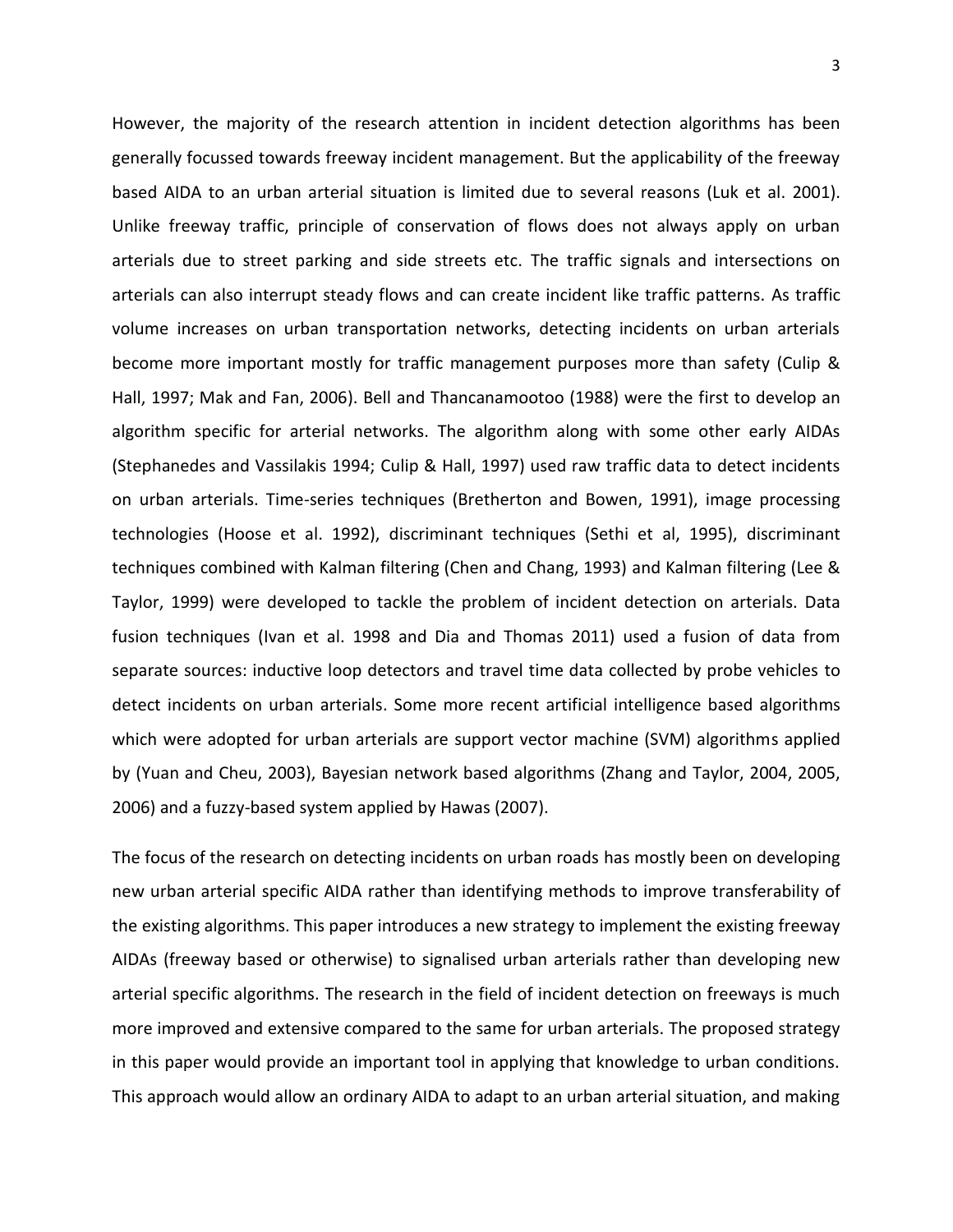However, the majority of the research attention in incident detection algorithms has been generally focussed towards freeway incident management. But the applicability of the freeway based AIDA to an urban arterial situation is limited due to several reasons (Luk et al. 2001). Unlike freeway traffic, principle of conservation of flows does not always apply on urban arterials due to street parking and side streets etc. The traffic signals and intersections on arterials can also interrupt steady flows and can create incident like traffic patterns. As traffic volume increases on urban transportation networks, detecting incidents on urban arterials become more important mostly for traffic management purposes more than safety (Culip & Hall, 1997; Mak and Fan, 2006). Bell and Thancanamootoo (1988) were the first to develop an algorithm specific for arterial networks. The algorithm along with some other early AIDAs (Stephanedes and Vassilakis 1994; Culip & Hall, 1997) used raw traffic data to detect incidents on urban arterials. Time-series techniques (Bretherton and Bowen, 1991), image processing technologies (Hoose et al. 1992), discriminant techniques (Sethi et al, 1995), discriminant techniques combined with Kalman filtering (Chen and Chang, 1993) and Kalman filtering (Lee & Taylor, 1999) were developed to tackle the problem of incident detection on arterials. Data fusion techniques (Ivan et al. 1998 and Dia and Thomas 2011) used a fusion of data from separate sources: inductive loop detectors and travel time data collected by probe vehicles to detect incidents on urban arterials. Some more recent artificial intelligence based algorithms which were adopted for urban arterials are support vector machine (SVM) algorithms applied by (Yuan and Cheu, 2003), Bayesian network based algorithms (Zhang and Taylor, 2004, 2005, 2006) and a fuzzy-based system applied by Hawas (2007).

The focus of the research on detecting incidents on urban roads has mostly been on developing new urban arterial specific AIDA rather than identifying methods to improve transferability of the existing algorithms. This paper introduces a new strategy to implement the existing freeway AIDAs (freeway based or otherwise) to signalised urban arterials rather than developing new arterial specific algorithms. The research in the field of incident detection on freeways is much more improved and extensive compared to the same for urban arterials. The proposed strategy in this paper would provide an important tool in applying that knowledge to urban conditions. This approach would allow an ordinary AIDA to adapt to an urban arterial situation, and making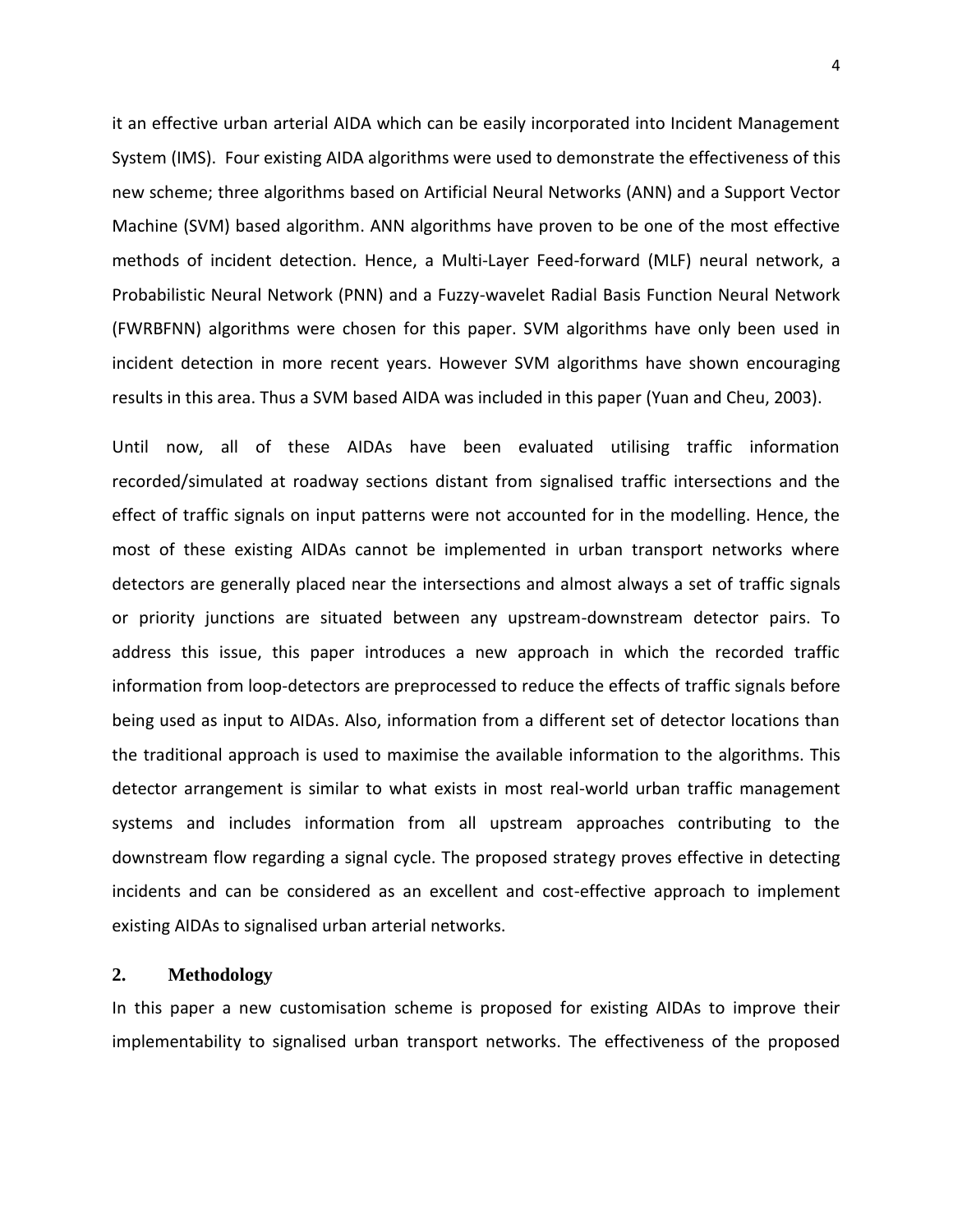it an effective urban arterial AIDA which can be easily incorporated into Incident Management System (IMS). Four existing AIDA algorithms were used to demonstrate the effectiveness of this new scheme; three algorithms based on Artificial Neural Networks (ANN) and a Support Vector Machine (SVM) based algorithm. ANN algorithms have proven to be one of the most effective methods of incident detection. Hence, a Multi-Layer Feed-forward (MLF) neural network, a Probabilistic Neural Network (PNN) and a Fuzzy-wavelet Radial Basis Function Neural Network (FWRBFNN) algorithms were chosen for this paper. SVM algorithms have only been used in incident detection in more recent years. However SVM algorithms have shown encouraging results in this area. Thus a SVM based AIDA was included in this paper (Yuan and Cheu, 2003).

Until now, all of these AIDAs have been evaluated utilising traffic information recorded/simulated at roadway sections distant from signalised traffic intersections and the effect of traffic signals on input patterns were not accounted for in the modelling. Hence, the most of these existing AIDAs cannot be implemented in urban transport networks where detectors are generally placed near the intersections and almost always a set of traffic signals or priority junctions are situated between any upstream-downstream detector pairs. To address this issue, this paper introduces a new approach in which the recorded traffic information from loop-detectors are preprocessed to reduce the effects of traffic signals before being used as input to AIDAs. Also, information from a different set of detector locations than the traditional approach is used to maximise the available information to the algorithms. This detector arrangement is similar to what exists in most real-world urban traffic management systems and includes information from all upstream approaches contributing to the downstream flow regarding a signal cycle. The proposed strategy proves effective in detecting incidents and can be considered as an excellent and cost-effective approach to implement existing AIDAs to signalised urban arterial networks.

# **2. Methodology**

In this paper a new customisation scheme is proposed for existing AIDAs to improve their implementability to signalised urban transport networks. The effectiveness of the proposed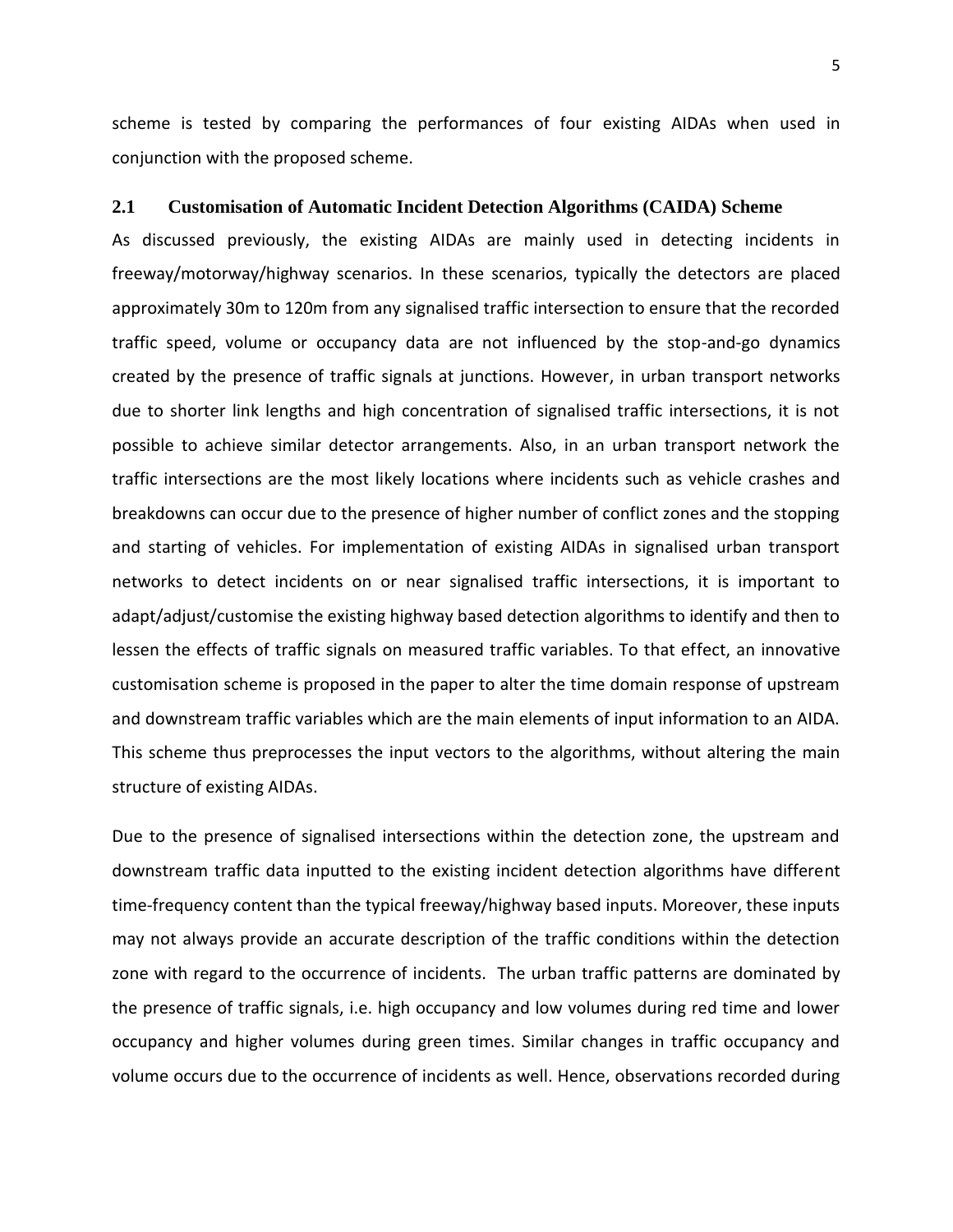scheme is tested by comparing the performances of four existing AIDAs when used in conjunction with the proposed scheme.

## **2.1 Customisation of Automatic Incident Detection Algorithms (CAIDA) Scheme**

As discussed previously, the existing AIDAs are mainly used in detecting incidents in freeway/motorway/highway scenarios. In these scenarios, typically the detectors are placed approximately 30m to 120m from any signalised traffic intersection to ensure that the recorded traffic speed, volume or occupancy data are not influenced by the stop-and-go dynamics created by the presence of traffic signals at junctions. However, in urban transport networks due to shorter link lengths and high concentration of signalised traffic intersections, it is not possible to achieve similar detector arrangements. Also, in an urban transport network the traffic intersections are the most likely locations where incidents such as vehicle crashes and breakdowns can occur due to the presence of higher number of conflict zones and the stopping and starting of vehicles. For implementation of existing AIDAs in signalised urban transport networks to detect incidents on or near signalised traffic intersections, it is important to adapt/adjust/customise the existing highway based detection algorithms to identify and then to lessen the effects of traffic signals on measured traffic variables. To that effect, an innovative customisation scheme is proposed in the paper to alter the time domain response of upstream and downstream traffic variables which are the main elements of input information to an AIDA. This scheme thus preprocesses the input vectors to the algorithms, without altering the main structure of existing AIDAs.

Due to the presence of signalised intersections within the detection zone, the upstream and downstream traffic data inputted to the existing incident detection algorithms have different time-frequency content than the typical freeway/highway based inputs. Moreover, these inputs may not always provide an accurate description of the traffic conditions within the detection zone with regard to the occurrence of incidents. The urban traffic patterns are dominated by the presence of traffic signals, i.e. high occupancy and low volumes during red time and lower occupancy and higher volumes during green times. Similar changes in traffic occupancy and volume occurs due to the occurrence of incidents as well. Hence, observations recorded during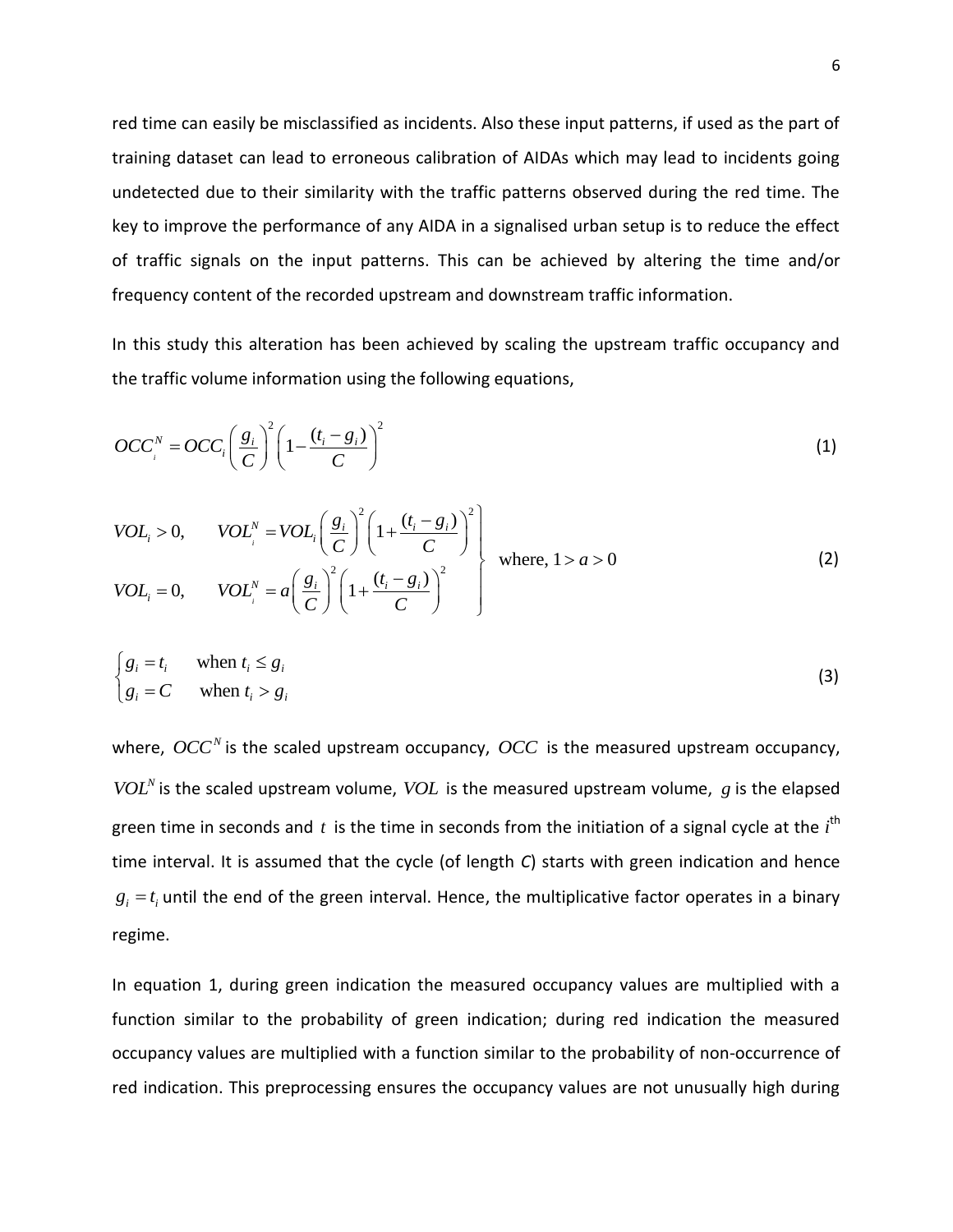red time can easily be misclassified as incidents. Also these input patterns, if used as the part of training dataset can lead to erroneous calibration of AIDAs which may lead to incidents going undetected due to their similarity with the traffic patterns observed during the red time. The key to improve the performance of any AIDA in a signalised urban setup is to reduce the effect of traffic signals on the input patterns. This can be achieved by altering the time and/or frequency content of the recorded upstream and downstream traffic information.

In this study this alteration has been achieved by scaling the upstream traffic occupancy and the traffic volume information using the following equations,

$$
OCC_i^N = OCC_i \left(\frac{g_i}{C}\right)^2 \left(1 - \frac{(t_i - g_i)}{C}\right)^2
$$
\n(1)

$$
VOL_i > 0, \t VOL_i^N = VOL_i \left(\frac{g_i}{C}\right)^2 \left(1 + \frac{(t_i - g_i)}{C}\right)^2
$$
  
\n
$$
VOL_i = 0, \t VOL_i^N = a \left(\frac{g_i}{C}\right)^2 \left(1 + \frac{(t_i - g_i)}{C}\right)^2
$$
 where, 1 > a > 0 (2)

$$
\begin{cases} g_i = t_i & \text{when } t_i \le g_i \\ g_i = C & \text{when } t_i > g_i \end{cases}
$$
 (3)

where,  $\mathit{OCC}^N$  is the scaled upstream occupancy,  $\mathit{OCC}$  is the measured upstream occupancy,  $VOL<sup>N</sup>$  is the scaled upstream volume,  $VOL$  is the measured upstream volume, g is the elapsed green time in seconds and t is the time in seconds from the initiation of a signal cycle at the *i*<sup>th</sup> time interval. It is assumed that the cycle (of length *C*) starts with green indication and hence  $g_i = t_i$  until the end of the green interval. Hence, the multiplicative factor operates in a binary regime.

In equation 1, during green indication the measured occupancy values are multiplied with a function similar to the probability of green indication; during red indication the measured occupancy values are multiplied with a function similar to the probability of non-occurrence of red indication. This preprocessing ensures the occupancy values are not unusually high during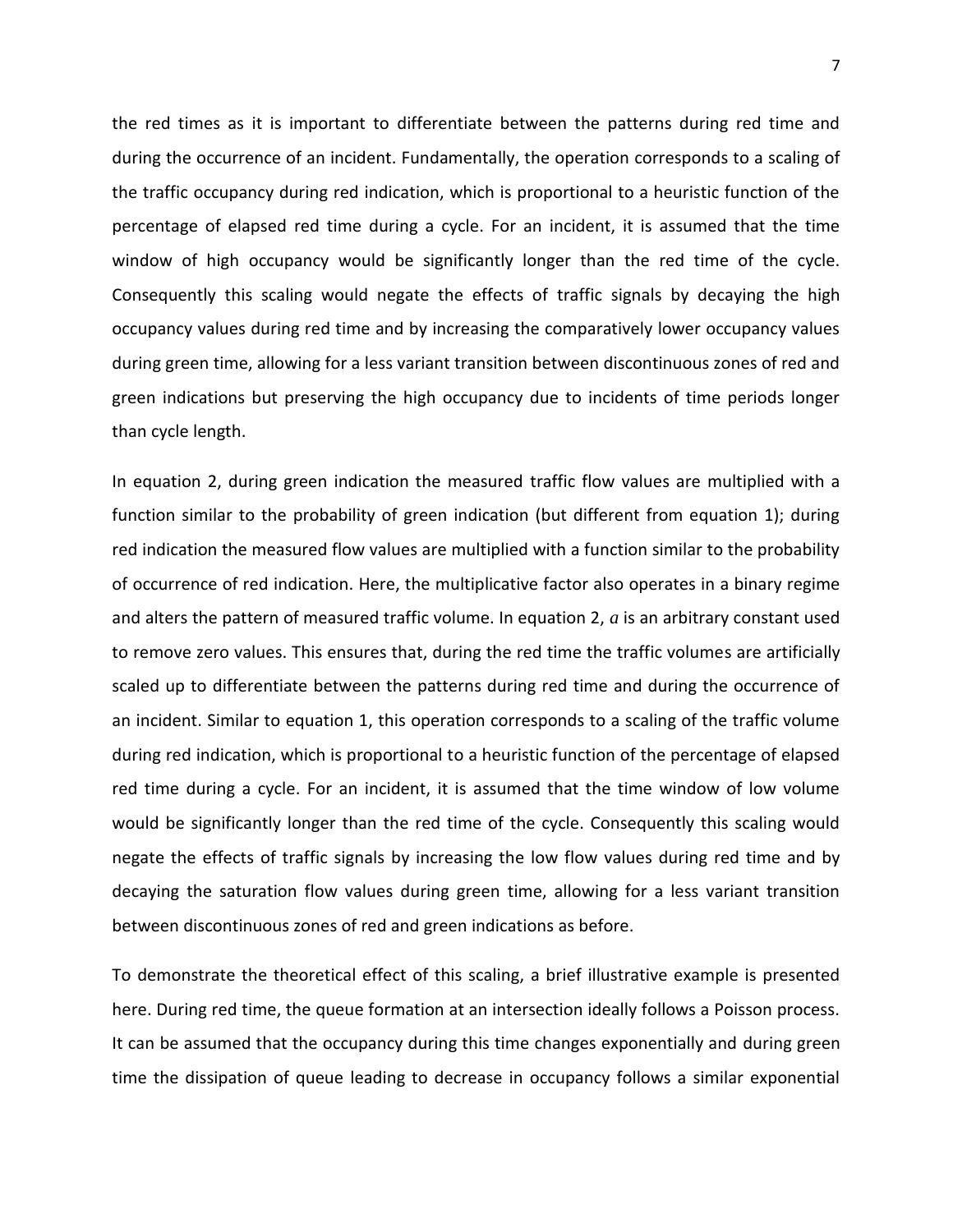the red times as it is important to differentiate between the patterns during red time and during the occurrence of an incident. Fundamentally, the operation corresponds to a scaling of the traffic occupancy during red indication, which is proportional to a heuristic function of the percentage of elapsed red time during a cycle. For an incident, it is assumed that the time window of high occupancy would be significantly longer than the red time of the cycle. Consequently this scaling would negate the effects of traffic signals by decaying the high occupancy values during red time and by increasing the comparatively lower occupancy values during green time, allowing for a less variant transition between discontinuous zones of red and green indications but preserving the high occupancy due to incidents of time periods longer than cycle length.

In equation 2, during green indication the measured traffic flow values are multiplied with a function similar to the probability of green indication (but different from equation 1); during red indication the measured flow values are multiplied with a function similar to the probability of occurrence of red indication. Here, the multiplicative factor also operates in a binary regime and alters the pattern of measured traffic volume. In equation 2, *a* is an arbitrary constant used to remove zero values. This ensures that, during the red time the traffic volumes are artificially scaled up to differentiate between the patterns during red time and during the occurrence of an incident. Similar to equation 1, this operation corresponds to a scaling of the traffic volume during red indication, which is proportional to a heuristic function of the percentage of elapsed red time during a cycle. For an incident, it is assumed that the time window of low volume would be significantly longer than the red time of the cycle. Consequently this scaling would negate the effects of traffic signals by increasing the low flow values during red time and by decaying the saturation flow values during green time, allowing for a less variant transition between discontinuous zones of red and green indications as before.

To demonstrate the theoretical effect of this scaling, a brief illustrative example is presented here. During red time, the queue formation at an intersection ideally follows a Poisson process. It can be assumed that the occupancy during this time changes exponentially and during green time the dissipation of queue leading to decrease in occupancy follows a similar exponential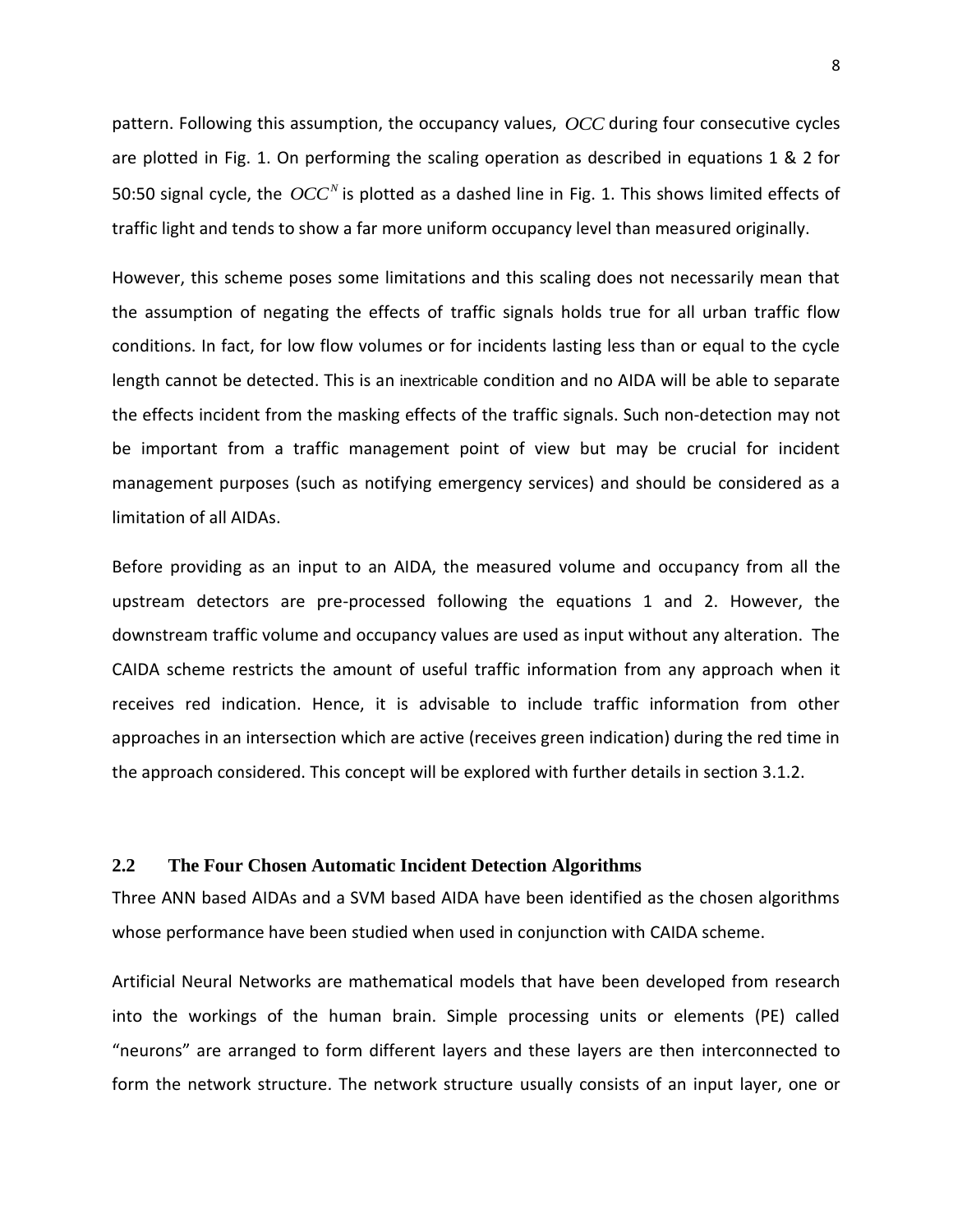pattern. Following this assumption, the occupancy values, *OCC* during four consecutive cycles are plotted in Fig. 1. On performing the scaling operation as described in equations 1 & 2 for 50:50 signal cycle, the  $\textit{OCC}^N$  is plotted as a dashed line in Fig. 1. This shows limited effects of traffic light and tends to show a far more uniform occupancy level than measured originally.

However, this scheme poses some limitations and this scaling does not necessarily mean that the assumption of negating the effects of traffic signals holds true for all urban traffic flow conditions. In fact, for low flow volumes or for incidents lasting less than or equal to the cycle length cannot be detected. This is an inextricable condition and no AIDA will be able to separate the effects incident from the masking effects of the traffic signals. Such non-detection may not be important from a traffic management point of view but may be crucial for incident management purposes (such as notifying emergency services) and should be considered as a limitation of all AIDAs.

Before providing as an input to an AIDA, the measured volume and occupancy from all the upstream detectors are pre-processed following the equations 1 and 2. However, the downstream traffic volume and occupancy values are used as input without any alteration. The CAIDA scheme restricts the amount of useful traffic information from any approach when it receives red indication. Hence, it is advisable to include traffic information from other approaches in an intersection which are active (receives green indication) during the red time in the approach considered. This concept will be explored with further details in section 3.1.2.

# **2.2 The Four Chosen Automatic Incident Detection Algorithms**

Three ANN based AIDAs and a SVM based AIDA have been identified as the chosen algorithms whose performance have been studied when used in conjunction with CAIDA scheme.

Artificial Neural Networks are mathematical models that have been developed from research into the workings of the human brain. Simple processing units or elements (PE) called "neurons" are arranged to form different layers and these layers are then interconnected to form the network structure. The network structure usually consists of an input layer, one or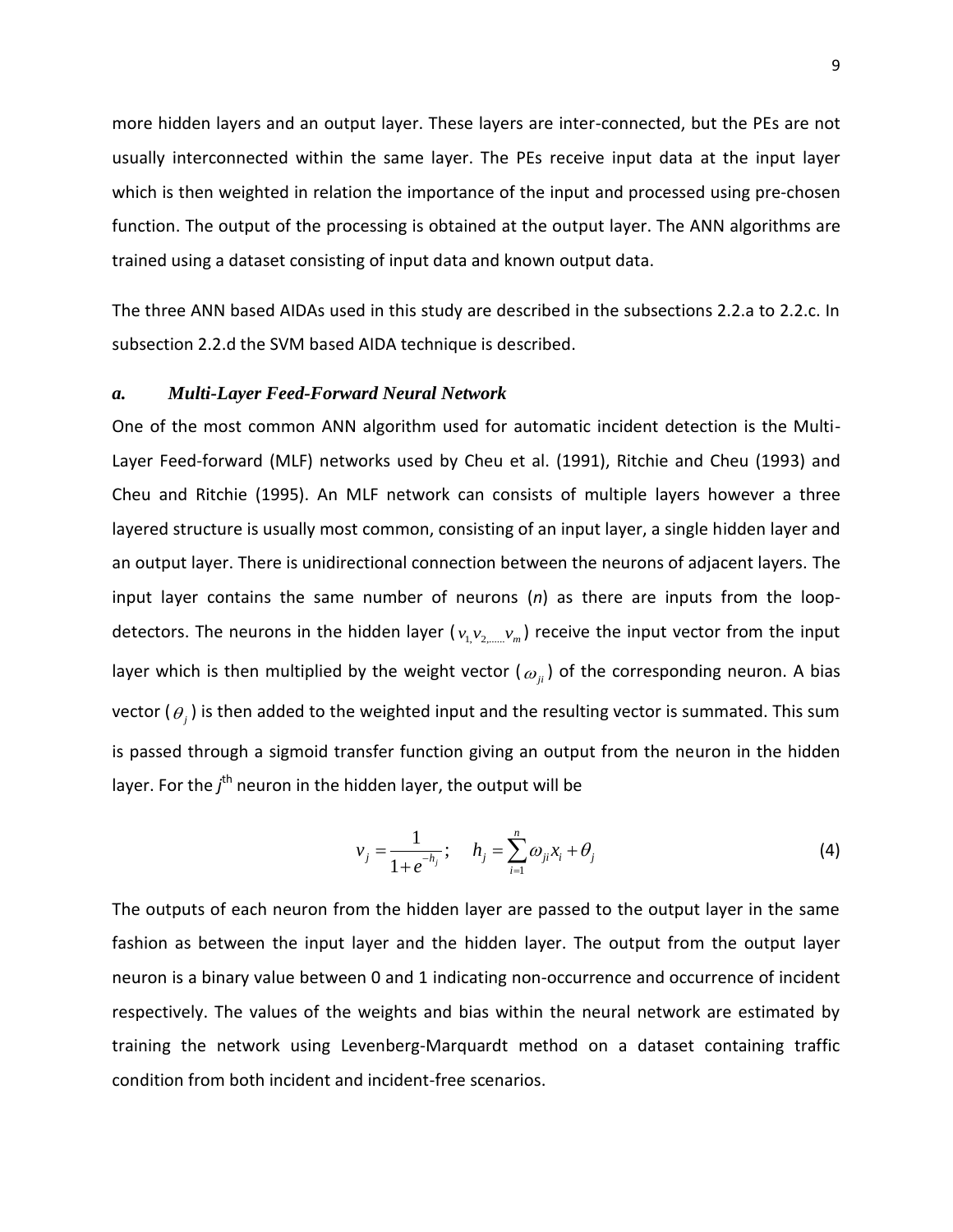more hidden layers and an output layer. These layers are inter-connected, but the PEs are not usually interconnected within the same layer. The PEs receive input data at the input layer which is then weighted in relation the importance of the input and processed using pre-chosen function. The output of the processing is obtained at the output layer. The ANN algorithms are trained using a dataset consisting of input data and known output data.

The three ANN based AIDAs used in this study are described in the subsections 2.2.a to 2.2.c. In subsection 2.2.d the SVM based AIDA technique is described.

# *a. Multi-Layer Feed-Forward Neural Network*

One of the most common ANN algorithm used for automatic incident detection is the Multi-Layer Feed-forward (MLF) networks used by Cheu et al. (1991), Ritchie and Cheu (1993) and Cheu and Ritchie (1995). An MLF network can consists of multiple layers however a three layered structure is usually most common, consisting of an input layer, a single hidden layer and an output layer. There is unidirectional connection between the neurons of adjacent layers. The input layer contains the same number of neurons (*n*) as there are inputs from the loopdetectors. The neurons in the hidden layer ( $v_1, v_2, ..., v_m$ ) receive the input vector from the input layer which is then multiplied by the weight vector (  $\omega_{_{ji}}$  ) of the corresponding neuron. A bias vector ( $\theta_{j}$ ) is then added to the weighted input and the resulting vector is summated. This sum is passed through a sigmoid transfer function giving an output from the neuron in the hidden layer. For the *j*<sup>th</sup> neuron in the hidden layer, the output will be

$$
v_j = \frac{1}{1 + e^{-h_j}}; \quad h_j = \sum_{i=1}^n \omega_{ji} x_i + \theta_j
$$
 (4)

The outputs of each neuron from the hidden layer are passed to the output layer in the same fashion as between the input layer and the hidden layer. The output from the output layer neuron is a binary value between 0 and 1 indicating non-occurrence and occurrence of incident respectively. The values of the weights and bias within the neural network are estimated by training the network using Levenberg-Marquardt method on a dataset containing traffic condition from both incident and incident-free scenarios.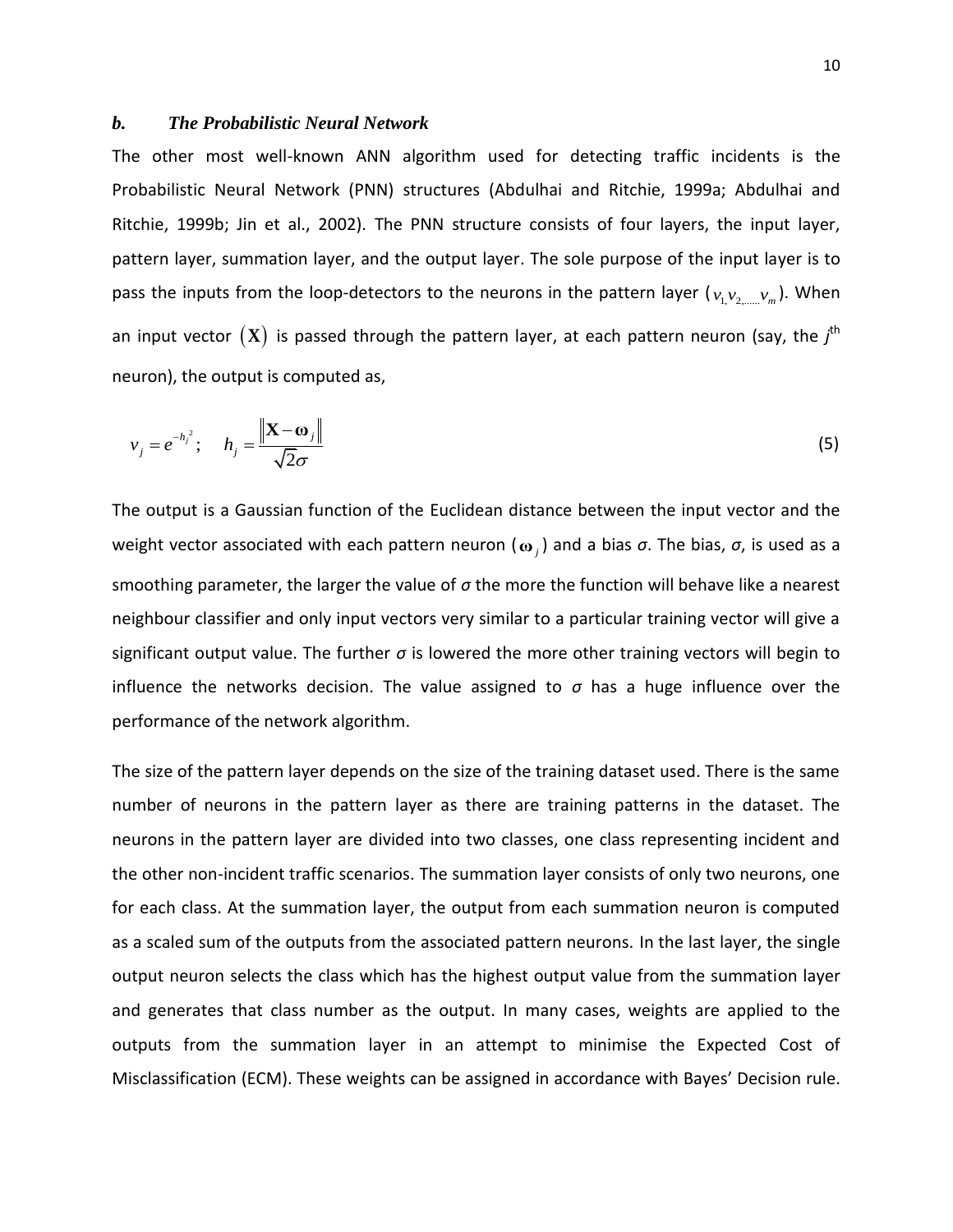# *b. The Probabilistic Neural Network*

The other most well-known ANN algorithm used for detecting traffic incidents is the Probabilistic Neural Network (PNN) structures (Abdulhai and Ritchie, 1999a; Abdulhai and Ritchie, 1999b; Jin et al., 2002). The PNN structure consists of four layers, the input layer, pattern layer, summation layer, and the output layer. The sole purpose of the input layer is to pass the inputs from the loop-detectors to the neurons in the pattern layer ( $v_{1,}v_{2,......}v_{m}$ ). When an input vector  $(\mathbf{X})$  is passed through the pattern layer, at each pattern neuron (say, the  $j^\text{th}$ neuron), the output is computed as,

$$
v_j = e^{-h_j^2}; \quad h_j = \frac{\|\mathbf{X} - \mathbf{\omega}_j\|}{\sqrt{2}\sigma} \tag{5}
$$

The output is a Gaussian function of the Euclidean distance between the input vector and the weight vector associated with each pattern neuron ( **ω** *j* ) and a bias *σ*. The bias, *σ*, is used as a smoothing parameter, the larger the value of *σ* the more the function will behave like a nearest neighbour classifier and only input vectors very similar to a particular training vector will give a significant output value. The further *σ* is lowered the more other training vectors will begin to influence the networks decision. The value assigned to  $\sigma$  has a huge influence over the performance of the network algorithm.

The size of the pattern layer depends on the size of the training dataset used. There is the same number of neurons in the pattern layer as there are training patterns in the dataset. The neurons in the pattern layer are divided into two classes, one class representing incident and the other non-incident traffic scenarios. The summation layer consists of only two neurons, one for each class. At the summation layer, the output from each summation neuron is computed as a scaled sum of the outputs from the associated pattern neurons. In the last layer, the single output neuron selects the class which has the highest output value from the summation layer and generates that class number as the output. In many cases, weights are applied to the outputs from the summation layer in an attempt to minimise the Expected Cost of Misclassification (ECM). These weights can be assigned in accordance with Bayes' Decision rule.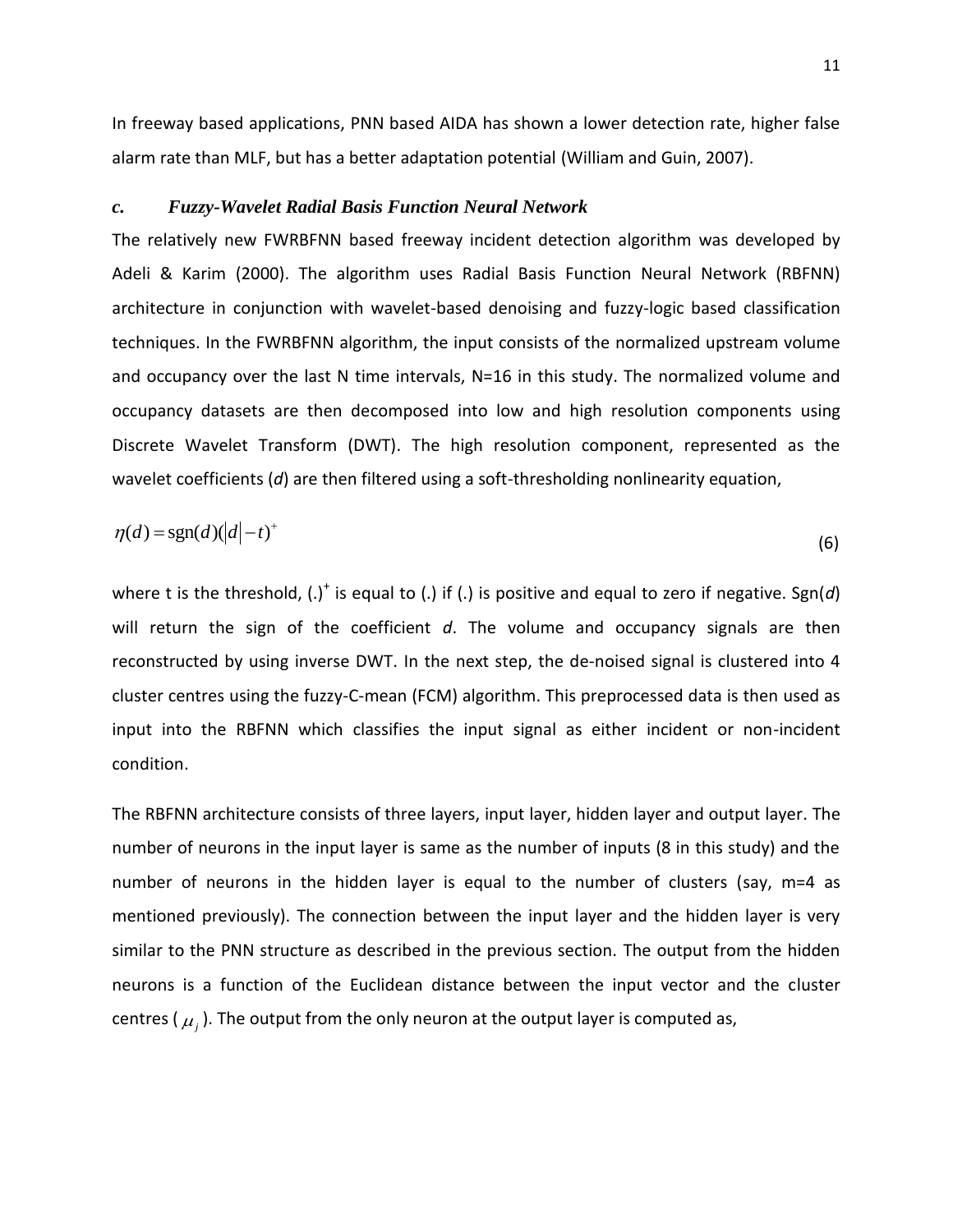In freeway based applications, PNN based AIDA has shown a lower detection rate, higher false alarm rate than MLF, but has a better adaptation potential (William and Guin, 2007).

# *c. Fuzzy-Wavelet Radial Basis Function Neural Network*

The relatively new FWRBFNN based freeway incident detection algorithm was developed by Adeli & Karim (2000). The algorithm uses Radial Basis Function Neural Network (RBFNN) architecture in conjunction with wavelet-based denoising and fuzzy-logic based classification techniques. In the FWRBFNN algorithm, the input consists of the normalized upstream volume and occupancy over the last N time intervals, N=16 in this study. The normalized volume and occupancy datasets are then decomposed into low and high resolution components using Discrete Wavelet Transform (DWT). The high resolution component, represented as the wavelet coefficients (*d*) are then filtered using a soft-thresholding nonlinearity equation,

$$
\eta(d) = \text{sgn}(d)(|d|-t)^{+}
$$
\n(6)

where t is the threshold, (.)<sup>+</sup> is equal to (.) if (.) is positive and equal to zero if negative. Sgn(*d*) will return the sign of the coefficient *d*. The volume and occupancy signals are then reconstructed by using inverse DWT. In the next step, the de-noised signal is clustered into 4 cluster centres using the fuzzy-C-mean (FCM) algorithm. This preprocessed data is then used as input into the RBFNN which classifies the input signal as either incident or non-incident condition.

The RBFNN architecture consists of three layers, input layer, hidden layer and output layer. The number of neurons in the input layer is same as the number of inputs (8 in this study) and the number of neurons in the hidden layer is equal to the number of clusters (say, m=4 as mentioned previously). The connection between the input layer and the hidden layer is very similar to the PNN structure as described in the previous section. The output from the hidden neurons is a function of the Euclidean distance between the input vector and the cluster centres (  $\mu_j$  ). The output from the only neuron at the output layer is computed as,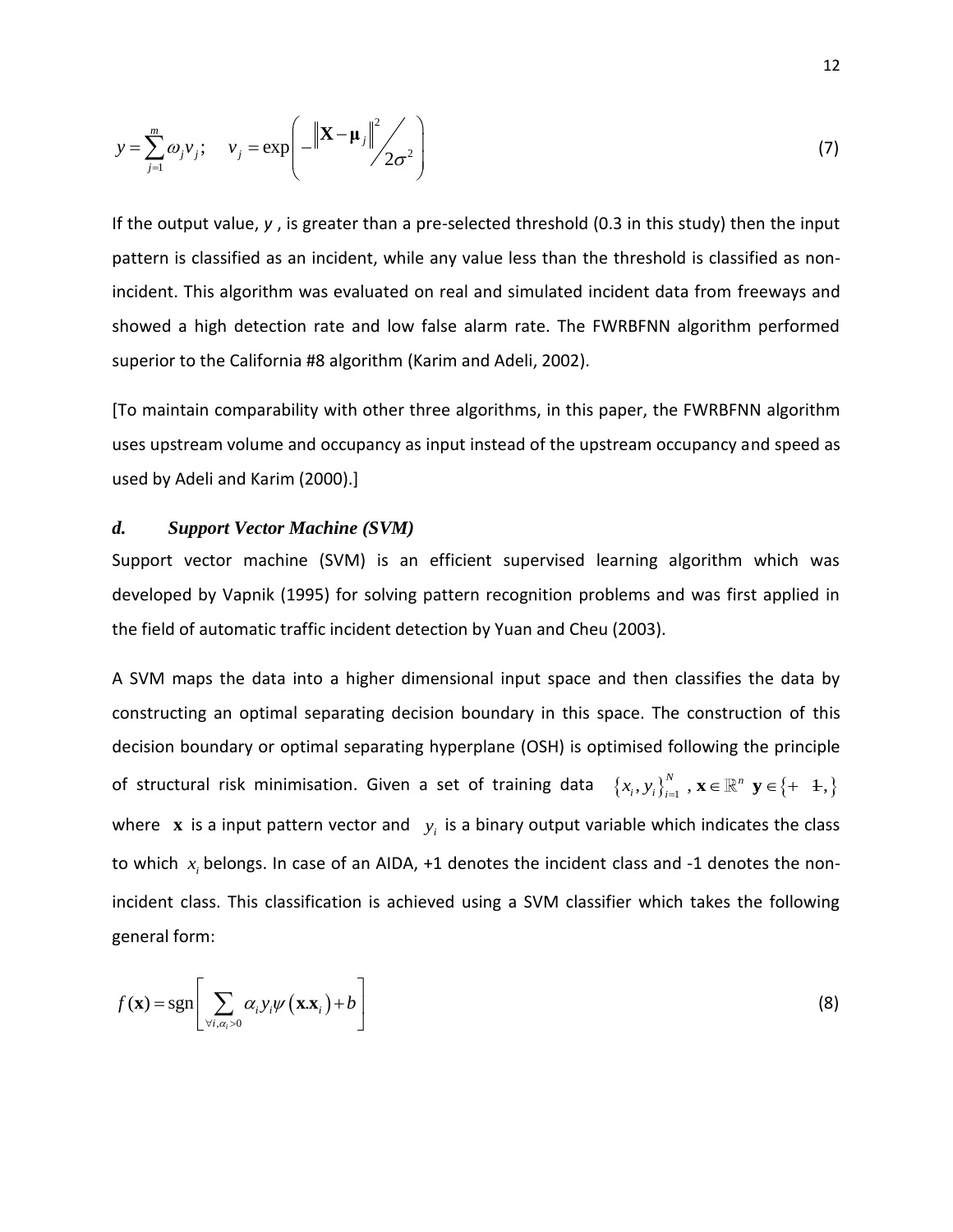$$
y = \sum_{j=1}^{m} \omega_j v_j; \quad v_j = \exp\left(-\left\|\mathbf{X} - \boldsymbol{\mu}_j\right\|^2 / 2\sigma^2\right)
$$
(7)

If the output value, *y* , is greater than a pre-selected threshold (0.3 in this study) then the input pattern is classified as an incident, while any value less than the threshold is classified as nonincident. This algorithm was evaluated on real and simulated incident data from freeways and showed a high detection rate and low false alarm rate. The FWRBFNN algorithm performed superior to the California #8 algorithm (Karim and Adeli, 2002).

[To maintain comparability with other three algorithms, in this paper, the FWRBFNN algorithm uses upstream volume and occupancy as input instead of the upstream occupancy and speed as used by Adeli and Karim (2000).]

#### *d. Support Vector Machine (SVM)*

Support vector machine (SVM) is an efficient supervised learning algorithm which was developed by Vapnik (1995) for solving pattern recognition problems and was first applied in the field of automatic traffic incident detection by Yuan and Cheu (2003).

A SVM maps the data into a higher dimensional input space and then classifies the data by constructing an optimal separating decision boundary in this space. The construction of this decision boundary or optimal separating hyperplane (OSH) is optimised following the principle of structural risk minimisation. Given a set of training data  $\{x_i, y_i\}_{i=1}^N$ ,  $\mathbf{x} \in \mathbb{R}^n$   $\mathbf{y} \in \{+$   $-1, \}$ where  $\boldsymbol{x}$  is a input pattern vector and  $\boldsymbol{y}_i$  is a binary output variable which indicates the class to which  $x_i$  belongs. In case of an AIDA, +1 denotes the incident class and -1 denotes the nonincident class. This classification is achieved using a SVM classifier which takes the following general form:

$$
f(\mathbf{x}) = \text{sgn}\left[\sum_{\forall i, \alpha_i > 0} \alpha_i y_i \psi(\mathbf{x} \cdot \mathbf{x}_i) + b\right]
$$
(8)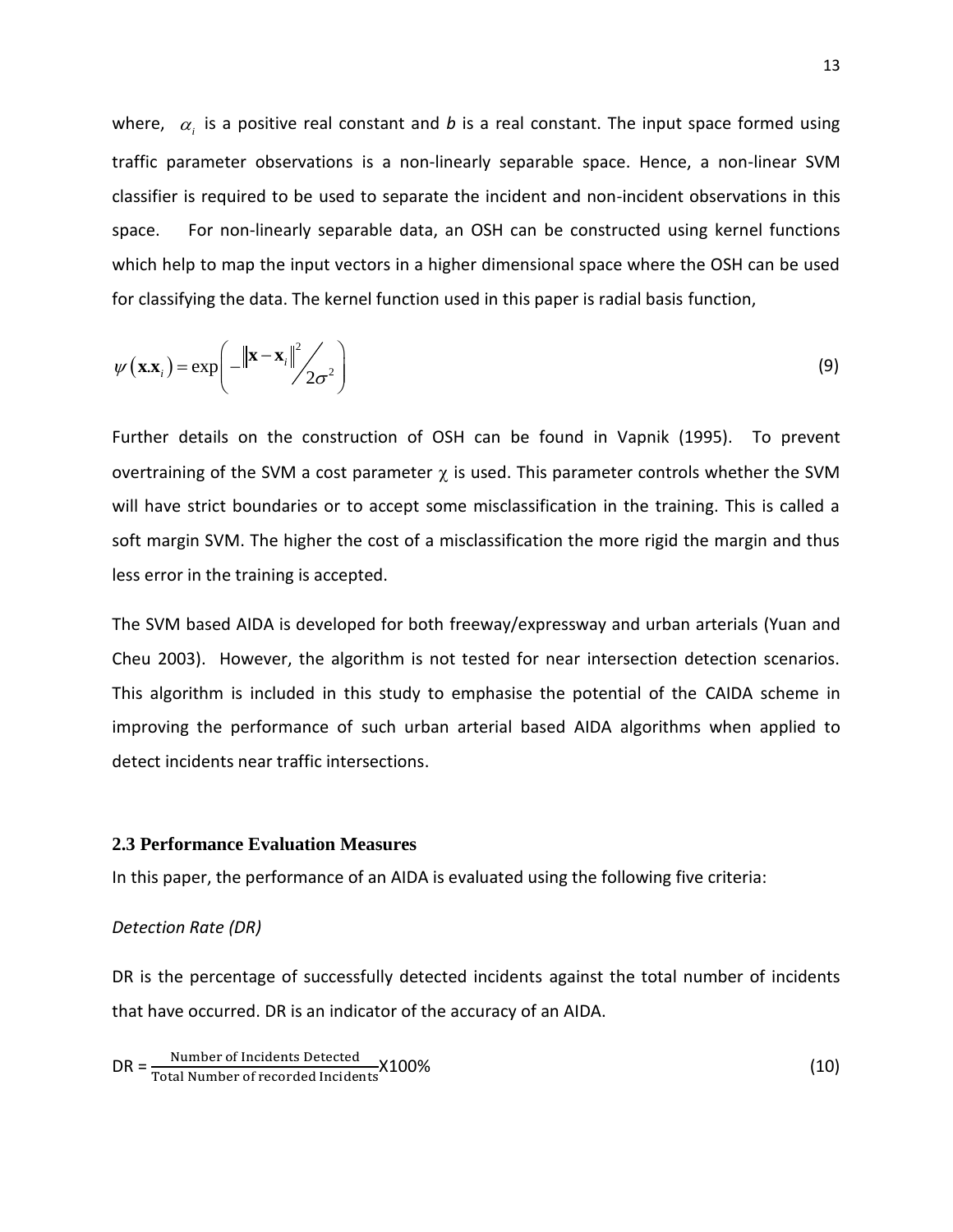where,  $\alpha_i$  is a positive real constant and *b* is a real constant. The input space formed using traffic parameter observations is a non-linearly separable space. Hence, a non-linear SVM classifier is required to be used to separate the incident and non-incident observations in this space. For non-linearly separable data, an OSH can be constructed using kernel functions which help to map the input vectors in a higher dimensional space where the OSH can be used for classifying the data. The kernel function used in this paper is radial basis function,

$$
\psi(\mathbf{x}.\mathbf{x}_{i}) = \exp\left(-\left\|\mathbf{x} - \mathbf{x}_{i}\right\|^{2} \Big| \mathbf{x} - \mathbf{x}_{i}\right)^{2}\right) \tag{9}
$$

Further details on the construction of OSH can be found in Vapnik (1995). To prevent overtraining of the SVM a cost parameter  $\gamma$  is used. This parameter controls whether the SVM will have strict boundaries or to accept some misclassification in the training. This is called a soft margin SVM. The higher the cost of a misclassification the more rigid the margin and thus less error in the training is accepted.

The SVM based AIDA is developed for both freeway/expressway and urban arterials (Yuan and Cheu 2003). However, the algorithm is not tested for near intersection detection scenarios. This algorithm is included in this study to emphasise the potential of the CAIDA scheme in improving the performance of such urban arterial based AIDA algorithms when applied to detect incidents near traffic intersections.

# **2.3 Performance Evaluation Measures**

In this paper, the performance of an AIDA is evaluated using the following five criteria:

#### *Detection Rate (DR)*

DR is the percentage of successfully detected incidents against the total number of incidents that have occurred. DR is an indicator of the accuracy of an AIDA.

 $DR = \frac{Number\ of\ Incidents\ Detection}{Total\ Number\ of\ recorded\ Incidents}$   $X100\%$  (10)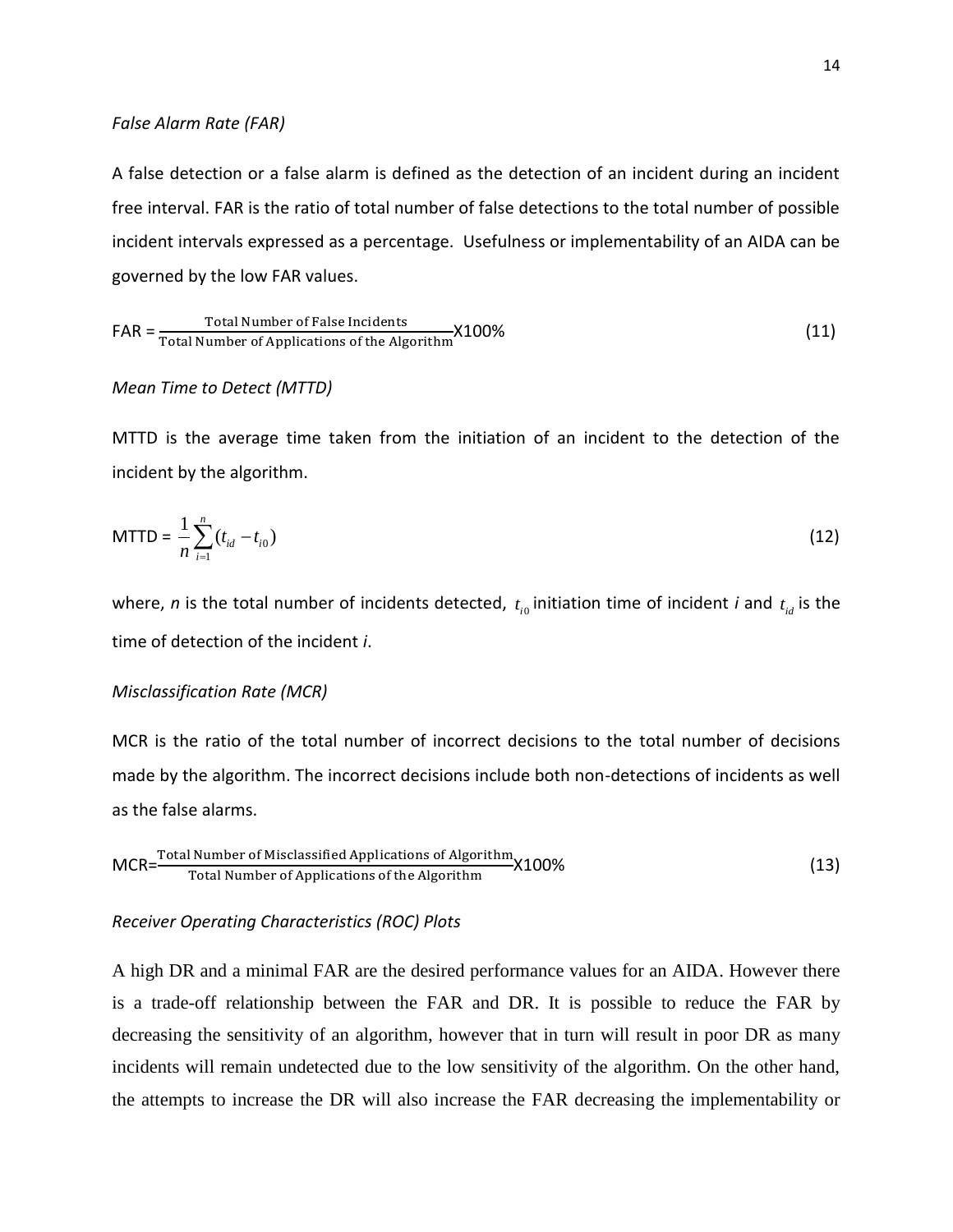#### *False Alarm Rate (FAR)*

A false detection or a false alarm is defined as the detection of an incident during an incident free interval. FAR is the ratio of total number of false detections to the total number of possible incident intervals expressed as a percentage. Usefulness or implementability of an AIDA can be governed by the low FAR values.

$$
FAR = \frac{\text{Total Number of False Incidents}}{\text{Total Number of Applications of the Algorithm}} \times 100\%
$$
 (11)

#### *Mean Time to Detect (MTTD)*

MTTD is the average time taken from the initiation of an incident to the detection of the incident by the algorithm.

$$
MTTD = \frac{1}{n} \sum_{i=1}^{n} (t_{id} - t_{i0})
$$
\n(12)

where, *n* is the total number of incidents detected,  $t_{i0}$  initiation time of incident *i* and  $t_{id}$  is the time of detection of the incident *i*.

# *Misclassification Rate (MCR)*

MCR is the ratio of the total number of incorrect decisions to the total number of decisions made by the algorithm. The incorrect decisions include both non-detections of incidents as well as the false alarms.

$$
MCR = \frac{\text{Total Number of Misclassified Applications of Algorithm}}{\text{Total Number of Applications of the Algorithm}} X100\%
$$
 (13)

#### *Receiver Operating Characteristics (ROC) Plots*

A high DR and a minimal FAR are the desired performance values for an AIDA. However there is a trade-off relationship between the FAR and DR. It is possible to reduce the FAR by decreasing the sensitivity of an algorithm, however that in turn will result in poor DR as many incidents will remain undetected due to the low sensitivity of the algorithm. On the other hand, the attempts to increase the DR will also increase the FAR decreasing the implementability or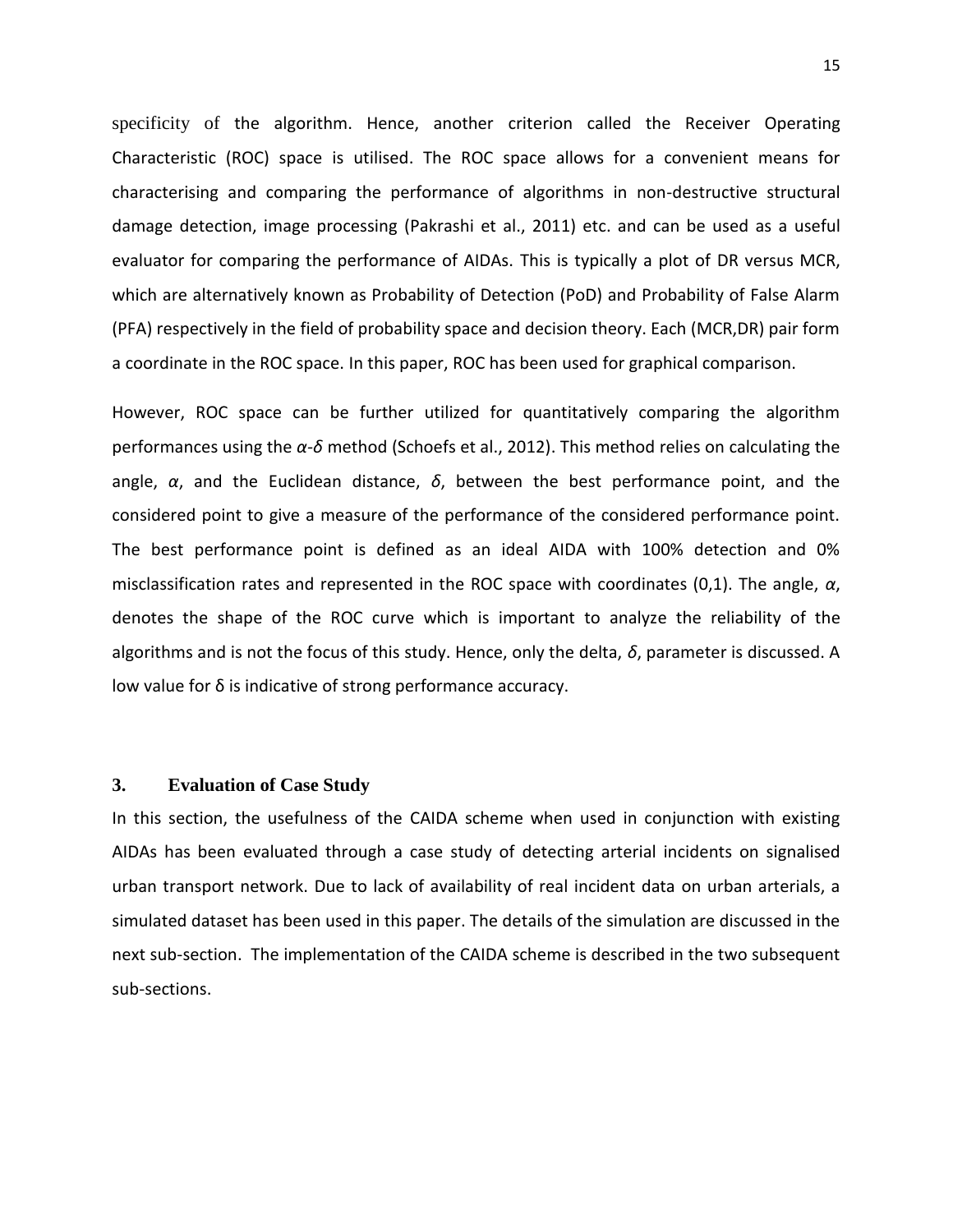specificity of the algorithm. Hence, another criterion called the Receiver Operating Characteristic (ROC) space is utilised. The ROC space allows for a convenient means for characterising and comparing the performance of algorithms in non-destructive structural damage detection, image processing (Pakrashi et al., 2011) etc. and can be used as a useful evaluator for comparing the performance of AIDAs. This is typically a plot of DR versus MCR, which are alternatively known as Probability of Detection (PoD) and Probability of False Alarm (PFA) respectively in the field of probability space and decision theory. Each (MCR,DR) pair form a coordinate in the ROC space. In this paper, ROC has been used for graphical comparison.

However, ROC space can be further utilized for quantitatively comparing the algorithm performances using the *α-δ* method (Schoefs et al., 2012). This method relies on calculating the angle, *α*, and the Euclidean distance, *δ*, between the best performance point, and the considered point to give a measure of the performance of the considered performance point. The best performance point is defined as an ideal AIDA with 100% detection and 0% misclassification rates and represented in the ROC space with coordinates (0,1). The angle, *α*, denotes the shape of the ROC curve which is important to analyze the reliability of the algorithms and is not the focus of this study. Hence, only the delta, *δ*, parameter is discussed. A low value for δ is indicative of strong performance accuracy.

# **3. Evaluation of Case Study**

In this section, the usefulness of the CAIDA scheme when used in conjunction with existing AIDAs has been evaluated through a case study of detecting arterial incidents on signalised urban transport network. Due to lack of availability of real incident data on urban arterials, a simulated dataset has been used in this paper. The details of the simulation are discussed in the next sub-section. The implementation of the CAIDA scheme is described in the two subsequent sub-sections.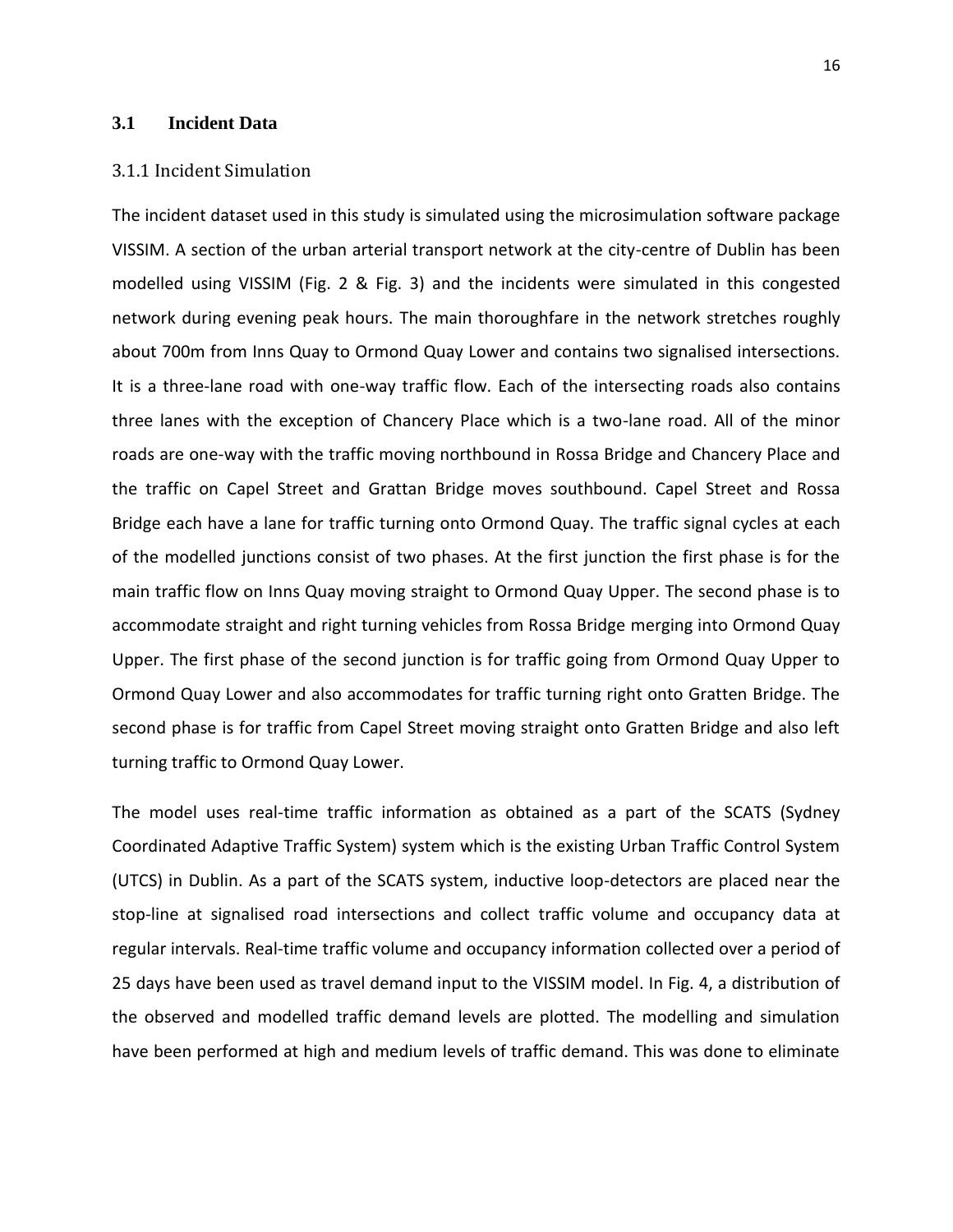# **3.1 Incident Data**

# 3.1.1 Incident Simulation

The incident dataset used in this study is simulated using the microsimulation software package VISSIM. A section of the urban arterial transport network at the city-centre of Dublin has been modelled using VISSIM (Fig. 2 & Fig. 3) and the incidents were simulated in this congested network during evening peak hours. The main thoroughfare in the network stretches roughly about 700m from Inns Quay to Ormond Quay Lower and contains two signalised intersections. It is a three-lane road with one-way traffic flow. Each of the intersecting roads also contains three lanes with the exception of Chancery Place which is a two-lane road. All of the minor roads are one-way with the traffic moving northbound in Rossa Bridge and Chancery Place and the traffic on Capel Street and Grattan Bridge moves southbound. Capel Street and Rossa Bridge each have a lane for traffic turning onto Ormond Quay. The traffic signal cycles at each of the modelled junctions consist of two phases. At the first junction the first phase is for the main traffic flow on Inns Quay moving straight to Ormond Quay Upper. The second phase is to accommodate straight and right turning vehicles from Rossa Bridge merging into Ormond Quay Upper. The first phase of the second junction is for traffic going from Ormond Quay Upper to Ormond Quay Lower and also accommodates for traffic turning right onto Gratten Bridge. The second phase is for traffic from Capel Street moving straight onto Gratten Bridge and also left turning traffic to Ormond Quay Lower.

The model uses real-time traffic information as obtained as a part of the SCATS (Sydney Coordinated Adaptive Traffic System) system which is the existing Urban Traffic Control System (UTCS) in Dublin. As a part of the SCATS system, inductive loop-detectors are placed near the stop-line at signalised road intersections and collect traffic volume and occupancy data at regular intervals. Real-time traffic volume and occupancy information collected over a period of 25 days have been used as travel demand input to the VISSIM model. In Fig. 4, a distribution of the observed and modelled traffic demand levels are plotted. The modelling and simulation have been performed at high and medium levels of traffic demand. This was done to eliminate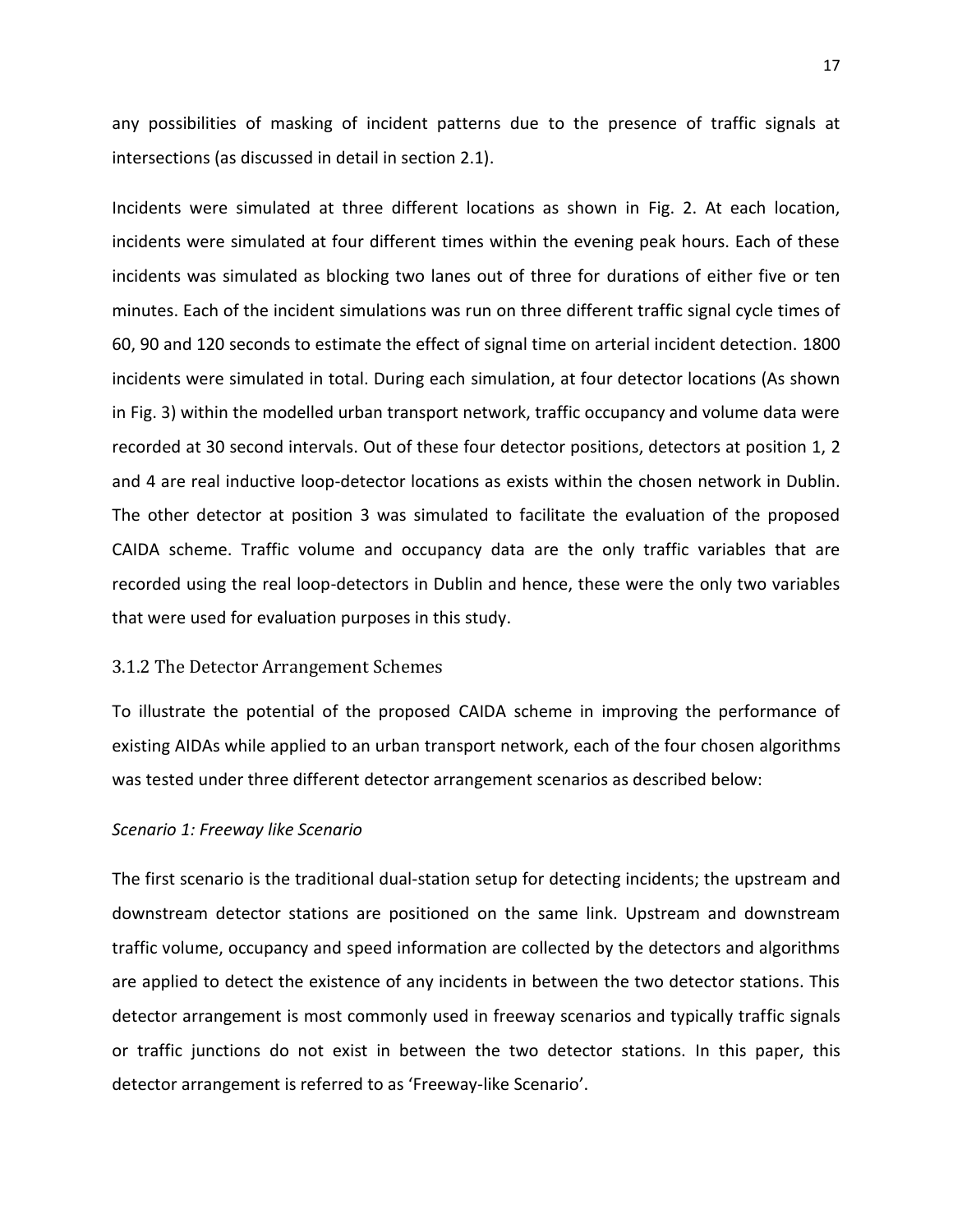any possibilities of masking of incident patterns due to the presence of traffic signals at intersections (as discussed in detail in section 2.1).

Incidents were simulated at three different locations as shown in Fig. 2. At each location, incidents were simulated at four different times within the evening peak hours. Each of these incidents was simulated as blocking two lanes out of three for durations of either five or ten minutes. Each of the incident simulations was run on three different traffic signal cycle times of 60, 90 and 120 seconds to estimate the effect of signal time on arterial incident detection. 1800 incidents were simulated in total. During each simulation, at four detector locations (As shown in Fig. 3) within the modelled urban transport network, traffic occupancy and volume data were recorded at 30 second intervals. Out of these four detector positions, detectors at position 1, 2 and 4 are real inductive loop-detector locations as exists within the chosen network in Dublin. The other detector at position 3 was simulated to facilitate the evaluation of the proposed CAIDA scheme. Traffic volume and occupancy data are the only traffic variables that are recorded using the real loop-detectors in Dublin and hence, these were the only two variables that were used for evaluation purposes in this study.

# 3.1.2 The Detector Arrangement Schemes

To illustrate the potential of the proposed CAIDA scheme in improving the performance of existing AIDAs while applied to an urban transport network, each of the four chosen algorithms was tested under three different detector arrangement scenarios as described below:

# *Scenario 1: Freeway like Scenario*

The first scenario is the traditional dual-station setup for detecting incidents; the upstream and downstream detector stations are positioned on the same link. Upstream and downstream traffic volume, occupancy and speed information are collected by the detectors and algorithms are applied to detect the existence of any incidents in between the two detector stations. This detector arrangement is most commonly used in freeway scenarios and typically traffic signals or traffic junctions do not exist in between the two detector stations. In this paper, this detector arrangement is referred to as 'Freeway-like Scenario'.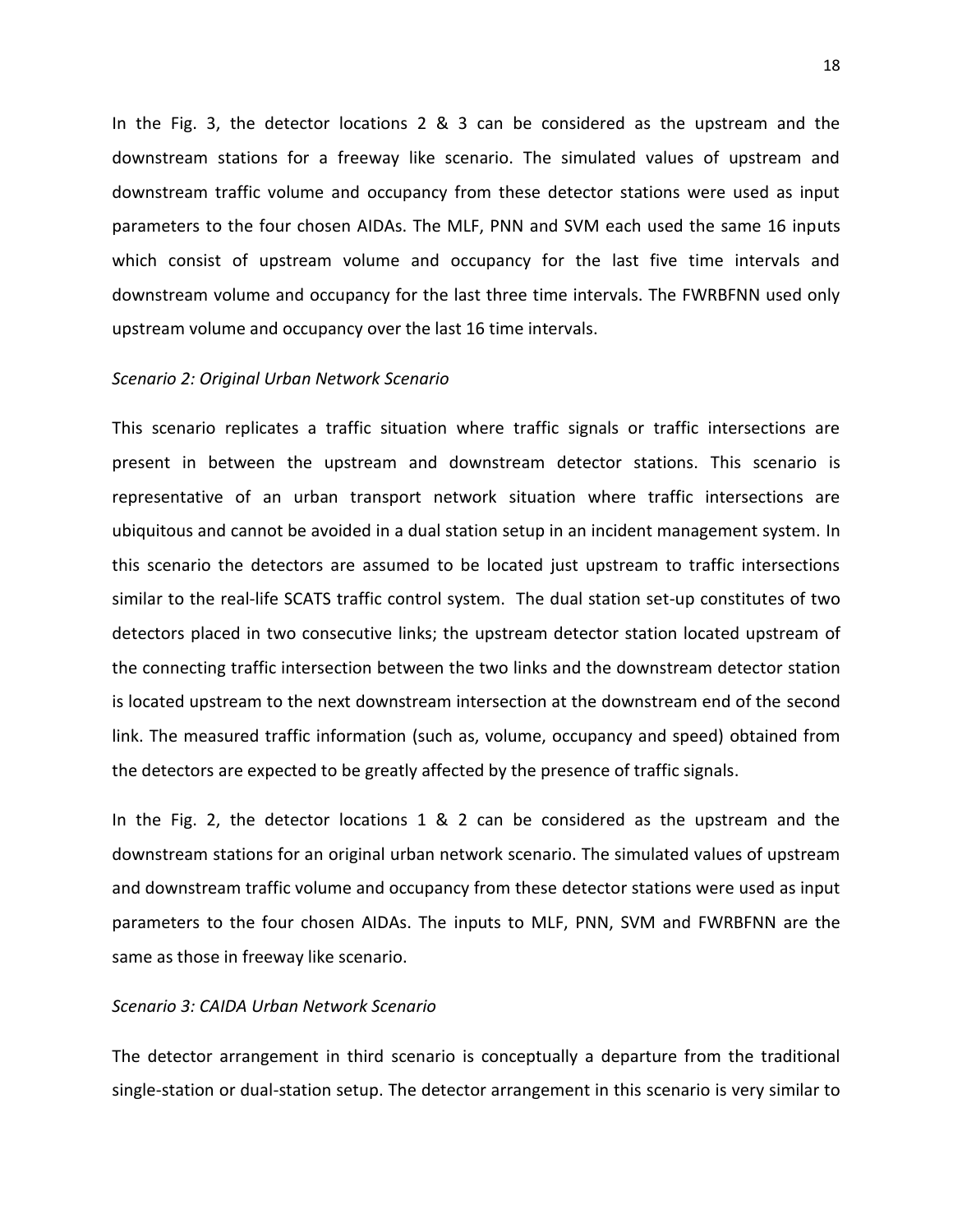In the Fig. 3, the detector locations 2 & 3 can be considered as the upstream and the downstream stations for a freeway like scenario. The simulated values of upstream and downstream traffic volume and occupancy from these detector stations were used as input parameters to the four chosen AIDAs. The MLF, PNN and SVM each used the same 16 inputs which consist of upstream volume and occupancy for the last five time intervals and downstream volume and occupancy for the last three time intervals. The FWRBFNN used only upstream volume and occupancy over the last 16 time intervals.

## *Scenario 2: Original Urban Network Scenario*

This scenario replicates a traffic situation where traffic signals or traffic intersections are present in between the upstream and downstream detector stations. This scenario is representative of an urban transport network situation where traffic intersections are ubiquitous and cannot be avoided in a dual station setup in an incident management system. In this scenario the detectors are assumed to be located just upstream to traffic intersections similar to the real-life SCATS traffic control system. The dual station set-up constitutes of two detectors placed in two consecutive links; the upstream detector station located upstream of the connecting traffic intersection between the two links and the downstream detector station is located upstream to the next downstream intersection at the downstream end of the second link. The measured traffic information (such as, volume, occupancy and speed) obtained from the detectors are expected to be greatly affected by the presence of traffic signals.

In the Fig. 2, the detector locations 1 & 2 can be considered as the upstream and the downstream stations for an original urban network scenario. The simulated values of upstream and downstream traffic volume and occupancy from these detector stations were used as input parameters to the four chosen AIDAs. The inputs to MLF, PNN, SVM and FWRBFNN are the same as those in freeway like scenario.

#### *Scenario 3: CAIDA Urban Network Scenario*

The detector arrangement in third scenario is conceptually a departure from the traditional single-station or dual-station setup. The detector arrangement in this scenario is very similar to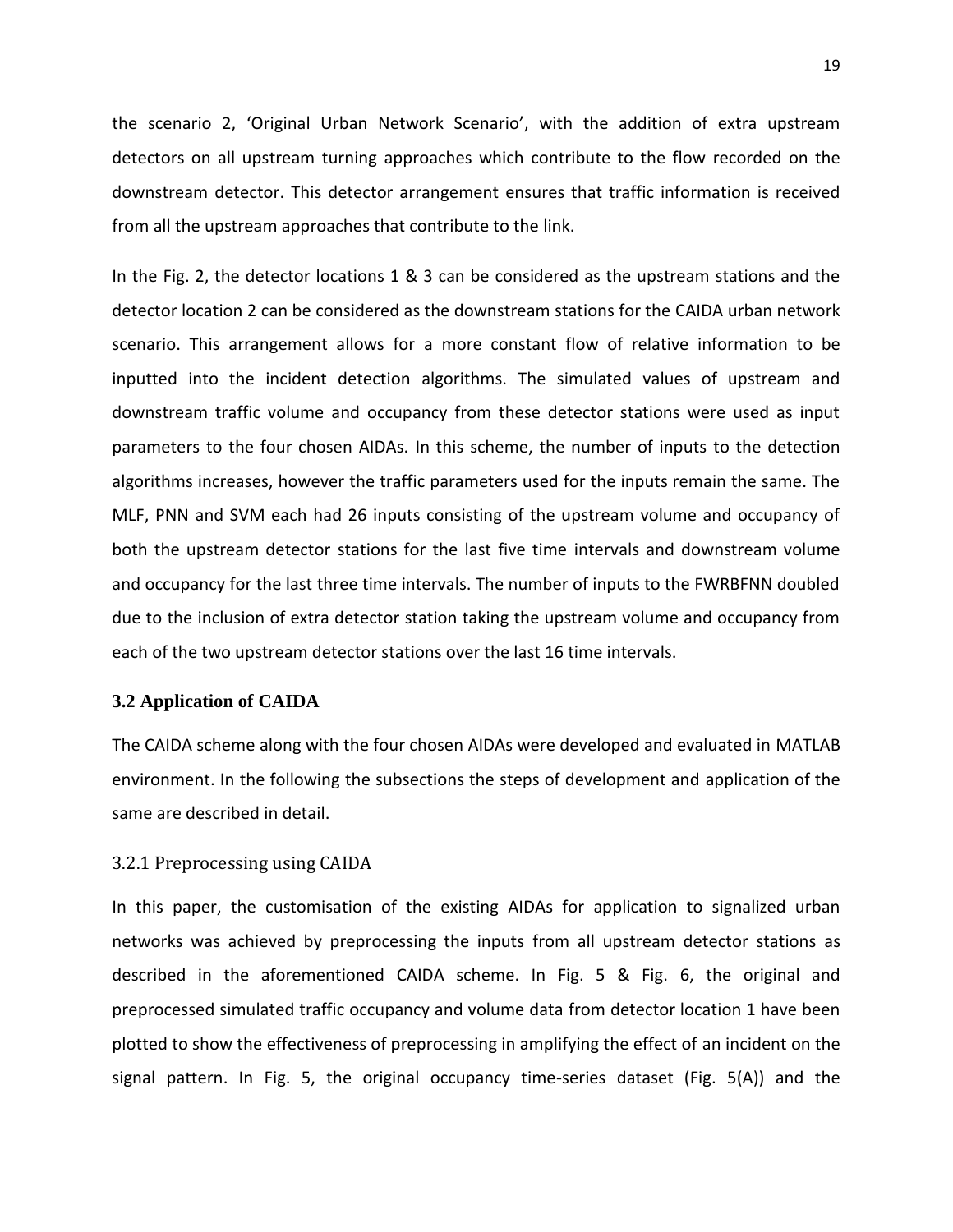the scenario 2, 'Original Urban Network Scenario', with the addition of extra upstream detectors on all upstream turning approaches which contribute to the flow recorded on the downstream detector. This detector arrangement ensures that traffic information is received from all the upstream approaches that contribute to the link.

In the Fig. 2, the detector locations 1 & 3 can be considered as the upstream stations and the detector location 2 can be considered as the downstream stations for the CAIDA urban network scenario. This arrangement allows for a more constant flow of relative information to be inputted into the incident detection algorithms. The simulated values of upstream and downstream traffic volume and occupancy from these detector stations were used as input parameters to the four chosen AIDAs. In this scheme, the number of inputs to the detection algorithms increases, however the traffic parameters used for the inputs remain the same. The MLF, PNN and SVM each had 26 inputs consisting of the upstream volume and occupancy of both the upstream detector stations for the last five time intervals and downstream volume and occupancy for the last three time intervals. The number of inputs to the FWRBFNN doubled due to the inclusion of extra detector station taking the upstream volume and occupancy from each of the two upstream detector stations over the last 16 time intervals.

# **3.2 Application of CAIDA**

The CAIDA scheme along with the four chosen AIDAs were developed and evaluated in MATLAB environment. In the following the subsections the steps of development and application of the same are described in detail.

# 3.2.1 Preprocessing using CAIDA

In this paper, the customisation of the existing AIDAs for application to signalized urban networks was achieved by preprocessing the inputs from all upstream detector stations as described in the aforementioned CAIDA scheme. In Fig. 5 & Fig. 6, the original and preprocessed simulated traffic occupancy and volume data from detector location 1 have been plotted to show the effectiveness of preprocessing in amplifying the effect of an incident on the signal pattern. In Fig. 5, the original occupancy time-series dataset (Fig. 5(A)) and the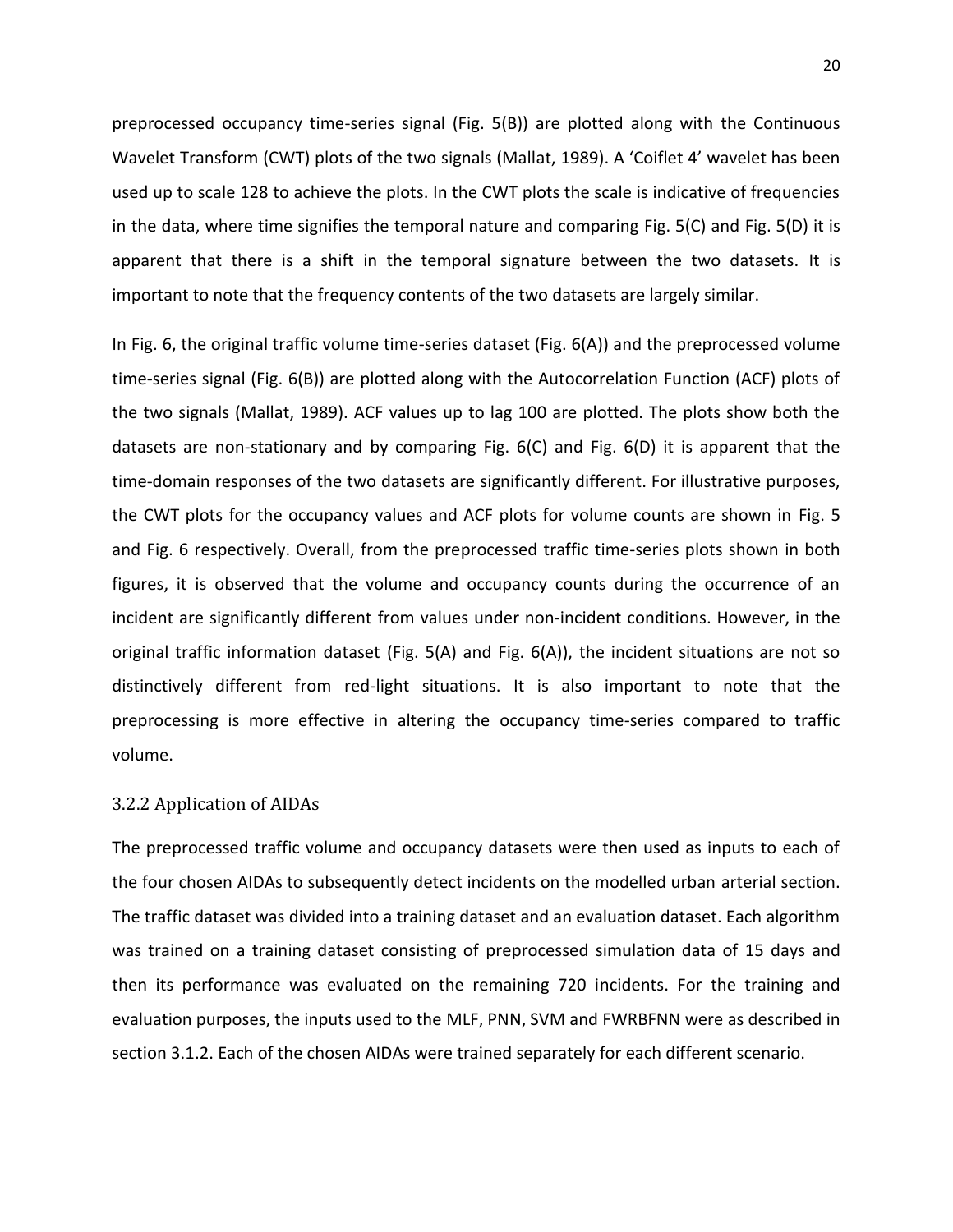preprocessed occupancy time-series signal (Fig. 5(B)) are plotted along with the Continuous Wavelet Transform (CWT) plots of the two signals (Mallat, 1989). A 'Coiflet 4' wavelet has been used up to scale 128 to achieve the plots. In the CWT plots the scale is indicative of frequencies in the data, where time signifies the temporal nature and comparing Fig. 5(C) and Fig. 5(D) it is apparent that there is a shift in the temporal signature between the two datasets. It is important to note that the frequency contents of the two datasets are largely similar.

In Fig. 6, the original traffic volume time-series dataset (Fig. 6(A)) and the preprocessed volume time-series signal (Fig. 6(B)) are plotted along with the Autocorrelation Function (ACF) plots of the two signals (Mallat, 1989). ACF values up to lag 100 are plotted. The plots show both the datasets are non-stationary and by comparing Fig. 6(C) and Fig. 6(D) it is apparent that the time-domain responses of the two datasets are significantly different. For illustrative purposes, the CWT plots for the occupancy values and ACF plots for volume counts are shown in Fig. 5 and Fig. 6 respectively. Overall, from the preprocessed traffic time-series plots shown in both figures, it is observed that the volume and occupancy counts during the occurrence of an incident are significantly different from values under non-incident conditions. However, in the original traffic information dataset (Fig. 5(A) and Fig. 6(A)), the incident situations are not so distinctively different from red-light situations. It is also important to note that the preprocessing is more effective in altering the occupancy time-series compared to traffic volume.

## 3.2.2 Application of AIDAs

The preprocessed traffic volume and occupancy datasets were then used as inputs to each of the four chosen AIDAs to subsequently detect incidents on the modelled urban arterial section. The traffic dataset was divided into a training dataset and an evaluation dataset. Each algorithm was trained on a training dataset consisting of preprocessed simulation data of 15 days and then its performance was evaluated on the remaining 720 incidents. For the training and evaluation purposes, the inputs used to the MLF, PNN, SVM and FWRBFNN were as described in section 3.1.2. Each of the chosen AIDAs were trained separately for each different scenario.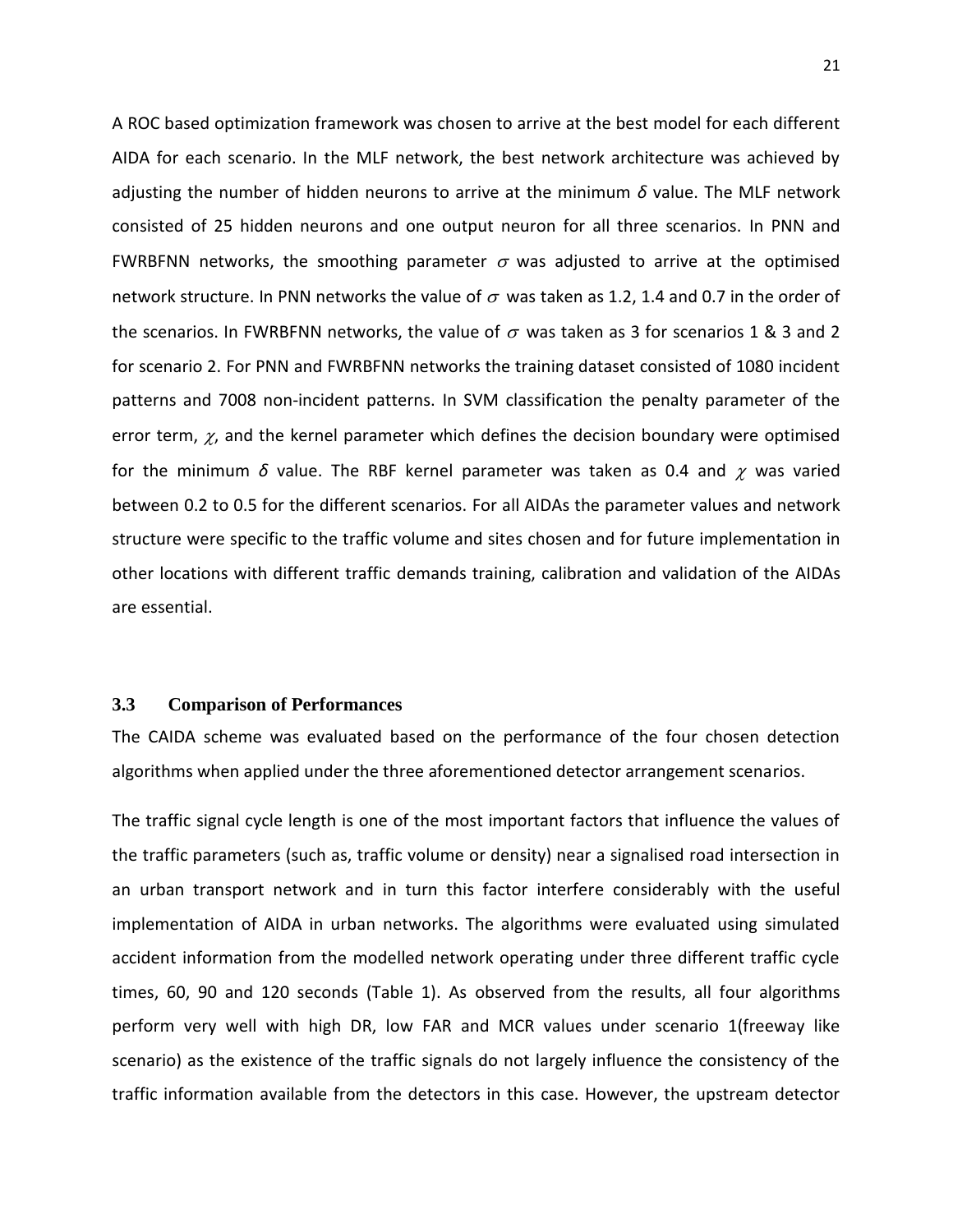A ROC based optimization framework was chosen to arrive at the best model for each different AIDA for each scenario. In the MLF network, the best network architecture was achieved by adjusting the number of hidden neurons to arrive at the minimum *δ* value. The MLF network consisted of 25 hidden neurons and one output neuron for all three scenarios. In PNN and FWRBFNN networks, the smoothing parameter  $\sigma$  was adjusted to arrive at the optimised network structure. In PNN networks the value of  $\sigma$  was taken as 1.2, 1.4 and 0.7 in the order of the scenarios. In FWRBFNN networks, the value of  $\sigma$  was taken as 3 for scenarios 1 & 3 and 2 for scenario 2. For PNN and FWRBFNN networks the training dataset consisted of 1080 incident patterns and 7008 non-incident patterns. In SVM classification the penalty parameter of the error term,  $\chi$ , and the kernel parameter which defines the decision boundary were optimised for the minimum  $\delta$  value. The RBF kernel parameter was taken as 0.4 and  $\chi$  was varied between 0.2 to 0.5 for the different scenarios. For all AIDAs the parameter values and network structure were specific to the traffic volume and sites chosen and for future implementation in other locations with different traffic demands training, calibration and validation of the AIDAs are essential.

# **3.3 Comparison of Performances**

The CAIDA scheme was evaluated based on the performance of the four chosen detection algorithms when applied under the three aforementioned detector arrangement scenarios.

The traffic signal cycle length is one of the most important factors that influence the values of the traffic parameters (such as, traffic volume or density) near a signalised road intersection in an urban transport network and in turn this factor interfere considerably with the useful implementation of AIDA in urban networks. The algorithms were evaluated using simulated accident information from the modelled network operating under three different traffic cycle times, 60, 90 and 120 seconds (Table 1). As observed from the results, all four algorithms perform very well with high DR, low FAR and MCR values under scenario 1(freeway like scenario) as the existence of the traffic signals do not largely influence the consistency of the traffic information available from the detectors in this case. However, the upstream detector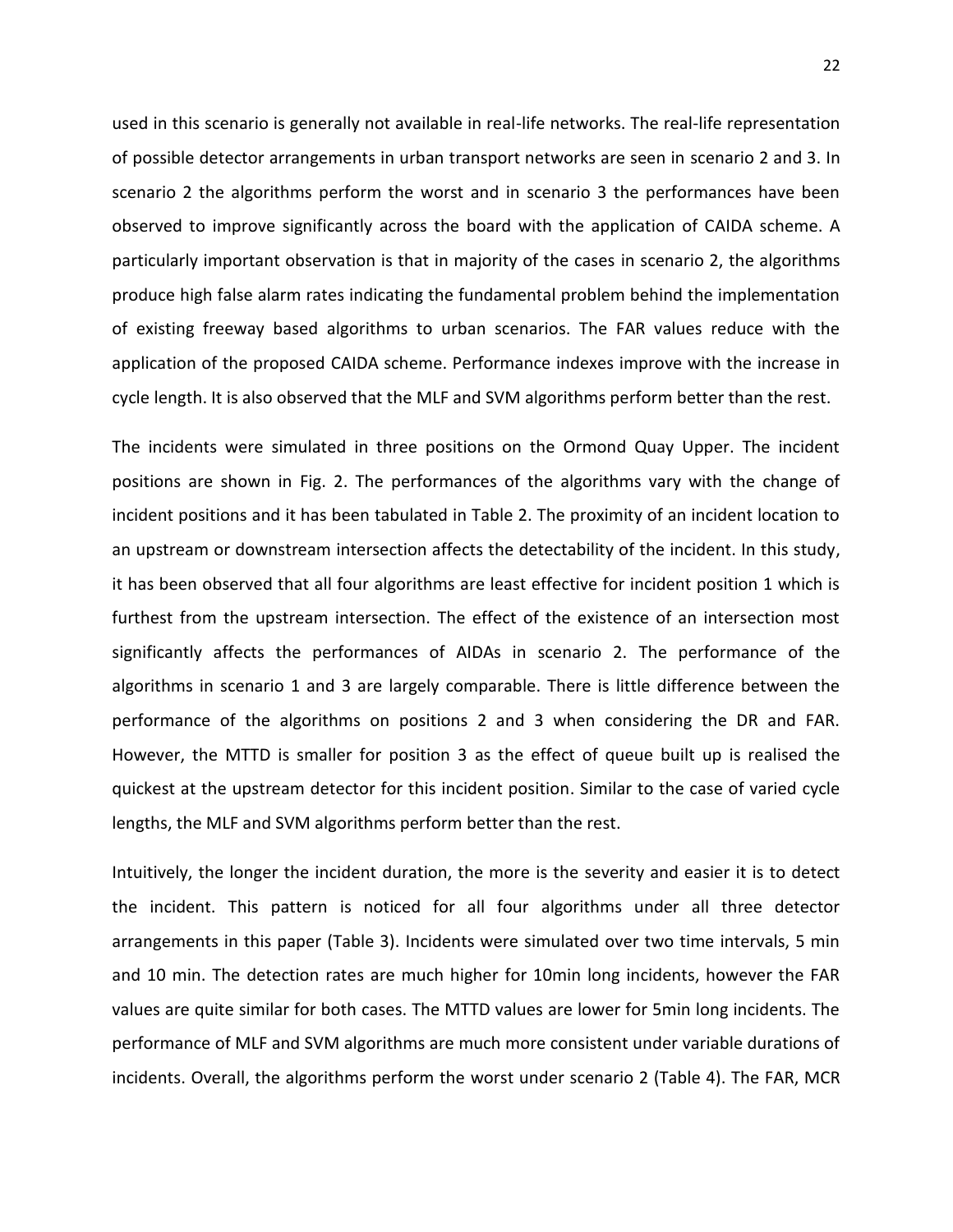used in this scenario is generally not available in real-life networks. The real-life representation of possible detector arrangements in urban transport networks are seen in scenario 2 and 3. In scenario 2 the algorithms perform the worst and in scenario 3 the performances have been observed to improve significantly across the board with the application of CAIDA scheme. A particularly important observation is that in majority of the cases in scenario 2, the algorithms produce high false alarm rates indicating the fundamental problem behind the implementation of existing freeway based algorithms to urban scenarios. The FAR values reduce with the application of the proposed CAIDA scheme. Performance indexes improve with the increase in cycle length. It is also observed that the MLF and SVM algorithms perform better than the rest.

The incidents were simulated in three positions on the Ormond Quay Upper. The incident positions are shown in Fig. 2. The performances of the algorithms vary with the change of incident positions and it has been tabulated in Table 2. The proximity of an incident location to an upstream or downstream intersection affects the detectability of the incident. In this study, it has been observed that all four algorithms are least effective for incident position 1 which is furthest from the upstream intersection. The effect of the existence of an intersection most significantly affects the performances of AIDAs in scenario 2. The performance of the algorithms in scenario 1 and 3 are largely comparable. There is little difference between the performance of the algorithms on positions 2 and 3 when considering the DR and FAR. However, the MTTD is smaller for position 3 as the effect of queue built up is realised the quickest at the upstream detector for this incident position. Similar to the case of varied cycle lengths, the MLF and SVM algorithms perform better than the rest.

Intuitively, the longer the incident duration, the more is the severity and easier it is to detect the incident. This pattern is noticed for all four algorithms under all three detector arrangements in this paper (Table 3). Incidents were simulated over two time intervals, 5 min and 10 min. The detection rates are much higher for 10min long incidents, however the FAR values are quite similar for both cases. The MTTD values are lower for 5min long incidents. The performance of MLF and SVM algorithms are much more consistent under variable durations of incidents. Overall, the algorithms perform the worst under scenario 2 (Table 4). The FAR, MCR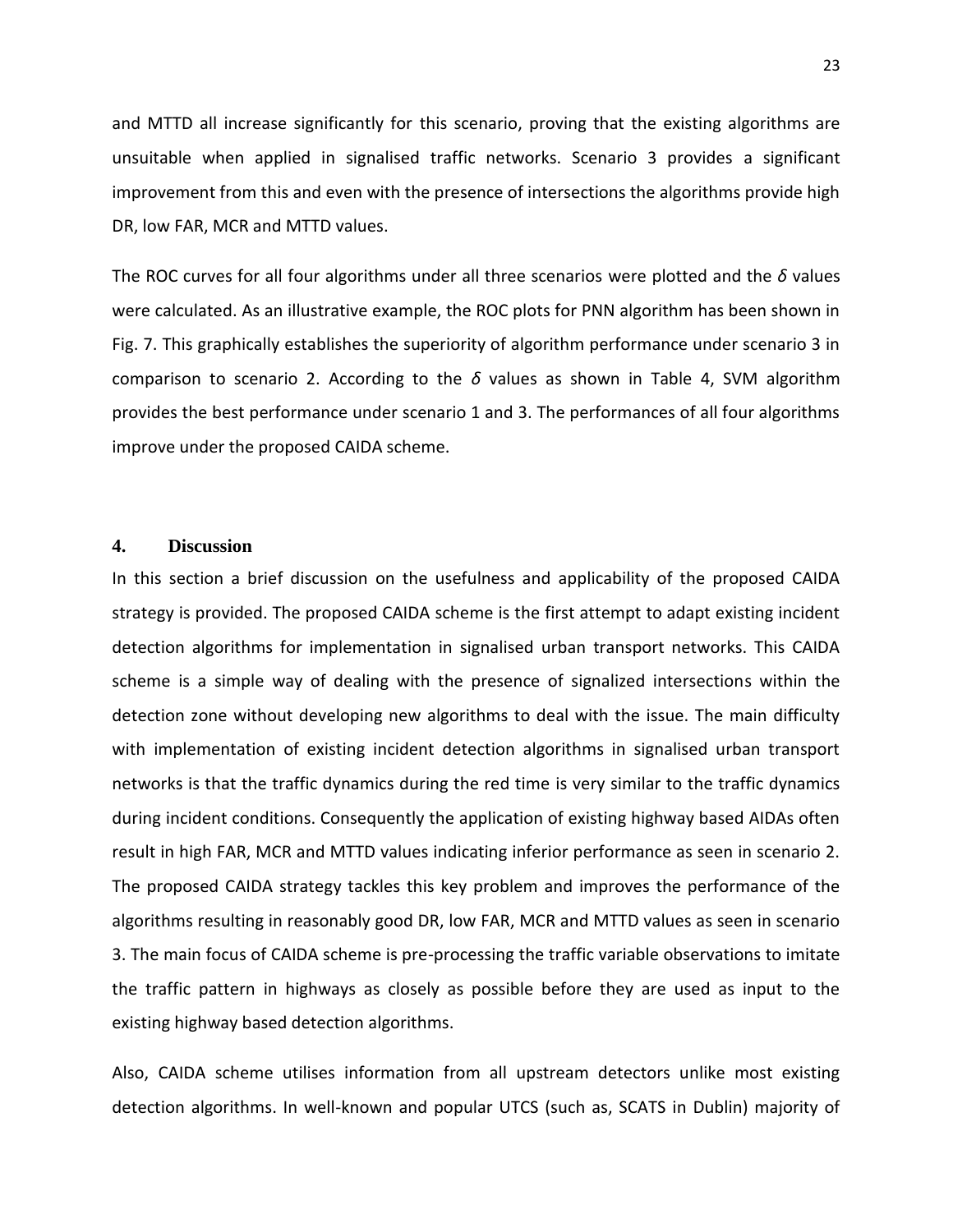and MTTD all increase significantly for this scenario, proving that the existing algorithms are unsuitable when applied in signalised traffic networks. Scenario 3 provides a significant improvement from this and even with the presence of intersections the algorithms provide high DR, low FAR, MCR and MTTD values.

The ROC curves for all four algorithms under all three scenarios were plotted and the *δ* values were calculated. As an illustrative example, the ROC plots for PNN algorithm has been shown in Fig. 7. This graphically establishes the superiority of algorithm performance under scenario 3 in comparison to scenario 2. According to the *δ* values as shown in Table 4, SVM algorithm provides the best performance under scenario 1 and 3. The performances of all four algorithms improve under the proposed CAIDA scheme.

# **4. Discussion**

In this section a brief discussion on the usefulness and applicability of the proposed CAIDA strategy is provided. The proposed CAIDA scheme is the first attempt to adapt existing incident detection algorithms for implementation in signalised urban transport networks. This CAIDA scheme is a simple way of dealing with the presence of signalized intersections within the detection zone without developing new algorithms to deal with the issue. The main difficulty with implementation of existing incident detection algorithms in signalised urban transport networks is that the traffic dynamics during the red time is very similar to the traffic dynamics during incident conditions. Consequently the application of existing highway based AIDAs often result in high FAR, MCR and MTTD values indicating inferior performance as seen in scenario 2. The proposed CAIDA strategy tackles this key problem and improves the performance of the algorithms resulting in reasonably good DR, low FAR, MCR and MTTD values as seen in scenario 3. The main focus of CAIDA scheme is pre-processing the traffic variable observations to imitate the traffic pattern in highways as closely as possible before they are used as input to the existing highway based detection algorithms.

Also, CAIDA scheme utilises information from all upstream detectors unlike most existing detection algorithms. In well-known and popular UTCS (such as, SCATS in Dublin) majority of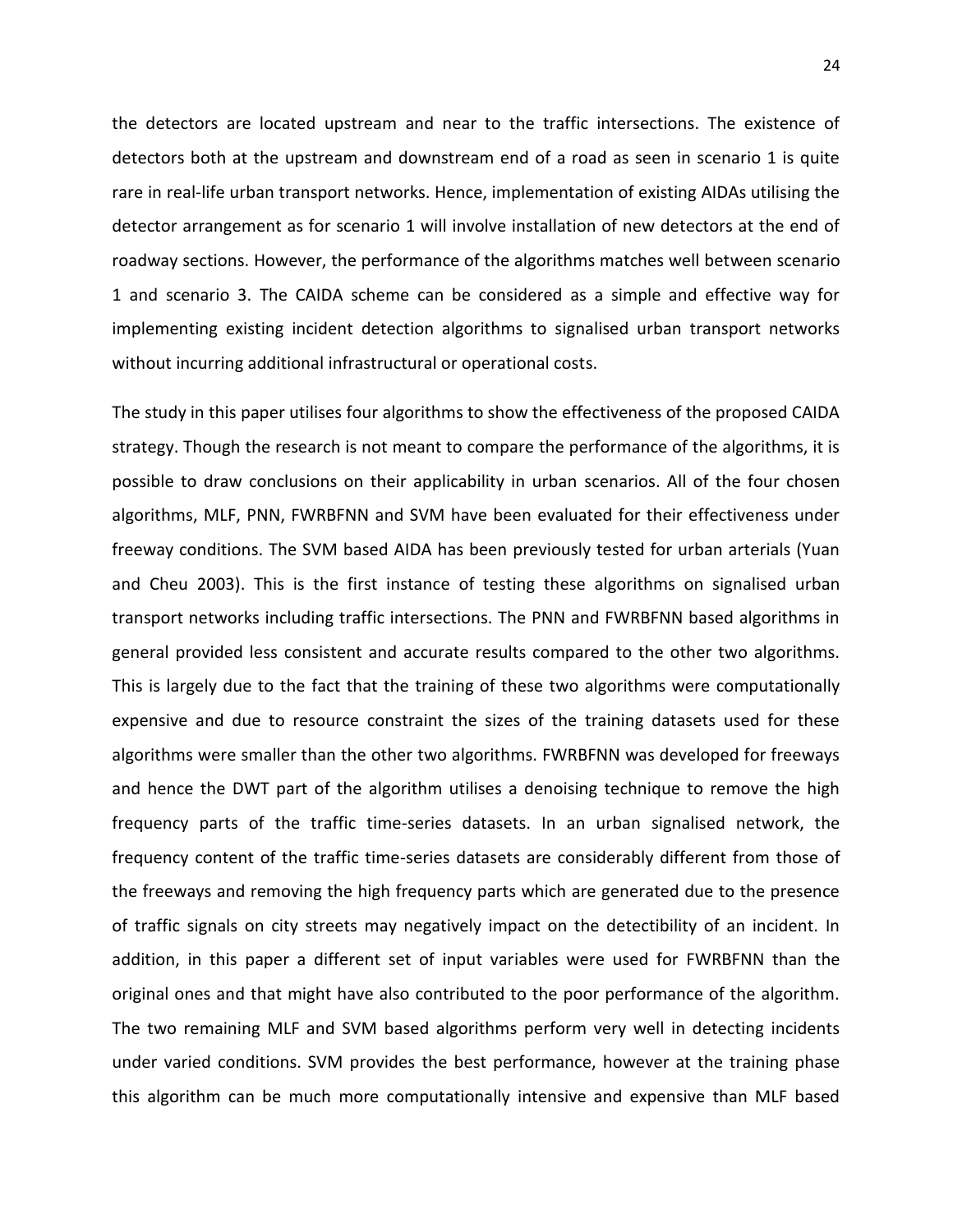the detectors are located upstream and near to the traffic intersections. The existence of detectors both at the upstream and downstream end of a road as seen in scenario 1 is quite rare in real-life urban transport networks. Hence, implementation of existing AIDAs utilising the detector arrangement as for scenario 1 will involve installation of new detectors at the end of roadway sections. However, the performance of the algorithms matches well between scenario 1 and scenario 3. The CAIDA scheme can be considered as a simple and effective way for implementing existing incident detection algorithms to signalised urban transport networks without incurring additional infrastructural or operational costs.

The study in this paper utilises four algorithms to show the effectiveness of the proposed CAIDA strategy. Though the research is not meant to compare the performance of the algorithms, it is possible to draw conclusions on their applicability in urban scenarios. All of the four chosen algorithms, MLF, PNN, FWRBFNN and SVM have been evaluated for their effectiveness under freeway conditions. The SVM based AIDA has been previously tested for urban arterials (Yuan and Cheu 2003). This is the first instance of testing these algorithms on signalised urban transport networks including traffic intersections. The PNN and FWRBFNN based algorithms in general provided less consistent and accurate results compared to the other two algorithms. This is largely due to the fact that the training of these two algorithms were computationally expensive and due to resource constraint the sizes of the training datasets used for these algorithms were smaller than the other two algorithms. FWRBFNN was developed for freeways and hence the DWT part of the algorithm utilises a denoising technique to remove the high frequency parts of the traffic time-series datasets. In an urban signalised network, the frequency content of the traffic time-series datasets are considerably different from those of the freeways and removing the high frequency parts which are generated due to the presence of traffic signals on city streets may negatively impact on the detectibility of an incident. In addition, in this paper a different set of input variables were used for FWRBFNN than the original ones and that might have also contributed to the poor performance of the algorithm. The two remaining MLF and SVM based algorithms perform very well in detecting incidents under varied conditions. SVM provides the best performance, however at the training phase this algorithm can be much more computationally intensive and expensive than MLF based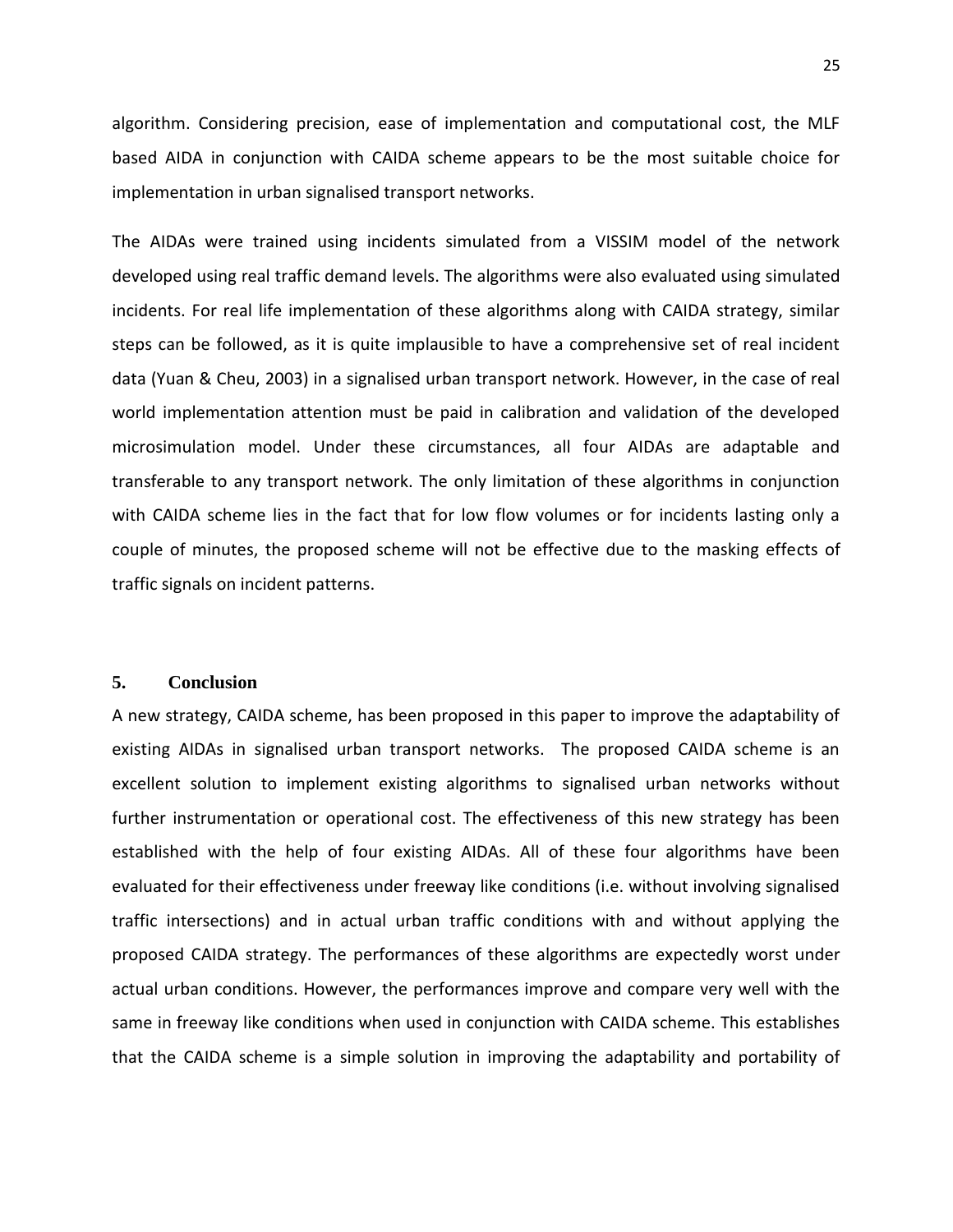algorithm. Considering precision, ease of implementation and computational cost, the MLF based AIDA in conjunction with CAIDA scheme appears to be the most suitable choice for implementation in urban signalised transport networks.

The AIDAs were trained using incidents simulated from a VISSIM model of the network developed using real traffic demand levels. The algorithms were also evaluated using simulated incidents. For real life implementation of these algorithms along with CAIDA strategy, similar steps can be followed, as it is quite implausible to have a comprehensive set of real incident data (Yuan & Cheu, 2003) in a signalised urban transport network. However, in the case of real world implementation attention must be paid in calibration and validation of the developed microsimulation model. Under these circumstances, all four AIDAs are adaptable and transferable to any transport network. The only limitation of these algorithms in conjunction with CAIDA scheme lies in the fact that for low flow volumes or for incidents lasting only a couple of minutes, the proposed scheme will not be effective due to the masking effects of traffic signals on incident patterns.

#### **5. Conclusion**

A new strategy, CAIDA scheme, has been proposed in this paper to improve the adaptability of existing AIDAs in signalised urban transport networks. The proposed CAIDA scheme is an excellent solution to implement existing algorithms to signalised urban networks without further instrumentation or operational cost. The effectiveness of this new strategy has been established with the help of four existing AIDAs. All of these four algorithms have been evaluated for their effectiveness under freeway like conditions (i.e. without involving signalised traffic intersections) and in actual urban traffic conditions with and without applying the proposed CAIDA strategy. The performances of these algorithms are expectedly worst under actual urban conditions. However, the performances improve and compare very well with the same in freeway like conditions when used in conjunction with CAIDA scheme. This establishes that the CAIDA scheme is a simple solution in improving the adaptability and portability of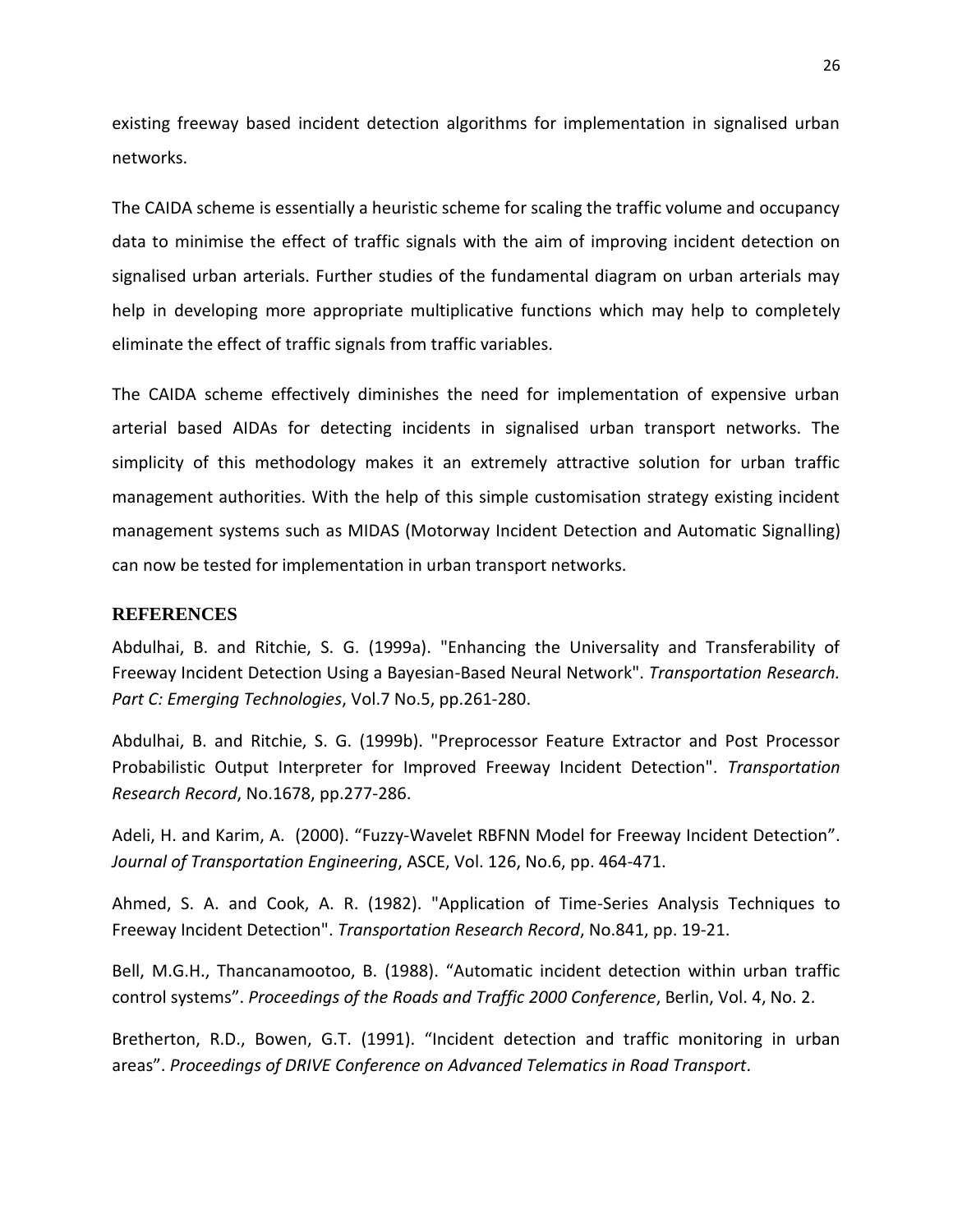existing freeway based incident detection algorithms for implementation in signalised urban networks.

The CAIDA scheme is essentially a heuristic scheme for scaling the traffic volume and occupancy data to minimise the effect of traffic signals with the aim of improving incident detection on signalised urban arterials. Further studies of the fundamental diagram on urban arterials may help in developing more appropriate multiplicative functions which may help to completely eliminate the effect of traffic signals from traffic variables.

The CAIDA scheme effectively diminishes the need for implementation of expensive urban arterial based AIDAs for detecting incidents in signalised urban transport networks. The simplicity of this methodology makes it an extremely attractive solution for urban traffic management authorities. With the help of this simple customisation strategy existing incident management systems such as MIDAS (Motorway Incident Detection and Automatic Signalling) can now be tested for implementation in urban transport networks.

# **REFERENCES**

Abdulhai, B. and Ritchie, S. G. (1999a). "Enhancing the Universality and Transferability of Freeway Incident Detection Using a Bayesian-Based Neural Network". *Transportation Research. Part C: Emerging Technologies*, Vol.7 No.5, pp.261-280.

Abdulhai, B. and Ritchie, S. G. (1999b). "Preprocessor Feature Extractor and Post Processor Probabilistic Output Interpreter for Improved Freeway Incident Detection". *Transportation Research Record*, No.1678, pp.277-286.

Adeli, H. and Karim, A. (2000). "Fuzzy-Wavelet RBFNN Model for Freeway Incident Detection". *Journal of Transportation Engineering*, ASCE, Vol. 126, No.6, pp. 464-471.

Ahmed, S. A. and Cook, A. R. (1982). "Application of Time-Series Analysis Techniques to Freeway Incident Detection". *Transportation Research Record*, No.841, pp. 19-21.

Bell, M.G.H., Thancanamootoo, B. (1988). "Automatic incident detection within urban traffic control systems". *Proceedings of the Roads and Traffic 2000 Conference*, Berlin, Vol. 4, No. 2.

Bretherton, R.D., Bowen, G.T. (1991). "Incident detection and traffic monitoring in urban areas". *Proceedings of DRIVE Conference on Advanced Telematics in Road Transport.*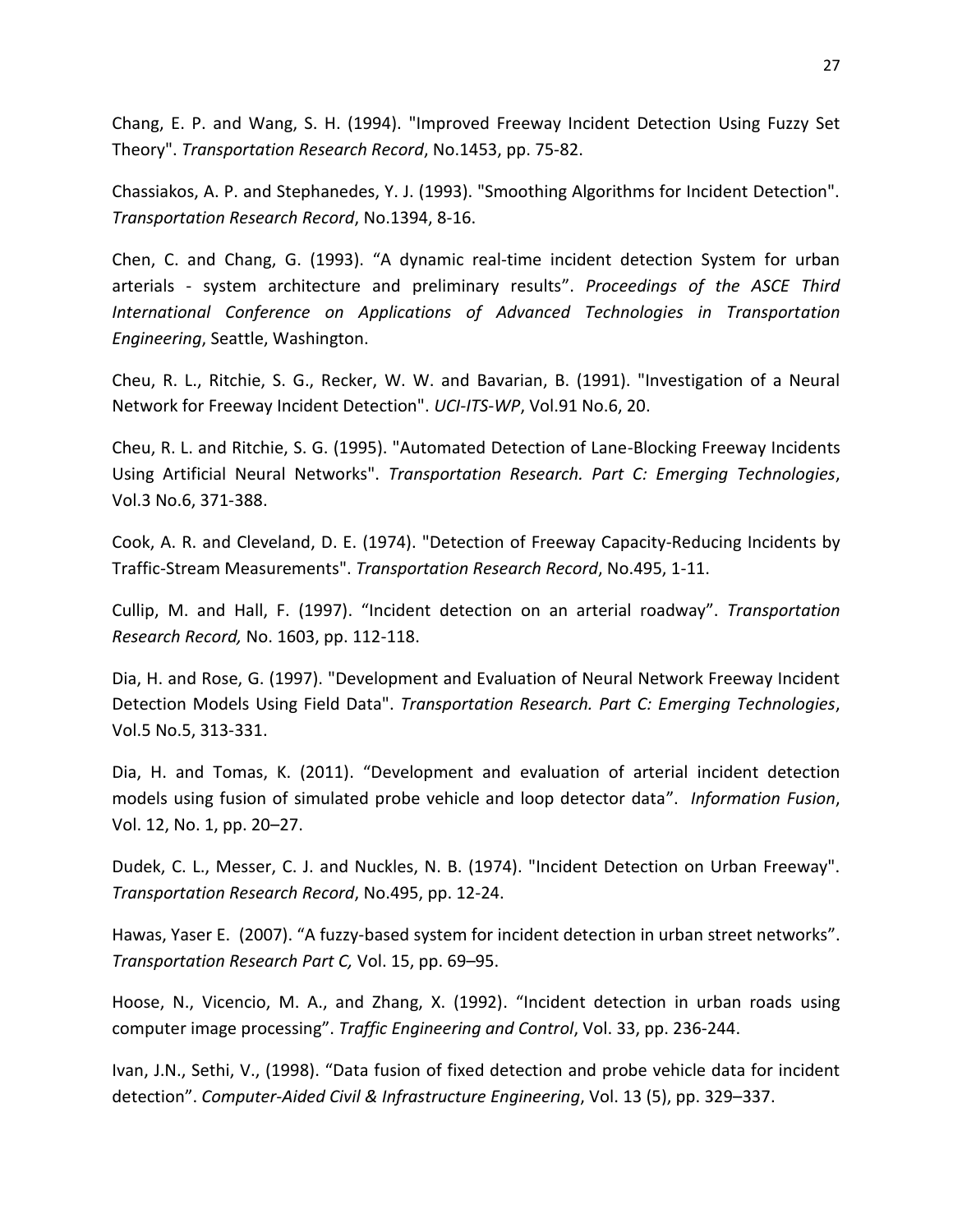Chang, E. P. and Wang, S. H. (1994). "Improved Freeway Incident Detection Using Fuzzy Set Theory". *Transportation Research Record*, No.1453, pp. 75-82.

Chassiakos, A. P. and Stephanedes, Y. J. (1993). "Smoothing Algorithms for Incident Detection". *Transportation Research Record*, No.1394, 8-16.

Chen, C. and Chang, G. (1993). "A dynamic real-time incident detection System for urban arterials - system architecture and preliminary results". *Proceedings of the ASCE Third International Conference on Applications of Advanced Technologies in Transportation Engineering*, Seattle, Washington.

Cheu, R. L., Ritchie, S. G., Recker, W. W. and Bavarian, B. (1991). "Investigation of a Neural Network for Freeway Incident Detection". *UCI-ITS-WP*, Vol.91 No.6, 20.

Cheu, R. L. and Ritchie, S. G. (1995). "Automated Detection of Lane-Blocking Freeway Incidents Using Artificial Neural Networks". *Transportation Research. Part C: Emerging Technologies*, Vol.3 No.6, 371-388.

Cook, A. R. and Cleveland, D. E. (1974). "Detection of Freeway Capacity-Reducing Incidents by Traffic-Stream Measurements". *Transportation Research Record*, No.495, 1-11.

Cullip, M. and Hall, F. (1997). "Incident detection on an arterial roadway". *Transportation Research Record,* No. 1603, pp. 112-118.

Dia, H. and Rose, G. (1997). "Development and Evaluation of Neural Network Freeway Incident Detection Models Using Field Data". *Transportation Research. Part C: Emerging Technologies*, Vol.5 No.5, 313-331.

Dia, H. and Tomas, K. (2011). "Development and evaluation of arterial incident detection models using fusion of simulated probe vehicle and loop detector data". *Information Fusion*, Vol. 12, No. 1, pp. 20–27.

Dudek, C. L., Messer, C. J. and Nuckles, N. B. (1974). "Incident Detection on Urban Freeway". *Transportation Research Record*, No.495, pp. 12-24.

Hawas, Yaser E. (2007). "A fuzzy-based system for incident detection in urban street networks". *Transportation Research Part C,* Vol. 15, pp. 69–95.

Hoose, N., Vicencio, M. A., and Zhang, X. (1992). "Incident detection in urban roads using computer image processing". *Traffic Engineering and Control*, Vol. 33, pp. 236-244.

Ivan, J.N., Sethi, V., (1998). "Data fusion of fixed detection and probe vehicle data for incident detection". *Computer-Aided Civil & Infrastructure Engineering*, Vol. 13 (5), pp. 329–337.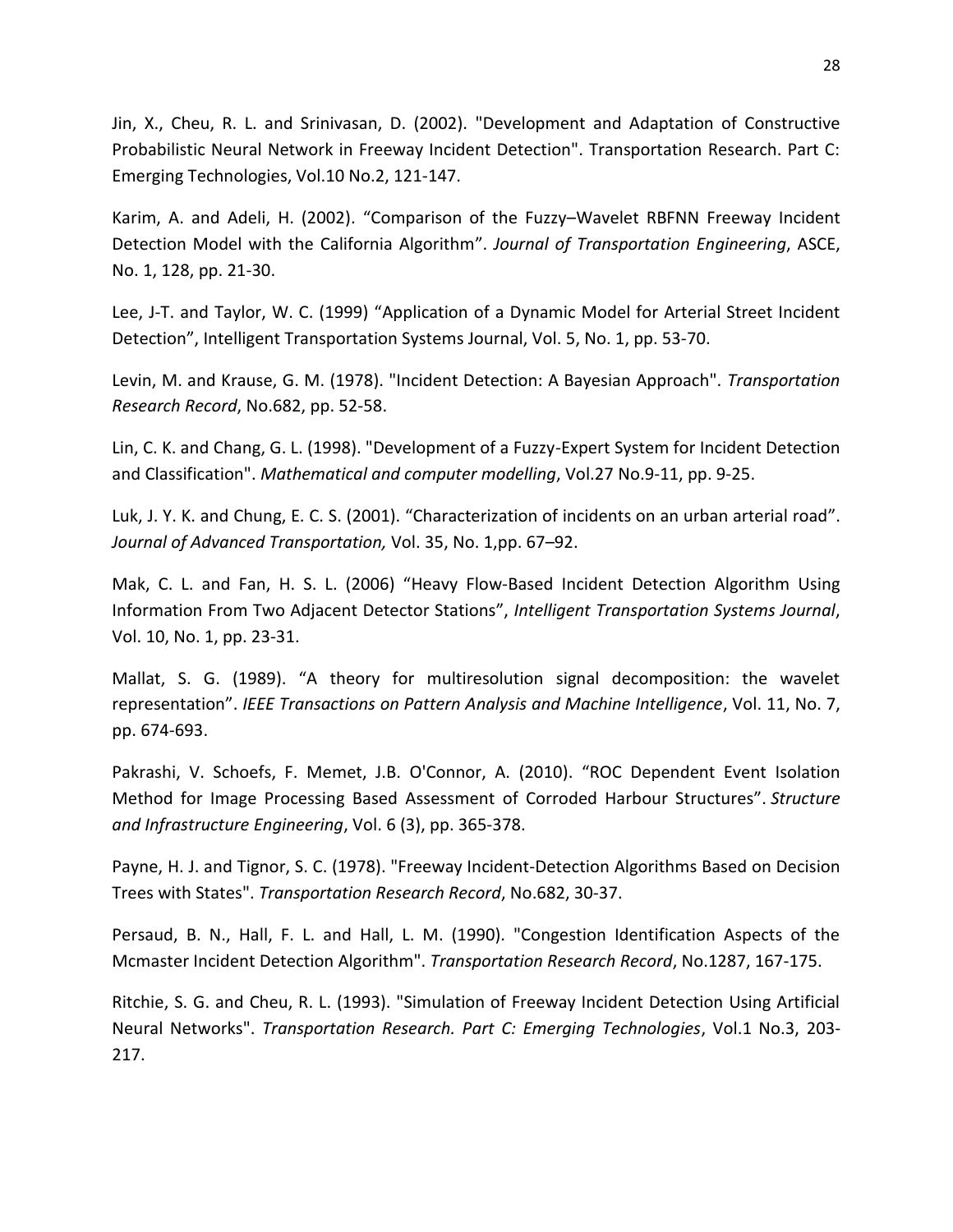Jin, X., Cheu, R. L. and Srinivasan, D. (2002). "Development and Adaptation of Constructive Probabilistic Neural Network in Freeway Incident Detection". Transportation Research. Part C: Emerging Technologies, Vol.10 No.2, 121-147.

Karim, A. and Adeli, H. (2002). "Comparison of the Fuzzy–Wavelet RBFNN Freeway Incident Detection Model with the California Algorithm". *Journal of Transportation Engineering*, ASCE, No. 1, 128, pp. 21-30.

Lee, J-T. and Taylor, W. C. (1999) "Application [of a Dynamic Model for Arterial Street Incident](http://www.tandfonline.com/doi/abs/10.1080/10248079908903757)  [Detection](http://www.tandfonline.com/doi/abs/10.1080/10248079908903757)", Intelligent Transportation Systems Journal, Vol. 5, No. 1, pp. 53-70.

Levin, M. and Krause, G. M. (1978). "Incident Detection: A Bayesian Approach". *Transportation Research Record*, No.682, pp. 52-58.

Lin, C. K. and Chang, G. L. (1998). "Development of a Fuzzy-Expert System for Incident Detection and Classification". *Mathematical and computer modelling*, Vol.27 No.9-11, pp. 9-25.

Luk, J. Y. K. and Chung, E. C. S. (2001). "Characterization of incidents on an urban arterial road". *Journal of Advanced Transportation,* Vol. 35, No. 1,pp. 67–92.

Mak, C. L. and Fan, H. S. L. (2006) "Heavy Flow-Based Incident Detection Algorithm Using Information From Two Adjacent Detector Stations", *Intelligent Transportation Systems Journal*, Vol. 10, No. 1, pp. 23-31.

Mallat, S. G. (1989). "A theory for multiresolution signal decomposition: the wavelet representation". *IEEE Transactions on Pattern Analysis and Machine Intelligence*, Vol. 11, No. 7, pp. 674-693.

Pakrashi, V. Schoefs, F. Memet, J.B. O'Connor, A. (2010). "ROC Dependent Event Isolation Method for Image Processing Based Assessment of Corroded Harbour Structures". *Structure and Infrastructure Engineering*, Vol. 6 (3), pp. 365-378.

Payne, H. J. and Tignor, S. C. (1978). "Freeway Incident-Detection Algorithms Based on Decision Trees with States". *Transportation Research Record*, No.682, 30-37.

Persaud, B. N., Hall, F. L. and Hall, L. M. (1990). "Congestion Identification Aspects of the Mcmaster Incident Detection Algorithm". *Transportation Research Record*, No.1287, 167-175.

Ritchie, S. G. and Cheu, R. L. (1993). "Simulation of Freeway Incident Detection Using Artificial Neural Networks". *Transportation Research. Part C: Emerging Technologies*, Vol.1 No.3, 203- 217.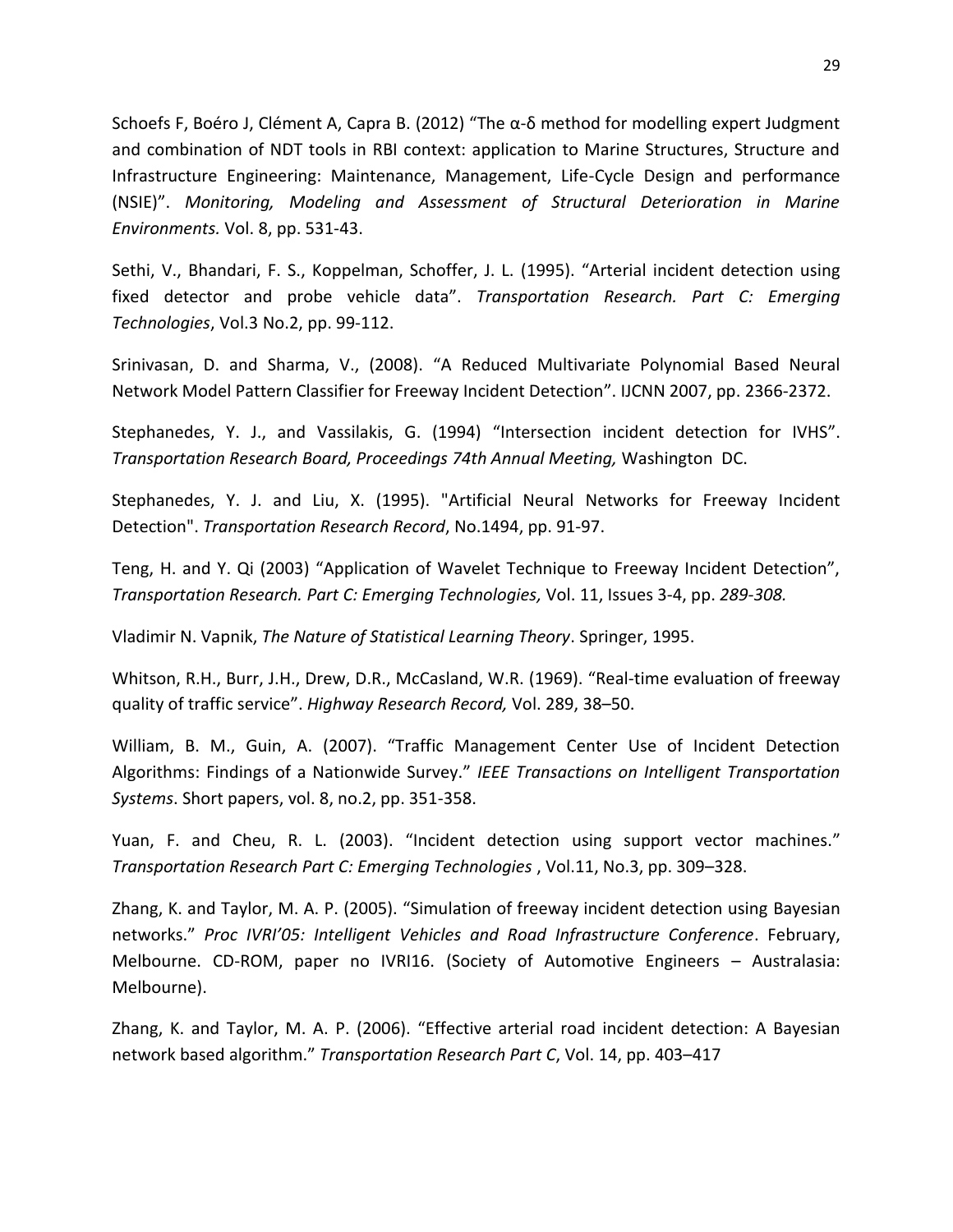Schoefs F, Boéro J, Clément A, Capra B. (2012) "The α-δ method for modelling expert Judgment and combination of NDT tools in RBI context: application to Marine Structures, Structure and Infrastructure Engineering: Maintenance, Management, Life-Cycle Design and performance (NSIE)". *Monitoring, Modeling and Assessment of Structural Deterioration in Marine Environments.* Vol. 8, pp. 531-43.

Sethi, V., Bhandari, F. S., Koppelman, Schoffer, J. L. (1995). "Arterial incident detection using fixed detector and probe vehicle data". *Transportation Research. Part C: Emerging Technologies*, Vol.3 No.2, pp. 99-112.

Srinivasan, D. and Sharma, V., (2008). "A Reduced Multivariate Polynomial Based Neural Network Model Pattern Classifier for Freeway Incident Detection". IJCNN 2007, pp. 2366-2372.

Stephanedes, Y. J., and Vassilakis, G. (1994) "Intersection incident detection for IVHS". *Transportation Research Board, Proceedings 74th Annual Meeting,* Washington DC.

Stephanedes, Y. J. and Liu, X. (1995). "Artificial Neural Networks for Freeway Incident Detection". *Transportation Research Record*, No.1494, pp. 91-97.

Teng, H. and Y. Qi (2003) "Application of Wavelet Technique to Freeway Incident Detection", *Transportation Research. Part C: Emerging Technologies,* Vol. 11, Issues 3-4, pp. *289-308.*

Vladimir N. Vapnik, *The Nature of Statistical Learning Theory*. Springer, 1995.

Whitson, R.H., Burr, J.H., Drew, D.R., McCasland, W.R. (1969). "Real-time evaluation of freeway quality of traffic service". *Highway Research Record,* Vol. 289, 38–50.

William, B. M., Guin, A. (2007). "Traffic Management Center Use of Incident Detection Algorithms: Findings of a Nationwide Survey." *IEEE Transactions on Intelligent Transportation Systems*. Short papers, vol. 8, no.2, pp. 351-358.

Yuan, F. and Cheu, R. L. (2003). "Incident detection using support vector machines." *Transportation Research Part C: Emerging Technologies* , Vol.11, No.3, pp. 309–328.

Zhang, K. and Taylor, M. A. P. (2005). "Simulation of freeway incident detection using Bayesian networks." *Proc IVRI'05: Intelligent Vehicles and Road Infrastructure Conference*. February, Melbourne. CD-ROM, paper no IVRI16. (Society of Automotive Engineers – Australasia: Melbourne).

Zhang, K. and Taylor, M. A. P. (2006). "Effective arterial road incident detection: A Bayesian network based algorithm." *Transportation Research Part C*, Vol. 14, pp. 403–417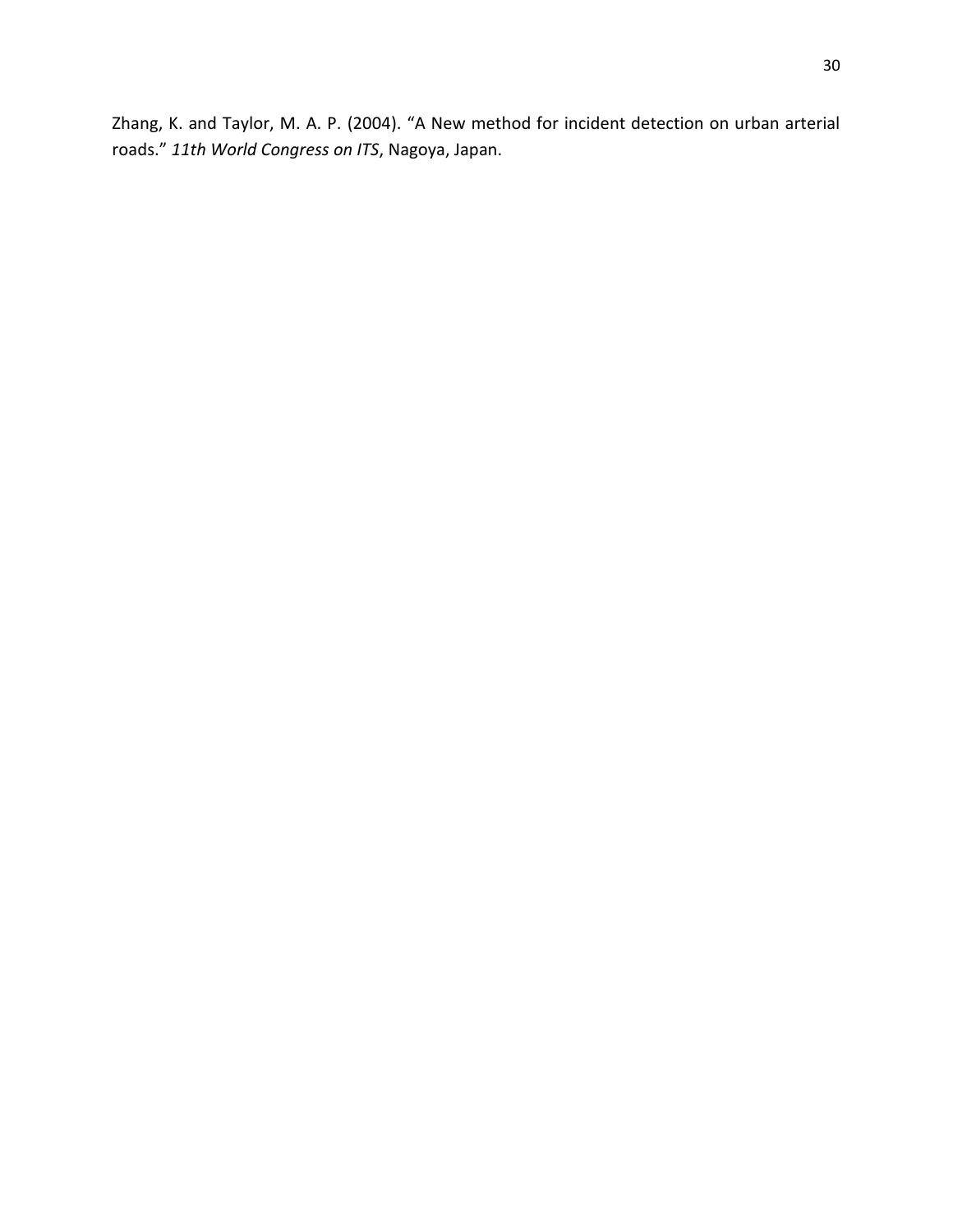Zhang, K. and Taylor, M. A. P. (2004). "A New method for incident detection on urban arterial roads." *11th World Congress on ITS*, Nagoya, Japan.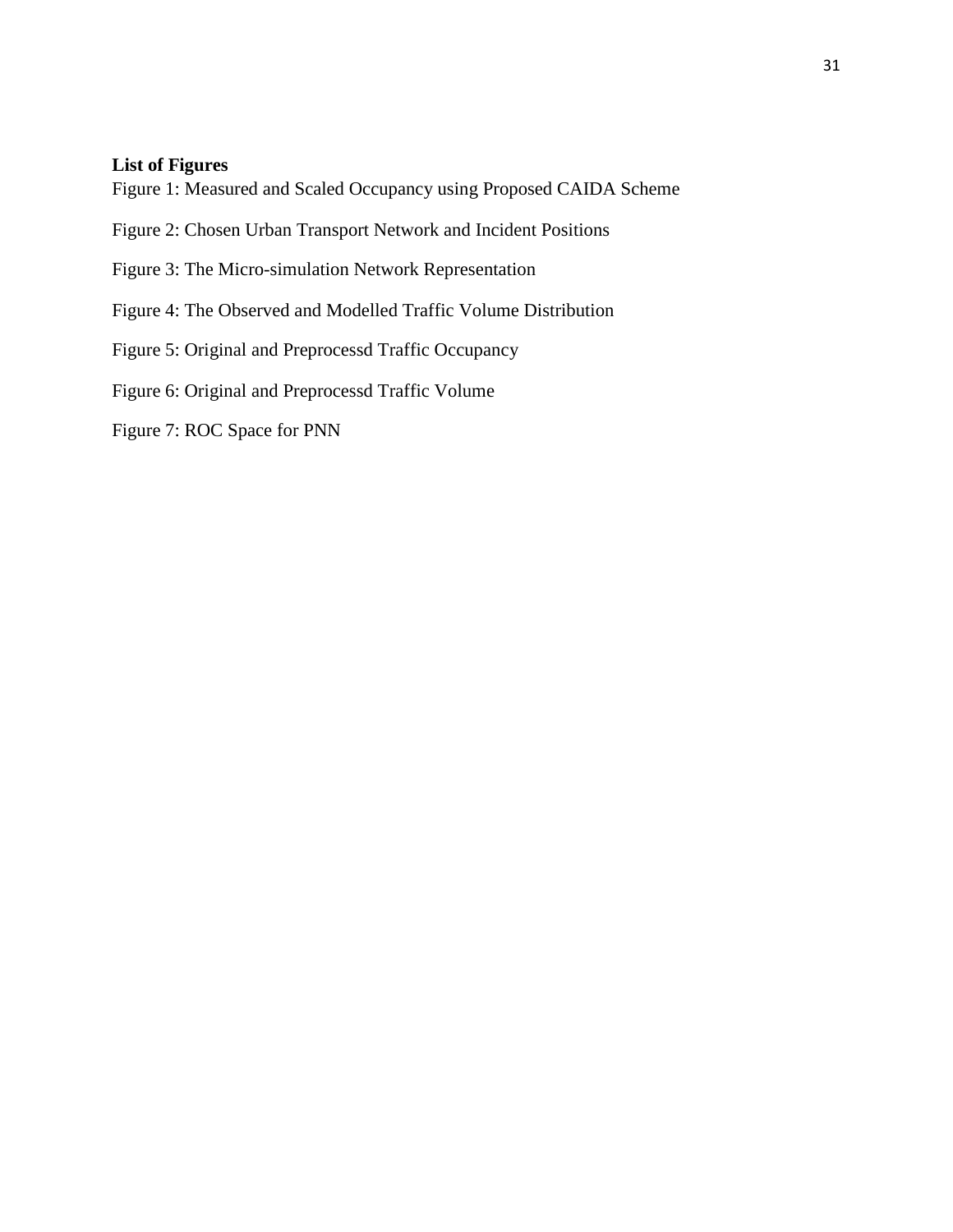# **List of Figures**

Figure 1: Measured and Scaled Occupancy using Proposed CAIDA Scheme

- Figure 2: Chosen Urban Transport Network and Incident Positions
- Figure 3: The Micro-simulation Network Representation
- Figure 4: The Observed and Modelled Traffic Volume Distribution
- Figure 5: Original and Preprocessd Traffic Occupancy

Figure 6: Original and Preprocessd Traffic Volume

Figure 7: ROC Space for PNN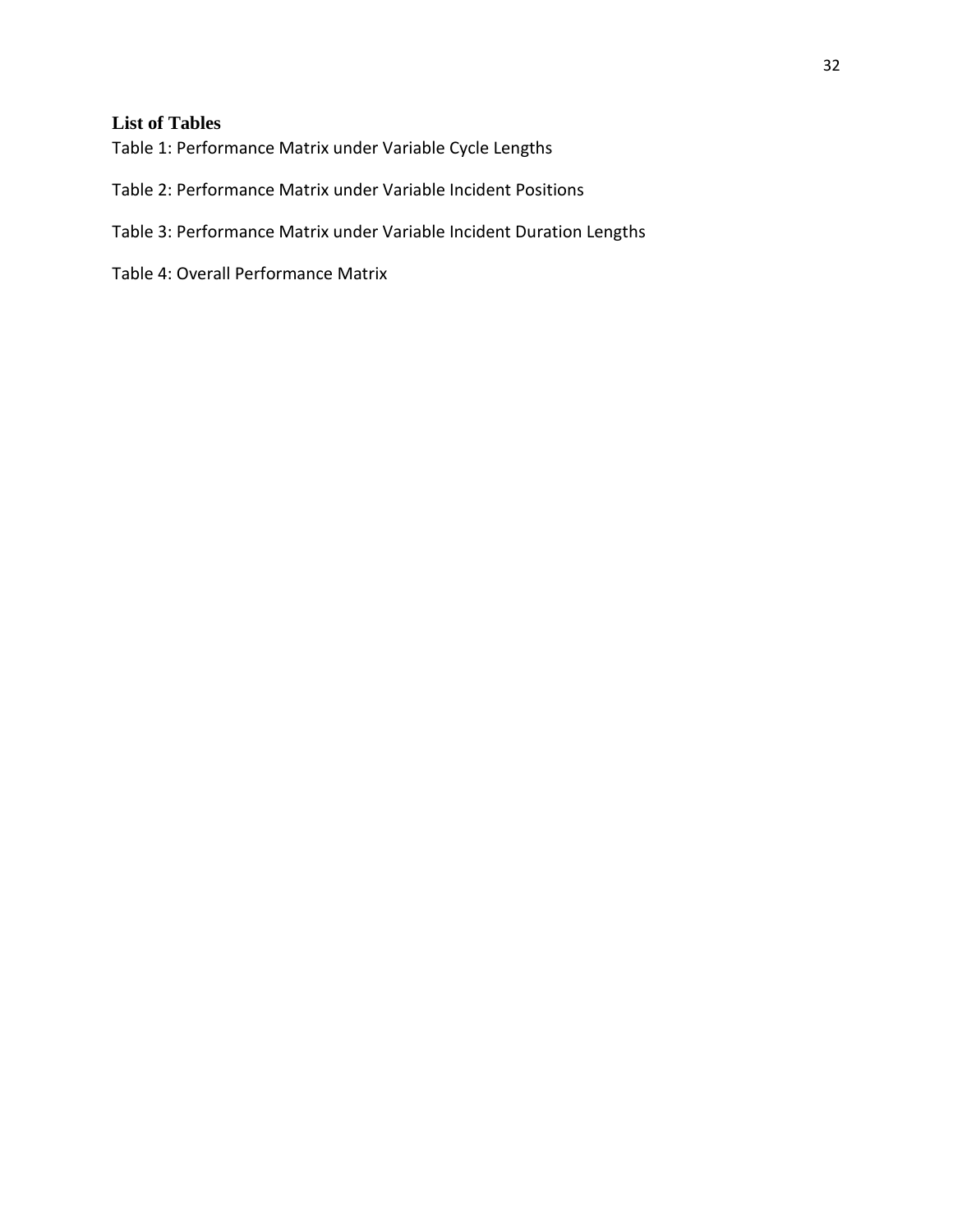# **List of Tables**

Table 1: Performance Matrix under Variable Cycle Lengths

Table 2: Performance Matrix under Variable Incident Positions

Table 3: Performance Matrix under Variable Incident Duration Lengths

Table 4: Overall Performance Matrix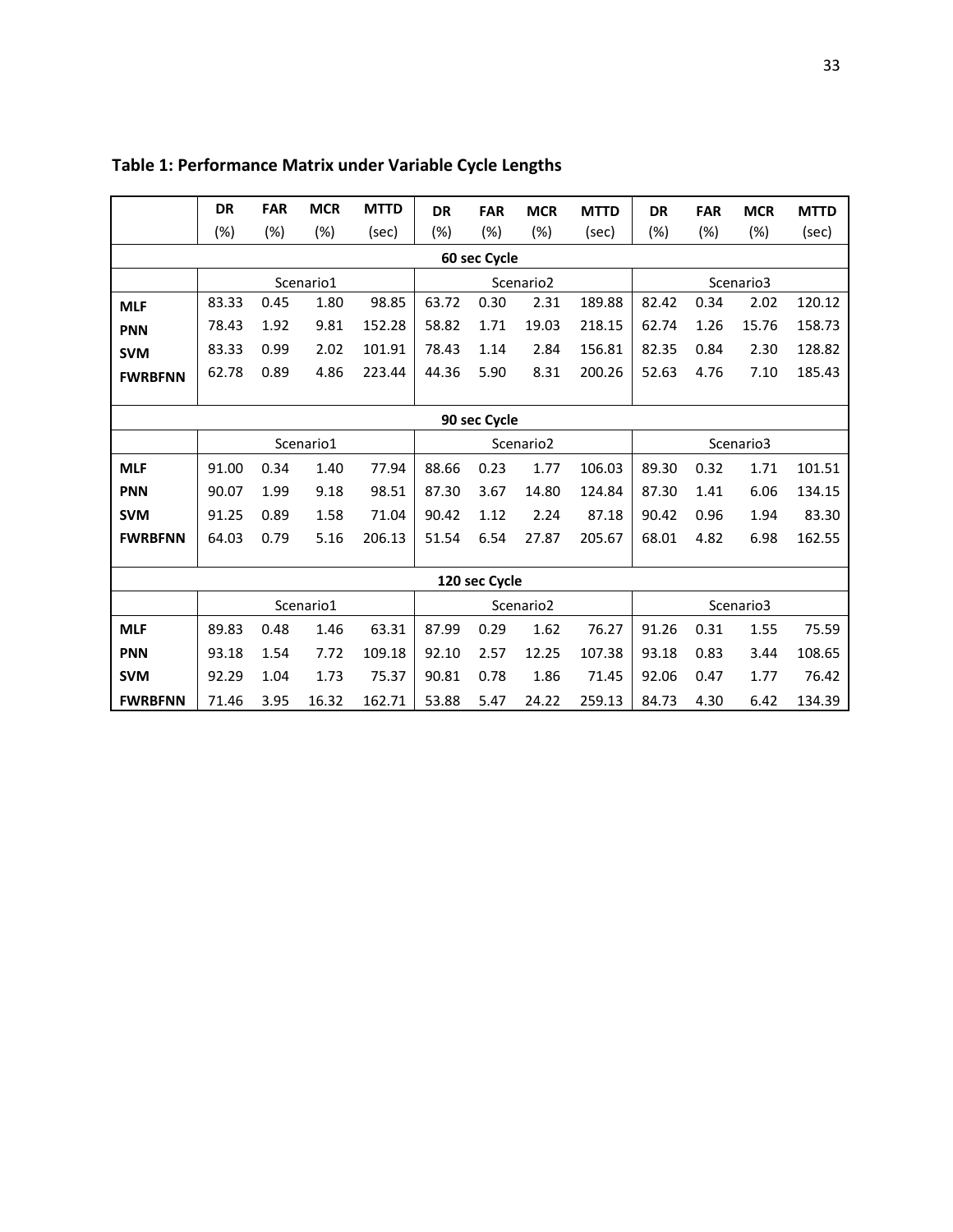|                | <b>DR</b> | <b>FAR</b> | <b>MCR</b> | <b>MTTD</b> | <b>DR</b> | <b>FAR</b>    | <b>MCR</b>            | <b>MTTD</b> | <b>DR</b> | <b>FAR</b> | <b>MCR</b> | <b>MTTD</b> |  |  |
|----------------|-----------|------------|------------|-------------|-----------|---------------|-----------------------|-------------|-----------|------------|------------|-------------|--|--|
|                | (%)       | (%)        | (%)        | (sec)       | (%)       | $(\%)$        | (%)                   | (sec)       | (%)       | (%)        | (%)        | (sec)       |  |  |
| 60 sec Cycle   |           |            |            |             |           |               |                       |             |           |            |            |             |  |  |
|                |           |            | Scenario1  |             |           |               | Scenario <sub>2</sub> |             | Scenario3 |            |            |             |  |  |
| <b>MLF</b>     | 83.33     | 0.45       | 1.80       | 98.85       | 63.72     | 0.30          | 2.31                  | 189.88      | 82.42     | 0.34       | 2.02       | 120.12      |  |  |
| <b>PNN</b>     | 78.43     | 1.92       | 9.81       | 152.28      | 58.82     | 1.71          | 19.03                 | 218.15      | 62.74     | 1.26       | 15.76      | 158.73      |  |  |
| <b>SVM</b>     | 83.33     | 0.99       | 2.02       | 101.91      | 78.43     | 1.14          | 2.84                  | 156.81      | 82.35     | 0.84       | 2.30       | 128.82      |  |  |
| <b>FWRBFNN</b> | 62.78     | 0.89       | 4.86       | 223.44      | 44.36     | 5.90          | 8.31                  | 200.26      | 52.63     | 4.76       | 7.10       | 185.43      |  |  |
|                |           |            |            |             |           |               |                       |             |           |            |            |             |  |  |
| 90 sec Cycle   |           |            |            |             |           |               |                       |             |           |            |            |             |  |  |
|                |           |            | Scenario1  |             |           |               | Scenario <sub>2</sub> |             | Scenario3 |            |            |             |  |  |
| <b>MLF</b>     | 91.00     | 0.34       | 1.40       | 77.94       | 88.66     | 0.23          | 1.77                  | 106.03      | 89.30     | 0.32       | 1.71       | 101.51      |  |  |
| <b>PNN</b>     | 90.07     | 1.99       | 9.18       | 98.51       | 87.30     | 3.67          | 14.80                 | 124.84      | 87.30     | 1.41       | 6.06       | 134.15      |  |  |
| <b>SVM</b>     | 91.25     | 0.89       | 1.58       | 71.04       | 90.42     | 1.12          | 2.24                  | 87.18       | 90.42     | 0.96       | 1.94       | 83.30       |  |  |
| <b>FWRBFNN</b> | 64.03     | 0.79       | 5.16       | 206.13      | 51.54     | 6.54          | 27.87                 | 205.67      | 68.01     | 4.82       | 6.98       | 162.55      |  |  |
|                |           |            |            |             |           |               |                       |             |           |            |            |             |  |  |
|                |           |            |            |             |           | 120 sec Cycle |                       |             |           |            |            |             |  |  |
|                |           |            | Scenario1  |             |           |               | Scenario <sub>2</sub> |             | Scenario3 |            |            |             |  |  |
| <b>MLF</b>     | 89.83     | 0.48       | 1.46       | 63.31       | 87.99     | 0.29          | 1.62                  | 76.27       | 91.26     | 0.31       | 1.55       | 75.59       |  |  |
| <b>PNN</b>     | 93.18     | 1.54       | 7.72       | 109.18      | 92.10     | 2.57          | 12.25                 | 107.38      | 93.18     | 0.83       | 3.44       | 108.65      |  |  |
| <b>SVM</b>     | 92.29     | 1.04       | 1.73       | 75.37       | 90.81     | 0.78          | 1.86                  | 71.45       | 92.06     | 0.47       | 1.77       | 76.42       |  |  |
| <b>FWRBFNN</b> | 71.46     | 3.95       | 16.32      | 162.71      | 53.88     | 5.47          | 24.22                 | 259.13      | 84.73     | 4.30       | 6.42       | 134.39      |  |  |

# **Table 1: Performance Matrix under Variable Cycle Lengths**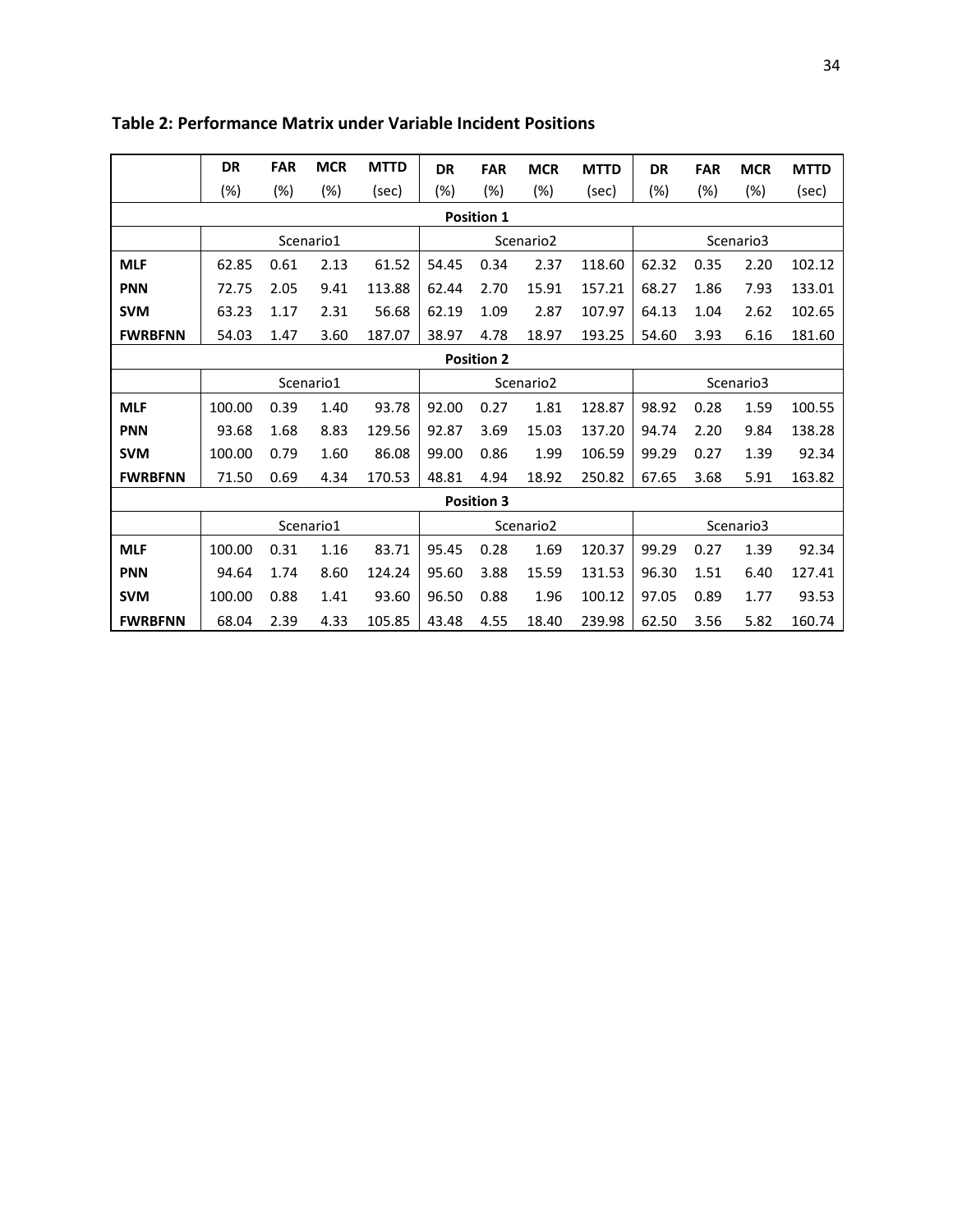|                   | DR     | <b>FAR</b> | <b>MCR</b> | <b>MTTD</b> | <b>DR</b> | <b>FAR</b>        | <b>MCR</b>            | <b>MTTD</b> | <b>DR</b> | <b>FAR</b> | <b>MCR</b> | <b>MTTD</b> |  |
|-------------------|--------|------------|------------|-------------|-----------|-------------------|-----------------------|-------------|-----------|------------|------------|-------------|--|
|                   | $(\%)$ | (%)        | (%)        | (sec)       | $(\%)$    | (%)               | (%)                   | (sec)       | (%)       | (%)        | (%)        | (sec)       |  |
| <b>Position 1</b> |        |            |            |             |           |                   |                       |             |           |            |            |             |  |
|                   |        |            | Scenario1  |             |           |                   | Scenario <sub>2</sub> |             | Scenario3 |            |            |             |  |
| <b>MLF</b>        | 62.85  | 0.61       | 2.13       | 61.52       | 54.45     | 0.34              | 2.37                  | 118.60      | 62.32     | 0.35       | 2.20       | 102.12      |  |
| <b>PNN</b>        | 72.75  | 2.05       | 9.41       | 113.88      | 62.44     | 2.70              | 15.91                 | 157.21      | 68.27     | 1.86       | 7.93       | 133.01      |  |
| <b>SVM</b>        | 63.23  | 1.17       | 2.31       | 56.68       | 62.19     | 1.09              | 2.87                  | 107.97      | 64.13     | 1.04       | 2.62       | 102.65      |  |
| <b>FWRBFNN</b>    | 54.03  | 1.47       | 3.60       | 187.07      | 38.97     | 4.78              | 18.97                 | 193.25      | 54.60     | 3.93       | 6.16       | 181.60      |  |
| <b>Position 2</b> |        |            |            |             |           |                   |                       |             |           |            |            |             |  |
|                   |        |            | Scenario1  |             |           |                   | Scenario <sub>2</sub> |             | Scenario3 |            |            |             |  |
| <b>MLF</b>        | 100.00 | 0.39       | 1.40       | 93.78       | 92.00     | 0.27              | 1.81                  | 128.87      | 98.92     | 0.28       | 1.59       | 100.55      |  |
| <b>PNN</b>        | 93.68  | 1.68       | 8.83       | 129.56      | 92.87     | 3.69              | 15.03                 | 137.20      | 94.74     | 2.20       | 9.84       | 138.28      |  |
| <b>SVM</b>        | 100.00 | 0.79       | 1.60       | 86.08       | 99.00     | 0.86              | 1.99                  | 106.59      | 99.29     | 0.27       | 1.39       | 92.34       |  |
| <b>FWRBFNN</b>    | 71.50  | 0.69       | 4.34       | 170.53      | 48.81     | 4.94              | 18.92                 | 250.82      | 67.65     | 3.68       | 5.91       | 163.82      |  |
|                   |        |            |            |             |           | <b>Position 3</b> |                       |             |           |            |            |             |  |
|                   |        |            | Scenario1  |             |           |                   | Scenario <sub>2</sub> |             | Scenario3 |            |            |             |  |
| <b>MLF</b>        | 100.00 | 0.31       | 1.16       | 83.71       | 95.45     | 0.28              | 1.69                  | 120.37      | 99.29     | 0.27       | 1.39       | 92.34       |  |
| <b>PNN</b>        | 94.64  | 1.74       | 8.60       | 124.24      | 95.60     | 3.88              | 15.59                 | 131.53      | 96.30     | 1.51       | 6.40       | 127.41      |  |
| <b>SVM</b>        | 100.00 | 0.88       | 1.41       | 93.60       | 96.50     | 0.88              | 1.96                  | 100.12      | 97.05     | 0.89       | 1.77       | 93.53       |  |
| <b>FWRBFNN</b>    | 68.04  | 2.39       | 4.33       | 105.85      | 43.48     | 4.55              | 18.40                 | 239.98      | 62.50     | 3.56       | 5.82       | 160.74      |  |

# **Table 2: Performance Matrix under Variable Incident Positions**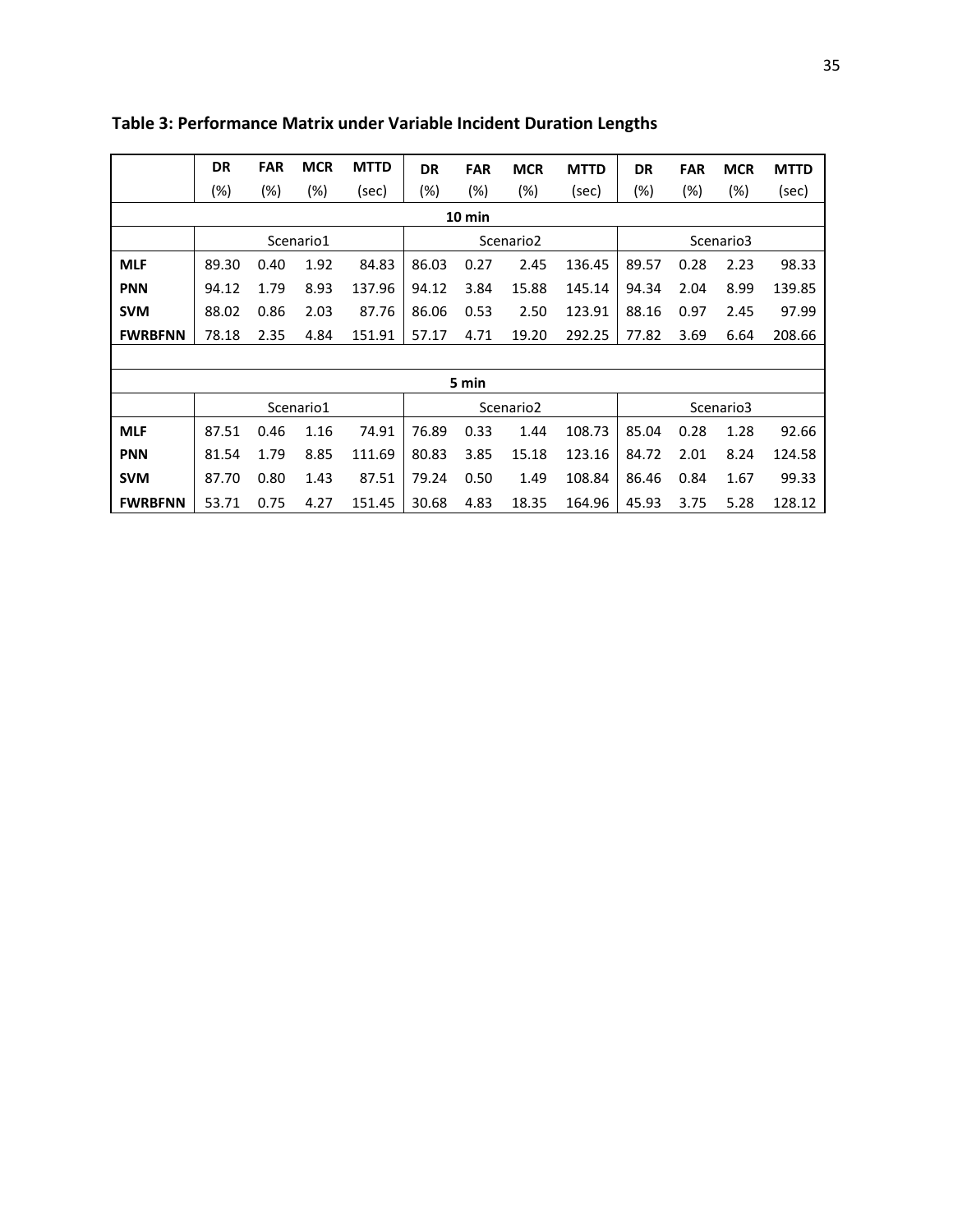|                | <b>DR</b> | <b>FAR</b> | <b>MCR</b> | <b>MTTD</b> | <b>DR</b> | <b>FAR</b> | <b>MCR</b>            | <b>MTTD</b> | <b>DR</b> | <b>FAR</b> | <b>MCR</b> | <b>MTTD</b> |  |  |
|----------------|-----------|------------|------------|-------------|-----------|------------|-----------------------|-------------|-----------|------------|------------|-------------|--|--|
|                | (%)       | (%)        | (%)        | (sec)       | (%)       | (%)        | (%)                   | (sec)       | (%)       | (%)        | (%)        | (sec)       |  |  |
| 10 min         |           |            |            |             |           |            |                       |             |           |            |            |             |  |  |
|                |           |            | Scenario1  |             |           |            | Scenario <sub>2</sub> |             | Scenario3 |            |            |             |  |  |
| <b>MLF</b>     | 89.30     | 0.40       | 1.92       | 84.83       | 86.03     | 0.27       | 2.45                  | 136.45      | 89.57     | 0.28       | 2.23       | 98.33       |  |  |
| <b>PNN</b>     | 94.12     | 1.79       | 8.93       | 137.96      | 94.12     | 3.84       | 15.88                 | 145.14      | 94.34     | 2.04       | 8.99       | 139.85      |  |  |
| <b>SVM</b>     | 88.02     | 0.86       | 2.03       | 87.76       | 86.06     | 0.53       | 2.50                  | 123.91      | 88.16     | 0.97       | 2.45       | 97.99       |  |  |
| <b>FWRBFNN</b> | 78.18     | 2.35       | 4.84       | 151.91      | 57.17     | 4.71       | 19.20                 | 292.25      | 77.82     | 3.69       | 6.64       | 208.66      |  |  |
|                |           |            |            |             |           |            |                       |             |           |            |            |             |  |  |
|                |           |            |            |             |           | 5 min      |                       |             |           |            |            |             |  |  |
|                |           |            | Scenario1  |             |           |            | Scenario <sub>2</sub> |             | Scenario3 |            |            |             |  |  |
| <b>MLF</b>     | 87.51     | 0.46       | 1.16       | 74.91       | 76.89     | 0.33       | 1.44                  | 108.73      | 85.04     | 0.28       | 1.28       | 92.66       |  |  |
| <b>PNN</b>     | 81.54     | 1.79       | 8.85       | 111.69      | 80.83     | 3.85       | 15.18                 | 123.16      | 84.72     | 2.01       | 8.24       | 124.58      |  |  |
| <b>SVM</b>     | 87.70     | 0.80       | 1.43       | 87.51       | 79.24     | 0.50       | 1.49                  | 108.84      | 86.46     | 0.84       | 1.67       | 99.33       |  |  |
| <b>FWRBFNN</b> | 53.71     | 0.75       | 4.27       | 151.45      | 30.68     | 4.83       | 18.35                 | 164.96      | 45.93     | 3.75       | 5.28       | 128.12      |  |  |

**Table 3: Performance Matrix under Variable Incident Duration Lengths**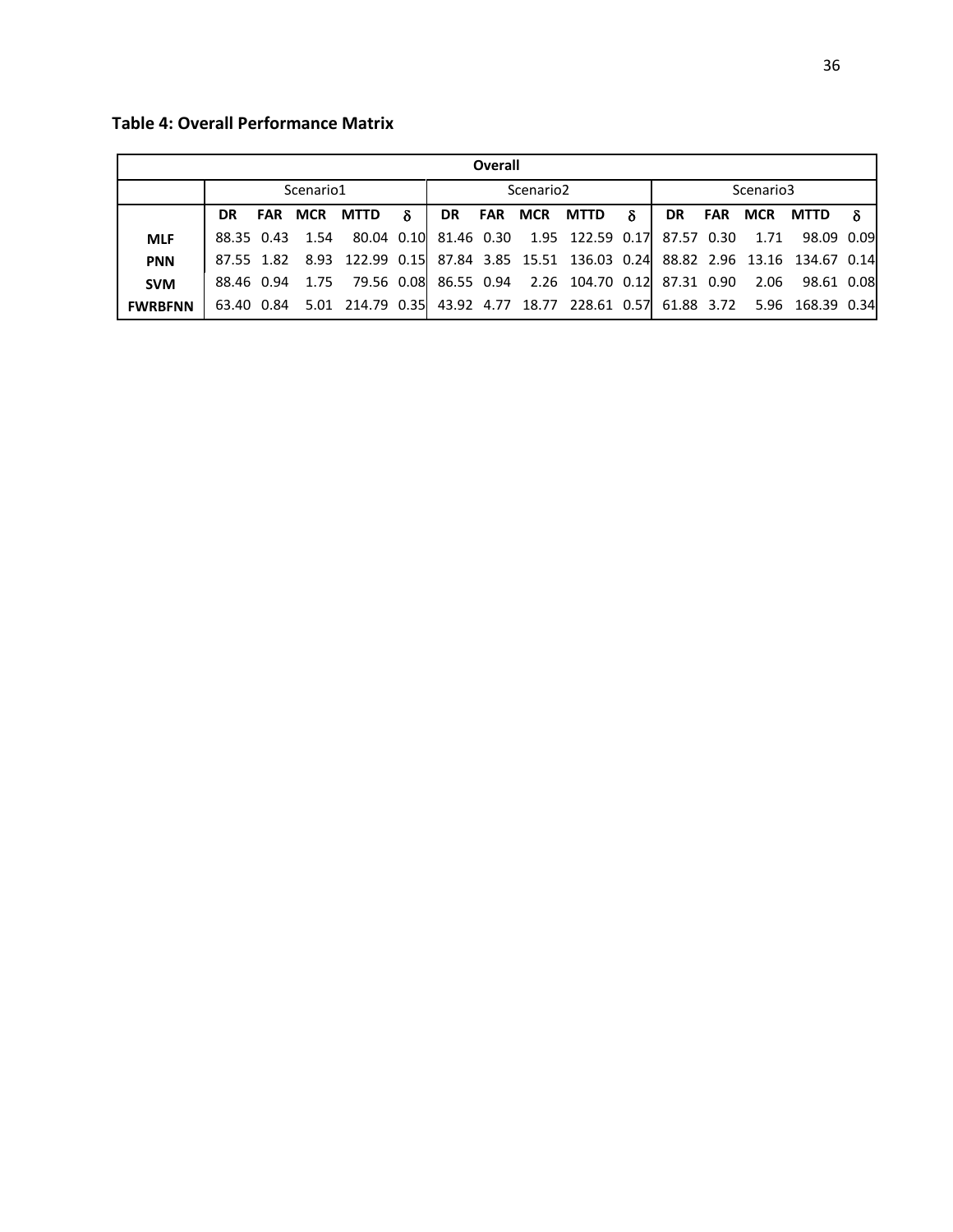**Table 4: Overall Performance Matrix** 

| Overall        |            |  |           |              |   |    |  |                       |                                                                           |           |            |     |      |                              |  |
|----------------|------------|--|-----------|--------------|---|----|--|-----------------------|---------------------------------------------------------------------------|-----------|------------|-----|------|------------------------------|--|
|                |            |  | Scenario1 |              |   |    |  | Scenario <sub>2</sub> |                                                                           | Scenario3 |            |     |      |                              |  |
|                | DR.        |  |           | FAR MCR MTTD | δ | DR |  |                       | <b>FAR MCR MTTD</b>                                                       | $\delta$  | <b>DR</b>  | FAR | MCR  | <b>MTTD</b>                  |  |
| <b>MLF</b>     | 88.35 0.43 |  | 1.54      |              |   |    |  |                       | 80.04 0.10 81.46 0.30 1.95 122.59 0.17                                    |           | 87.57 0.30 |     | 1.71 | 98.09 0.09                   |  |
| <b>PNN</b>     | 87.55 1.82 |  |           |              |   |    |  |                       | 8.93 122.99 0.15 87.84 3.85 15.51 136.03 0.24                             |           |            |     |      | 88.82 2.96 13.16 134.67 0.14 |  |
| <b>SVM</b>     | 88.46 0.94 |  | 1.75      |              |   |    |  |                       | 79.56 0.08 86.55 0.94 2.26 104.70 0.12 87.31 0.90                         |           |            |     | 2.06 | 98.61 0.08                   |  |
| <b>FWRBFNN</b> | 63.40 0.84 |  |           |              |   |    |  |                       | 5.01 214.79 0.35 43.92 4.77 18.77 228.61 0.57 61.88 3.72 5.96 168.39 0.34 |           |            |     |      |                              |  |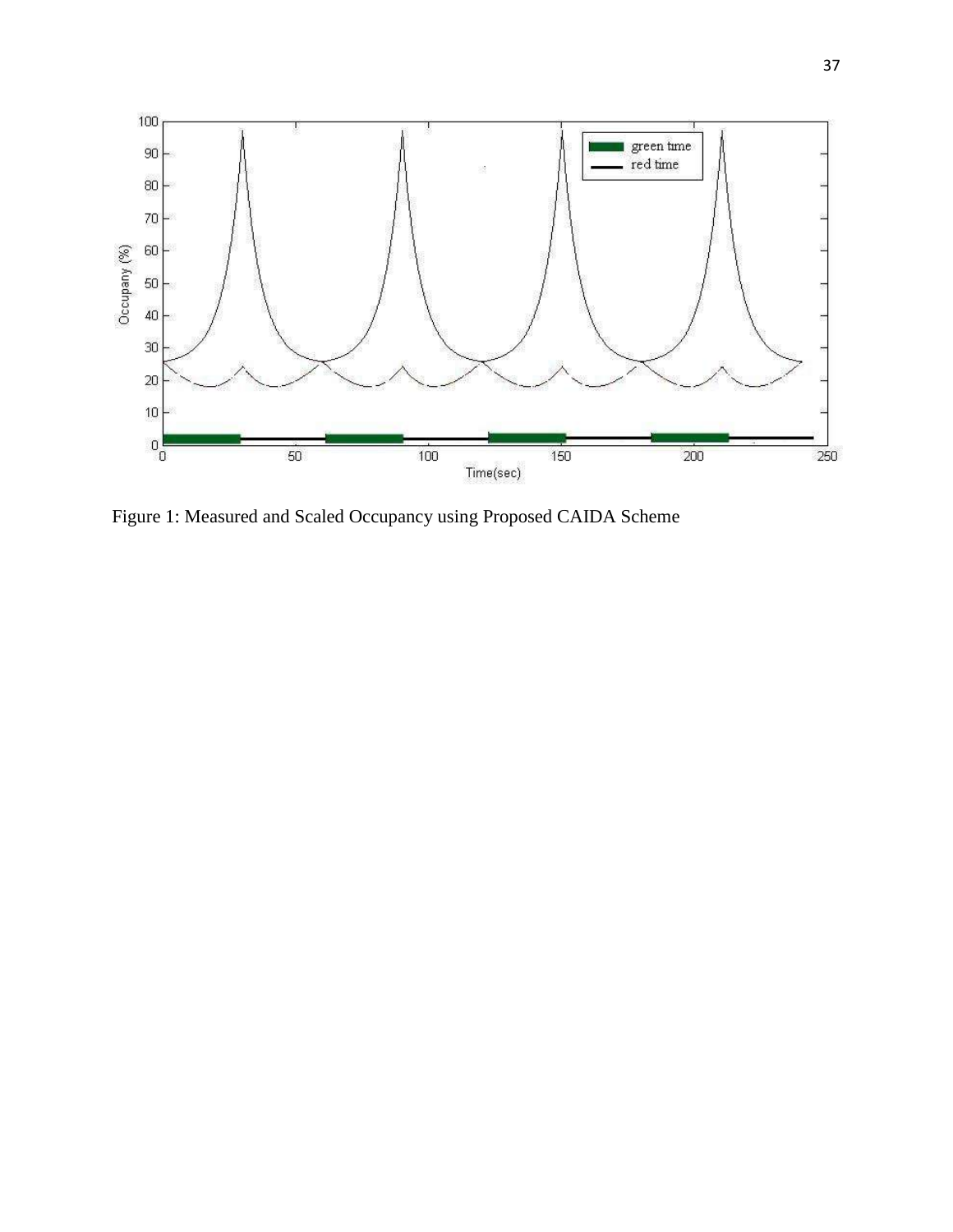

Figure 1: Measured and Scaled Occupancy using Proposed CAIDA Scheme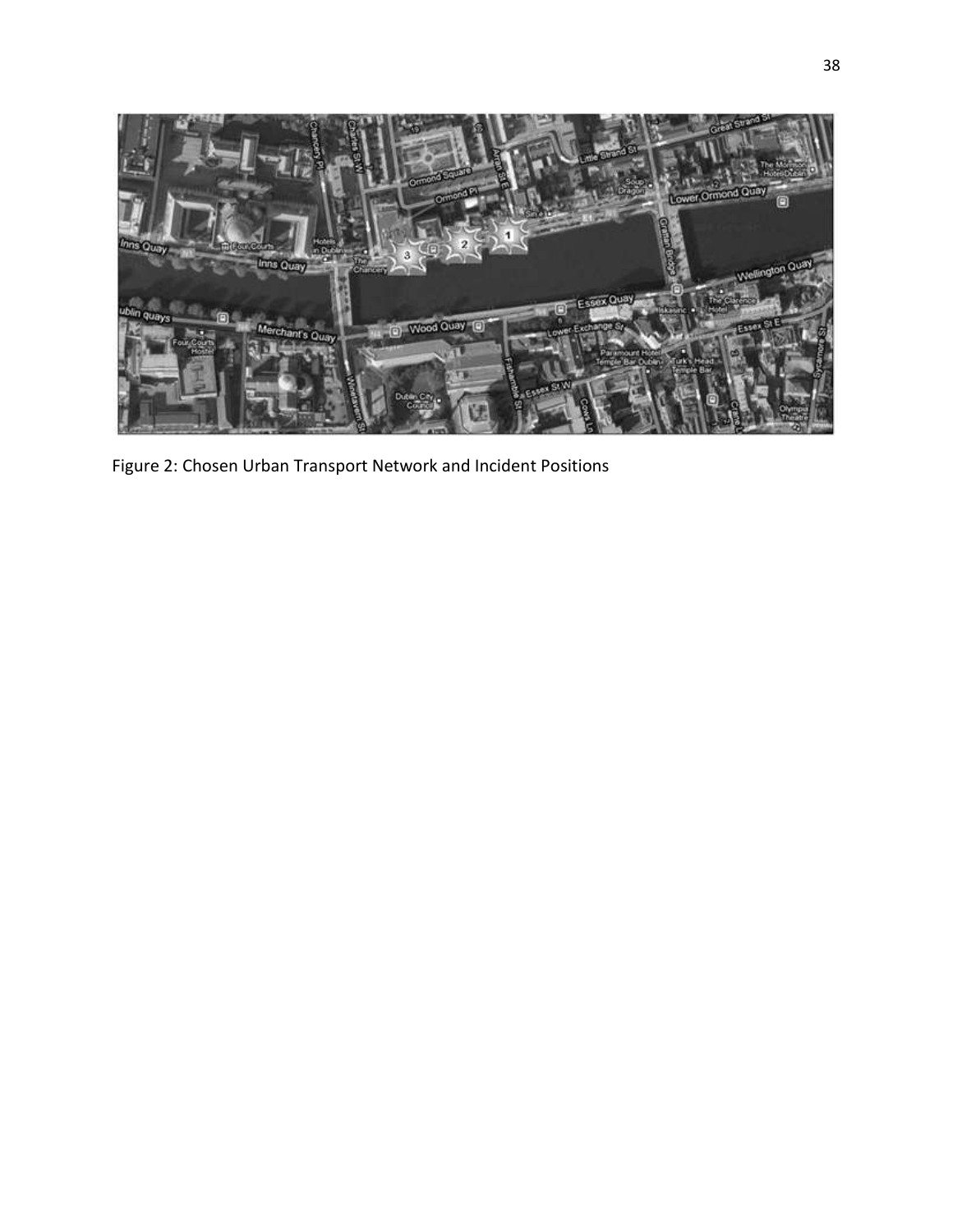

Figure 2: Chosen Urban Transport Network and Incident Positions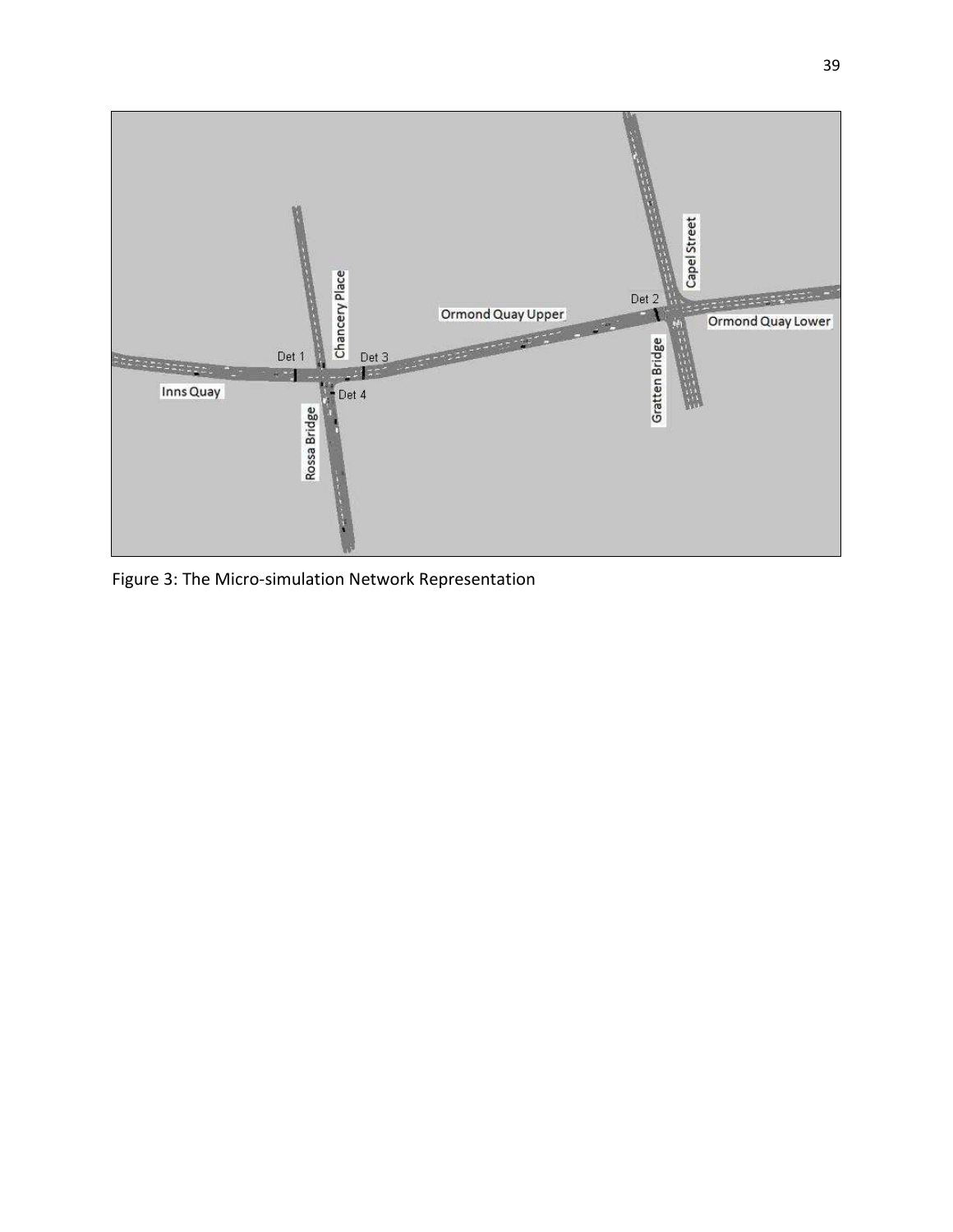

Figure 3: The Micro-simulation Network Representation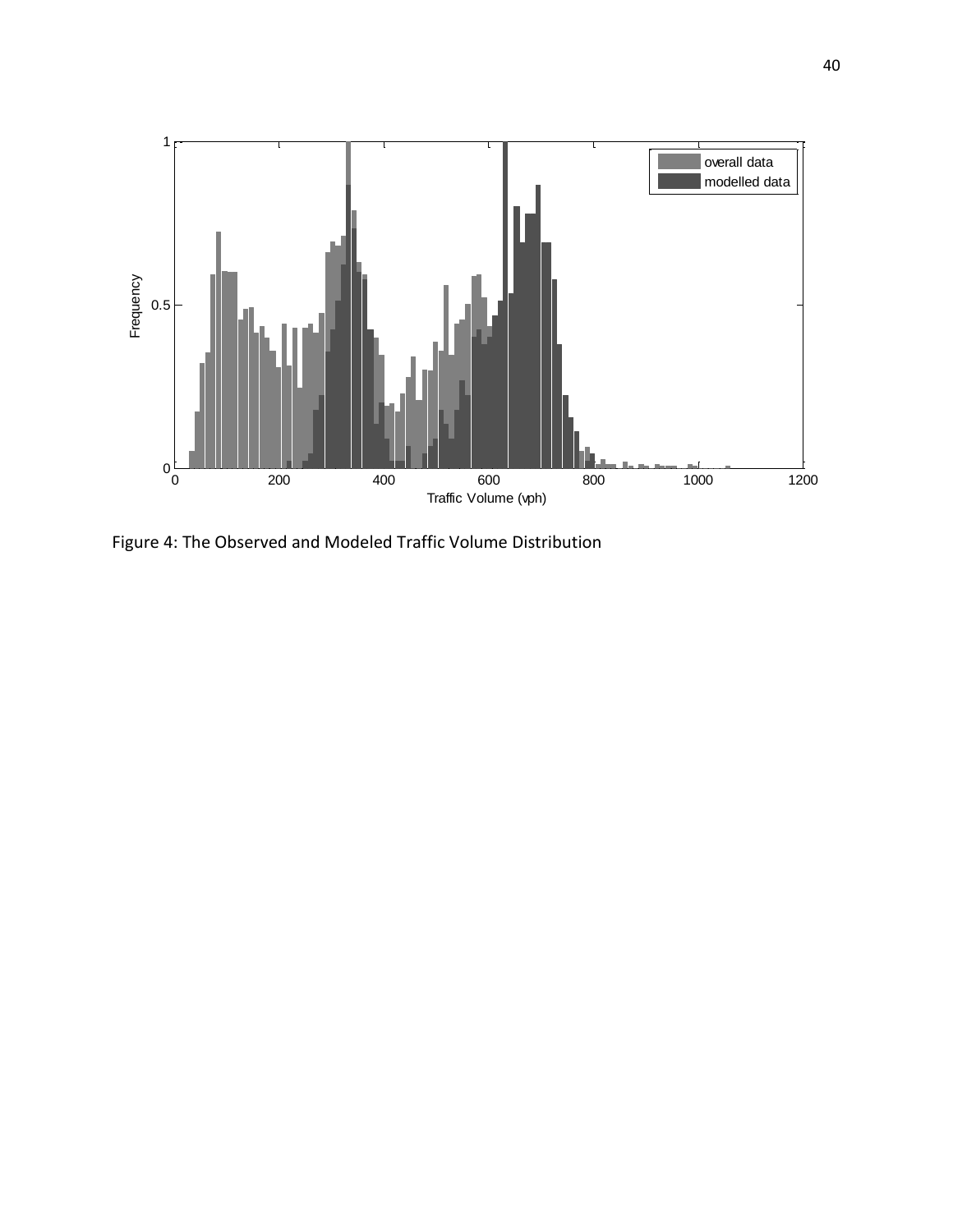

Figure 4: The Observed and Modeled Traffic Volume Distribution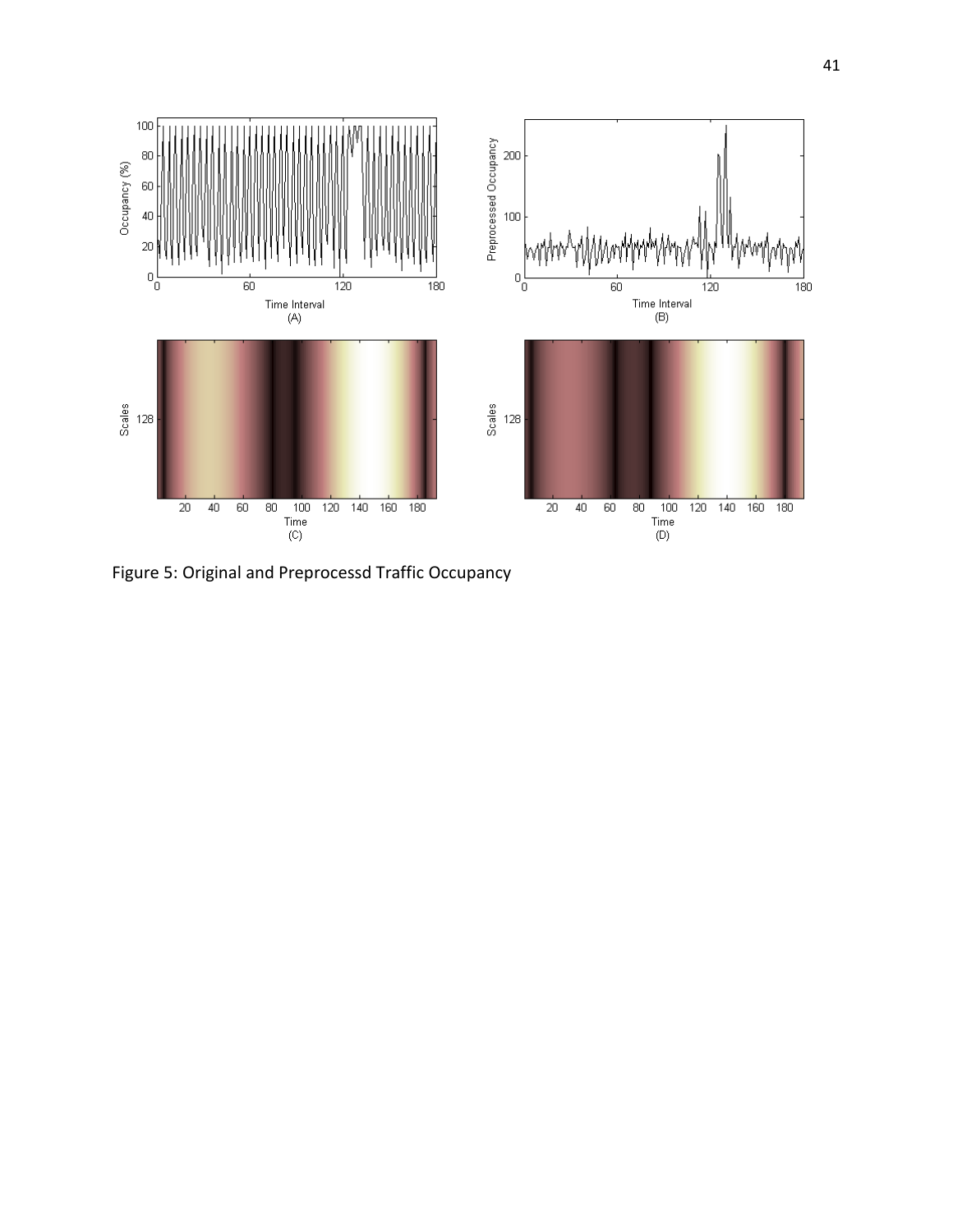

Figure 5: Original and Preprocessd Traffic Occupancy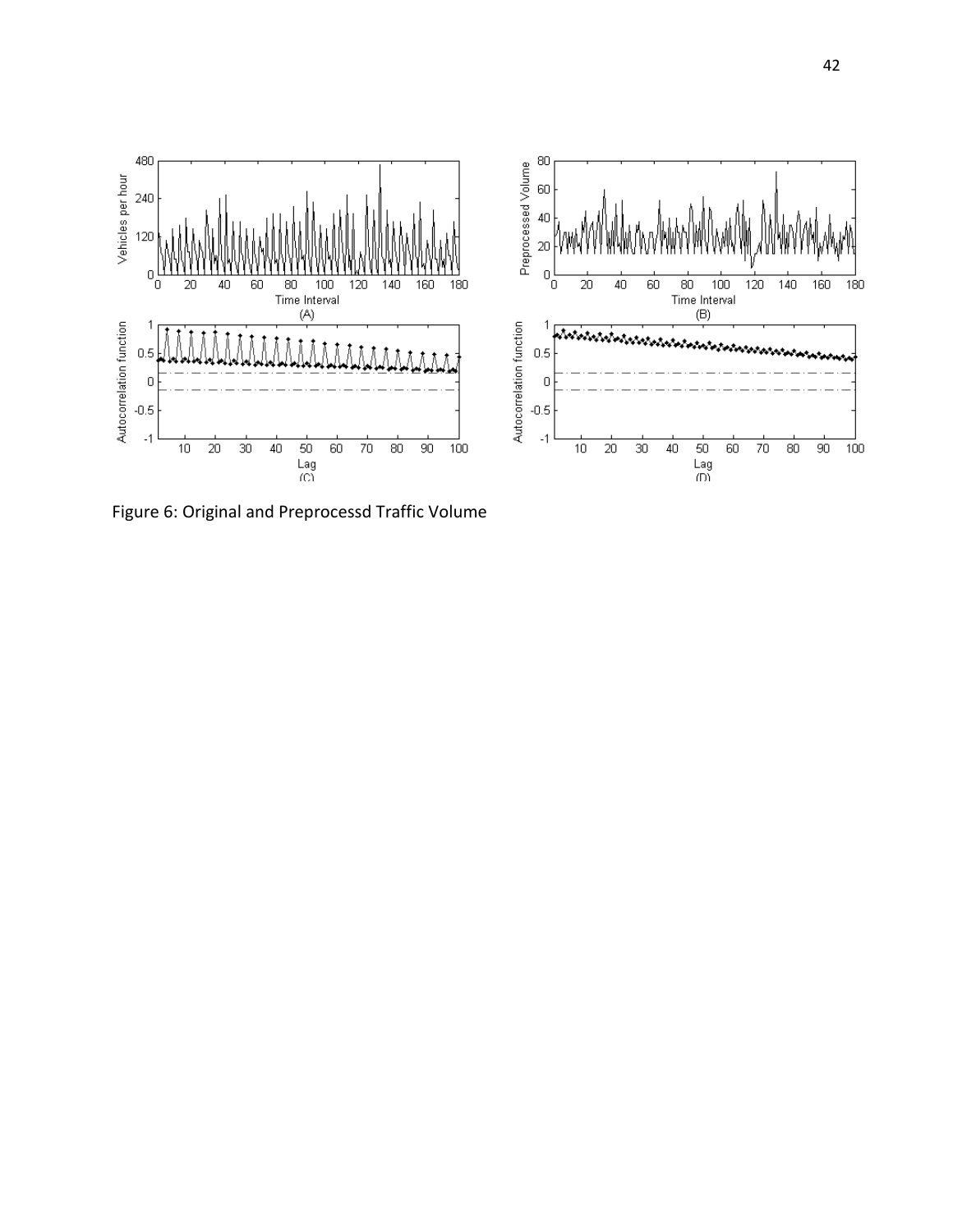

Figure 6: Original and Preprocessd Traffic Volume